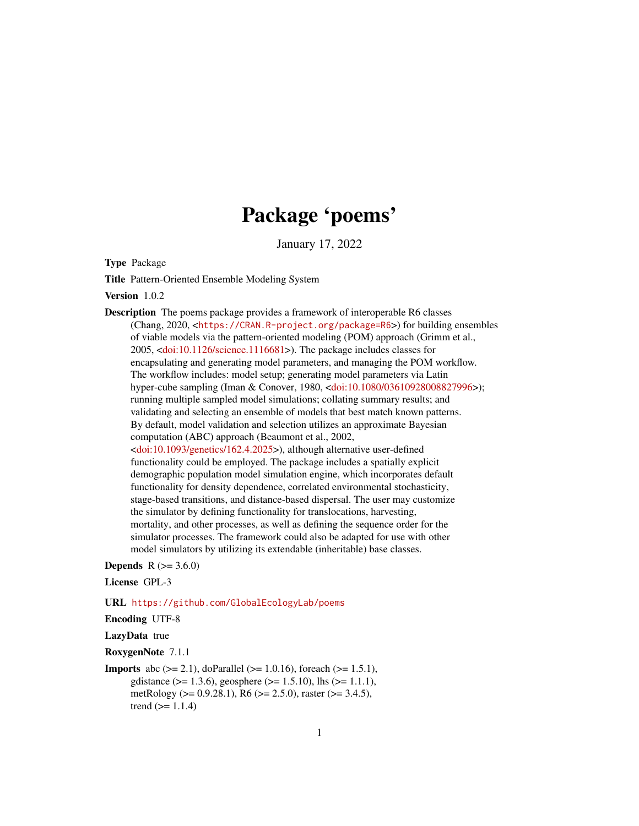# Package 'poems'

January 17, 2022

<span id="page-0-0"></span>Type Package

Title Pattern-Oriented Ensemble Modeling System

Version 1.0.2

Description The poems package provides a framework of interoperable R6 classes (Chang, 2020, <<https://CRAN.R-project.org/package=R6>>) for building ensembles of viable models via the pattern-oriented modeling (POM) approach (Grimm et al., 2005, [<doi:10.1126/science.1116681>](https://doi.org/10.1126/science.1116681)). The package includes classes for encapsulating and generating model parameters, and managing the POM workflow. The workflow includes: model setup; generating model parameters via Latin hyper-cube sampling (Iman & Conover, 1980, [<doi:10.1080/03610928008827996>](https://doi.org/10.1080/03610928008827996)); running multiple sampled model simulations; collating summary results; and validating and selecting an ensemble of models that best match known patterns. By default, model validation and selection utilizes an approximate Bayesian computation (ABC) approach (Beaumont et al., 2002, [<doi:10.1093/genetics/162.4.2025>](https://doi.org/10.1093/genetics/162.4.2025)), although alternative user-defined functionality could be employed. The package includes a spatially explicit demographic population model simulation engine, which incorporates default functionality for density dependence, correlated environmental stochasticity, stage-based transitions, and distance-based dispersal. The user may customize the simulator by defining functionality for translocations, harvesting, mortality, and other processes, as well as defining the sequence order for the simulator processes. The framework could also be adapted for use with other model simulators by utilizing its extendable (inheritable) base classes.

**Depends** R  $(>= 3.6.0)$ 

License GPL-3

URL <https://github.com/GlobalEcologyLab/poems>

Encoding UTF-8

LazyData true

RoxygenNote 7.1.1

**Imports** abc ( $> = 2.1$ ), doParallel ( $> = 1.0.16$ ), foreach ( $> = 1.5.1$ ), gdistance ( $> = 1.3.6$ ), geosphere ( $> = 1.5.10$ ), lhs ( $> = 1.1.1$ ), metRology (>= 0.9.28.1), R6 (>= 2.5.0), raster (>= 3.4.5), trend  $(>= 1.1.4)$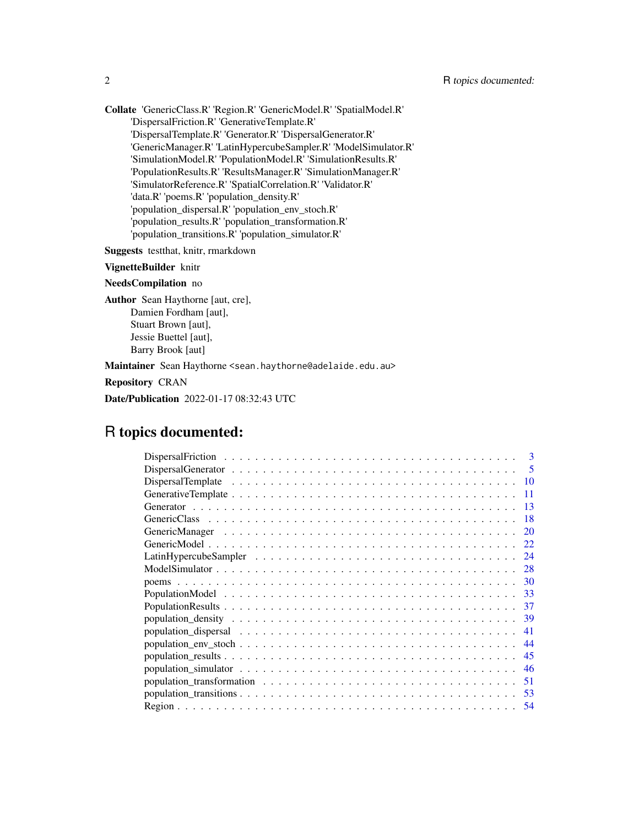Collate 'GenericClass.R' 'Region.R' 'GenericModel.R' 'SpatialModel.R' 'DispersalFriction.R' 'GenerativeTemplate.R' 'DispersalTemplate.R' 'Generator.R' 'DispersalGenerator.R' 'GenericManager.R' 'LatinHypercubeSampler.R' 'ModelSimulator.R' 'SimulationModel.R' 'PopulationModel.R' 'SimulationResults.R' 'PopulationResults.R' 'ResultsManager.R' 'SimulationManager.R' 'SimulatorReference.R' 'SpatialCorrelation.R' 'Validator.R' 'data.R' 'poems.R' 'population\_density.R' 'population\_dispersal.R' 'population\_env\_stoch.R' 'population\_results.R' 'population\_transformation.R' 'population\_transitions.R' 'population\_simulator.R'

Suggests testthat, knitr, rmarkdown

VignetteBuilder knitr

NeedsCompilation no

Author Sean Haythorne [aut, cre], Damien Fordham [aut], Stuart Brown [aut], Jessie Buettel [aut], Barry Brook [aut]

Maintainer Sean Haythorne <sean.haythorne@adelaide.edu.au>

Repository CRAN

Date/Publication 2022-01-17 08:32:43 UTC

# R topics documented:

| $\mathbf{3}$                                                                                                               |
|----------------------------------------------------------------------------------------------------------------------------|
| 5<br>Dispersal Generator $\dots \dots \dots \dots \dots \dots \dots \dots \dots \dots \dots \dots \dots \dots \dots \dots$ |
| 10                                                                                                                         |
|                                                                                                                            |
|                                                                                                                            |
| 18                                                                                                                         |
| 20                                                                                                                         |
| 22                                                                                                                         |
| 24                                                                                                                         |
| 28                                                                                                                         |
| 30                                                                                                                         |
| -33                                                                                                                        |
| 37                                                                                                                         |
| -39                                                                                                                        |
| 41                                                                                                                         |
| 44                                                                                                                         |
| 45                                                                                                                         |
| 46                                                                                                                         |
| population_transformation $\dots \dots \dots \dots \dots \dots \dots \dots \dots \dots \dots \dots \dots$<br>51            |
| 53                                                                                                                         |
| 54                                                                                                                         |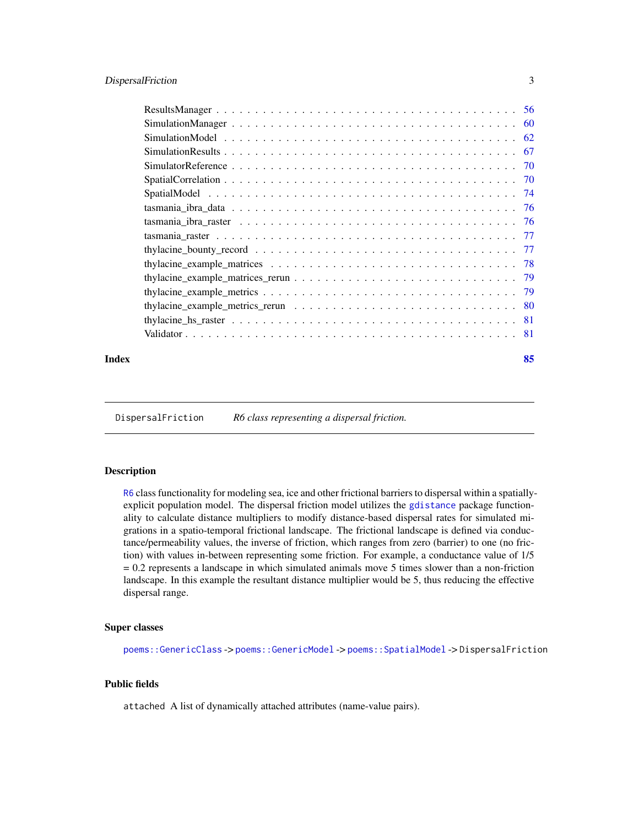# <span id="page-2-0"></span>DispersalFriction 3

| Index | 85 |
|-------|----|

<span id="page-2-1"></span>DispersalFriction *R6 class representing a dispersal friction.*

# Description

[R6](#page-0-0) class functionality for modeling sea, ice and other frictional barriers to dispersal within a spatiallyexplicit population model. The dispersal friction model utilizes the [gdistance](#page-0-0) package functionality to calculate distance multipliers to modify distance-based dispersal rates for simulated migrations in a spatio-temporal frictional landscape. The frictional landscape is defined via conductance/permeability values, the inverse of friction, which ranges from zero (barrier) to one (no friction) with values in-between representing some friction. For example, a conductance value of 1/5 = 0.2 represents a landscape in which simulated animals move 5 times slower than a non-friction landscape. In this example the resultant distance multiplier would be 5, thus reducing the effective dispersal range.

#### Super classes

[poems::GenericClass](#page-0-0) -> [poems::GenericModel](#page-0-0) -> [poems::SpatialModel](#page-0-0) -> DispersalFriction

# Public fields

attached A list of dynamically attached attributes (name-value pairs).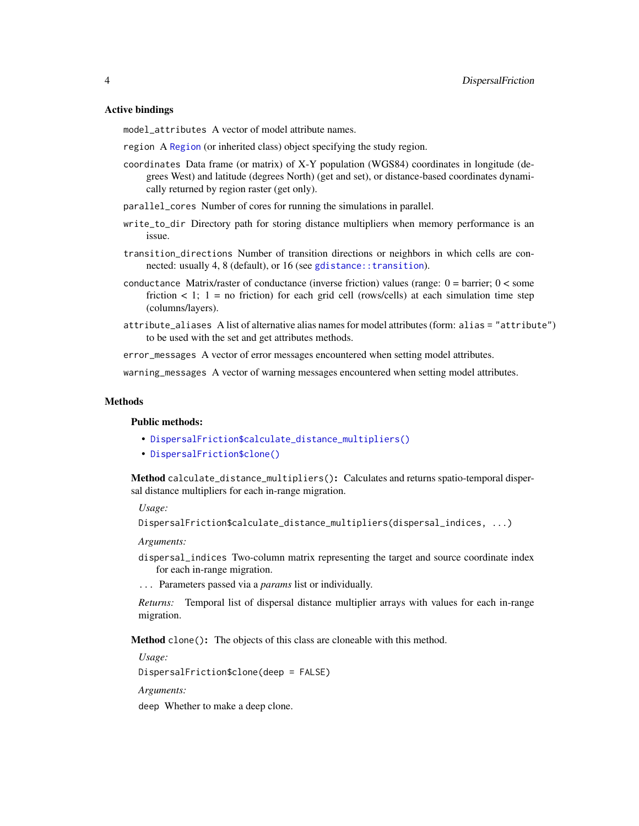# Active bindings

model\_attributes A vector of model attribute names.

- region A [Region](#page-53-1) (or inherited class) object specifying the study region.
- coordinates Data frame (or matrix) of X-Y population (WGS84) coordinates in longitude (degrees West) and latitude (degrees North) (get and set), or distance-based coordinates dynamically returned by region raster (get only).
- parallel\_cores Number of cores for running the simulations in parallel.
- write\_to\_dir Directory path for storing distance multipliers when memory performance is an issue.
- transition\_directions Number of transition directions or neighbors in which cells are connected: usually 4, 8 (default), or 16 (see [gdistance::transition](#page-0-0)).
- conductance Matrix/raster of conductance (inverse friction) values (range:  $0 =$  barrier;  $0 <$  some friction  $\lt 1$ ; 1 = no friction) for each grid cell (rows/cells) at each simulation time step (columns/layers).
- attribute\_aliases A list of alternative alias names for model attributes (form: alias = "attribute") to be used with the set and get attributes methods.

error\_messages A vector of error messages encountered when setting model attributes.

warning\_messages A vector of warning messages encountered when setting model attributes.

#### Methods

#### Public methods:

- [DispersalFriction\\$calculate\\_distance\\_multipliers\(\)](#page-3-0)
- [DispersalFriction\\$clone\(\)](#page-3-1)

<span id="page-3-0"></span>Method calculate\_distance\_multipliers(): Calculates and returns spatio-temporal dispersal distance multipliers for each in-range migration.

*Usage:*

```
DispersalFriction$calculate_distance_multipliers(dispersal_indices, ...)
```
*Arguments:*

- dispersal\_indices Two-column matrix representing the target and source coordinate index for each in-range migration.
- ... Parameters passed via a *params* list or individually.

*Returns:* Temporal list of dispersal distance multiplier arrays with values for each in-range migration.

<span id="page-3-1"></span>Method clone(): The objects of this class are cloneable with this method.

*Usage:*

DispersalFriction\$clone(deep = FALSE)

*Arguments:*

deep Whether to make a deep clone.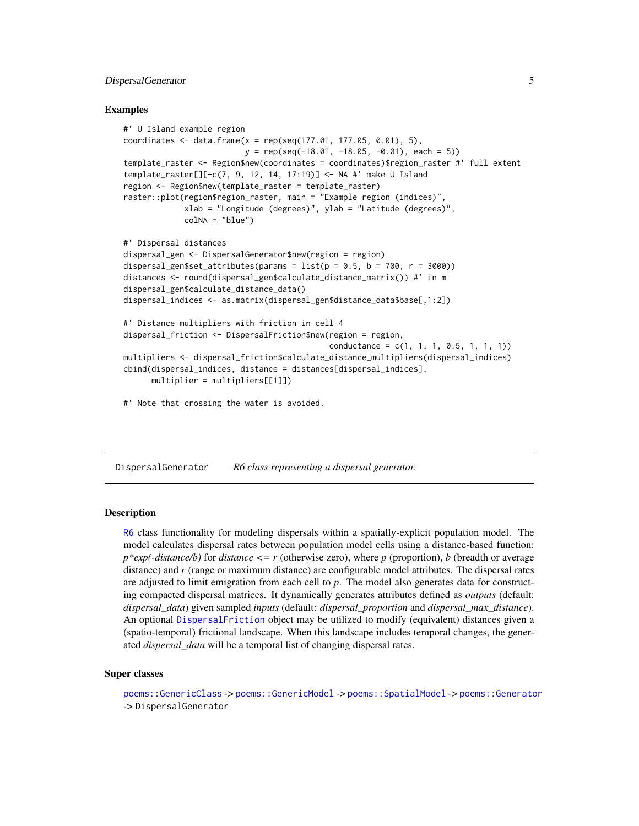# <span id="page-4-0"></span>DispersalGenerator 5

# Examples

```
#' U Island example region
coordinates \leq data.frame(x = rep(seq(177.01, 177.05, 0.01), 5),
                          y = rep(seq(-18.01, -18.05, -0.01), each = 5)template_raster <- Region$new(coordinates = coordinates)$region_raster #' full extent
template_raster[][-c(7, 9, 12, 14, 17:19)] <- NA #' make U Island
region <- Region$new(template_raster = template_raster)
raster::plot(region$region_raster, main = "Example region (indices)",
             xlab = "Longitude (degrees)", ylab = "Latitude (degrees)",
             colNA = "blue")#' Dispersal distances
dispersal_gen <- DispersalGenerator$new(region = region)
dispersal_gen$set_attributes(params = list(p = 0.5, b = 700, r = 3000))
distances <- round(dispersal_gen$calculate_distance_matrix()) #' in m
dispersal_gen$calculate_distance_data()
dispersal_indices <- as.matrix(dispersal_gen$distance_data$base[,1:2])
#' Distance multipliers with friction in cell 4
dispersal_friction <- DispersalFriction$new(region = region,
                                            conductance = c(1, 1, 1, 0.5, 1, 1, 1))
multipliers <- dispersal_friction$calculate_distance_multipliers(dispersal_indices)
cbind(dispersal_indices, distance = distances[dispersal_indices],
      multiplier = multipliers[[1]])
```
#' Note that crossing the water is avoided.

<span id="page-4-1"></span>DispersalGenerator *R6 class representing a dispersal generator.*

## **Description**

[R6](#page-0-0) class functionality for modeling dispersals within a spatially-explicit population model. The model calculates dispersal rates between population model cells using a distance-based function:  $p*exp(-distance/b)$  for *distance*  $\leq r$  (otherwise zero), where *p* (proportion), *b* (breadth or average distance) and *r* (range or maximum distance) are configurable model attributes. The dispersal rates are adjusted to limit emigration from each cell to *p*. The model also generates data for constructing compacted dispersal matrices. It dynamically generates attributes defined as *outputs* (default: *dispersal\_data*) given sampled *inputs* (default: *dispersal\_proportion* and *dispersal\_max\_distance*). An optional [DispersalFriction](#page-2-1) object may be utilized to modify (equivalent) distances given a (spatio-temporal) frictional landscape. When this landscape includes temporal changes, the generated *dispersal\_data* will be a temporal list of changing dispersal rates.

#### Super classes

[poems::GenericClass](#page-0-0) -> [poems::GenericModel](#page-0-0) -> [poems::SpatialModel](#page-0-0) -> [poems::Generator](#page-0-0) -> DispersalGenerator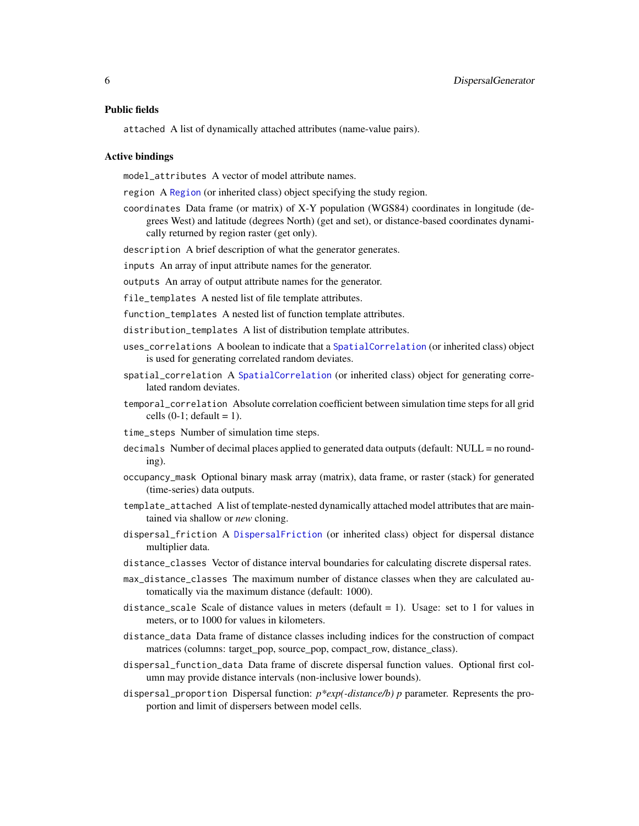#### Public fields

attached A list of dynamically attached attributes (name-value pairs).

#### Active bindings

model\_attributes A vector of model attribute names.

region A [Region](#page-53-1) (or inherited class) object specifying the study region.

coordinates Data frame (or matrix) of X-Y population (WGS84) coordinates in longitude (degrees West) and latitude (degrees North) (get and set), or distance-based coordinates dynamically returned by region raster (get only).

description A brief description of what the generator generates.

inputs An array of input attribute names for the generator.

outputs An array of output attribute names for the generator.

file\_templates A nested list of file template attributes.

function\_templates A nested list of function template attributes.

distribution\_templates A list of distribution template attributes.

- uses\_correlations A boolean to indicate that a [SpatialCorrelation](#page-69-1) (or inherited class) object is used for generating correlated random deviates.
- spatial\_correlation A [SpatialCorrelation](#page-69-1) (or inherited class) object for generating correlated random deviates.
- temporal\_correlation Absolute correlation coefficient between simulation time steps for all grid cells  $(0-1;$  default = 1).

time\_steps Number of simulation time steps.

- decimals Number of decimal places applied to generated data outputs (default: NULL = no rounding).
- occupancy\_mask Optional binary mask array (matrix), data frame, or raster (stack) for generated (time-series) data outputs.
- template\_attached A list of template-nested dynamically attached model attributes that are maintained via shallow or *new* cloning.
- dispersal\_friction A [DispersalFriction](#page-2-1) (or inherited class) object for dispersal distance multiplier data.
- distance\_classes Vector of distance interval boundaries for calculating discrete dispersal rates.
- max\_distance\_classes The maximum number of distance classes when they are calculated automatically via the maximum distance (default: 1000).
- distance\_scale Scale of distance values in meters (default  $= 1$ ). Usage: set to 1 for values in meters, or to 1000 for values in kilometers.
- distance\_data Data frame of distance classes including indices for the construction of compact matrices (columns: target\_pop, source\_pop, compact\_row, distance\_class).
- dispersal\_function\_data Data frame of discrete dispersal function values. Optional first column may provide distance intervals (non-inclusive lower bounds).
- dispersal\_proportion Dispersal function: *p\*exp(-distance/b) p* parameter. Represents the proportion and limit of dispersers between model cells.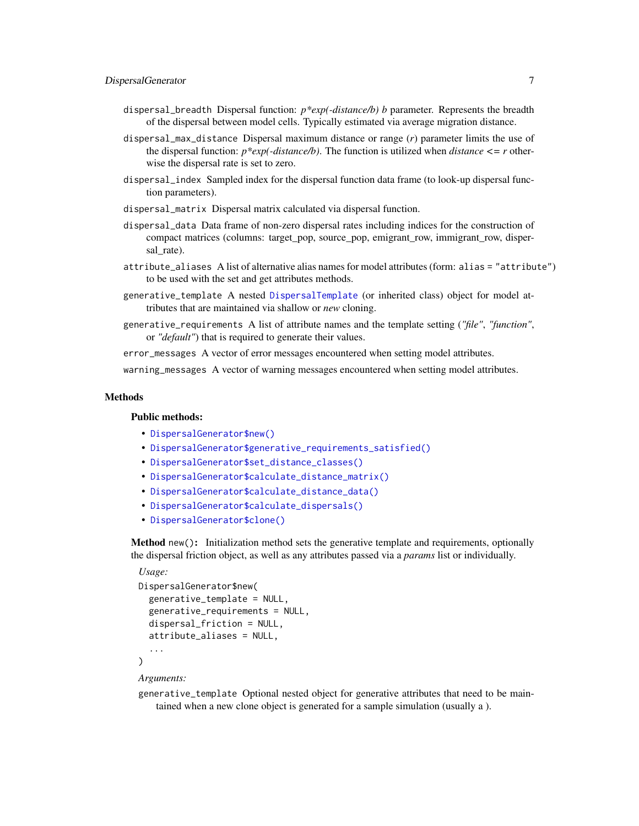- dispersal\_breadth Dispersal function: *p\*exp(-distance/b) b* parameter. Represents the breadth of the dispersal between model cells. Typically estimated via average migration distance.
- dispersal\_max\_distance Dispersal maximum distance or range (*r*) parameter limits the use of the dispersal function: *p\*exp(-distance/b)*. The function is utilized when *distance <= r* otherwise the dispersal rate is set to zero.
- dispersal\_index Sampled index for the dispersal function data frame (to look-up dispersal function parameters).
- dispersal\_matrix Dispersal matrix calculated via dispersal function.
- dispersal\_data Data frame of non-zero dispersal rates including indices for the construction of compact matrices (columns: target\_pop, source\_pop, emigrant\_row, immigrant\_row, dispersal rate).
- attribute\_aliases A list of alternative alias names for model attributes (form: alias = "attribute") to be used with the set and get attributes methods.
- generative\_template A nested [DispersalTemplate](#page-9-1) (or inherited class) object for model attributes that are maintained via shallow or *new* cloning.
- generative\_requirements A list of attribute names and the template setting (*"file"*, *"function"*, or *"default"*) that is required to generate their values.

error\_messages A vector of error messages encountered when setting model attributes.

warning\_messages A vector of warning messages encountered when setting model attributes.

# Methods

# Public methods:

- [DispersalGenerator\\$new\(\)](#page-6-0)
- [DispersalGenerator\\$generative\\_requirements\\_satisfied\(\)](#page-7-0)
- [DispersalGenerator\\$set\\_distance\\_classes\(\)](#page-7-1)
- [DispersalGenerator\\$calculate\\_distance\\_matrix\(\)](#page-7-2)
- [DispersalGenerator\\$calculate\\_distance\\_data\(\)](#page-7-3)
- [DispersalGenerator\\$calculate\\_dispersals\(\)](#page-8-0)
- [DispersalGenerator\\$clone\(\)](#page-3-1)

<span id="page-6-0"></span>Method new(): Initialization method sets the generative template and requirements, optionally the dispersal friction object, as well as any attributes passed via a *params* list or individually.

#### *Usage:*

```
DispersalGenerator$new(
  generative_template = NULL,
  generative_requirements = NULL,
 dispersal_friction = NULL,
  attribute_aliases = NULL,
  ...
)
```
#### *Arguments:*

generative\_template Optional nested object for generative attributes that need to be maintained when a new clone object is generated for a sample simulation (usually a ).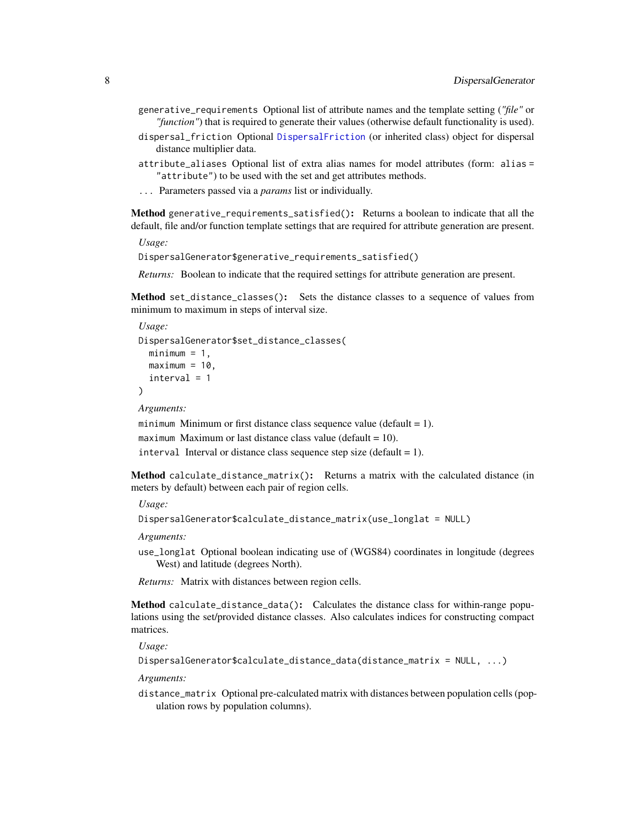- generative\_requirements Optional list of attribute names and the template setting (*"file"* or *"function"*) that is required to generate their values (otherwise default functionality is used).
- dispersal\_friction Optional [DispersalFriction](#page-2-1) (or inherited class) object for dispersal distance multiplier data.
- attribute\_aliases Optional list of extra alias names for model attributes (form: alias = "attribute") to be used with the set and get attributes methods.
- ... Parameters passed via a *params* list or individually.

<span id="page-7-0"></span>Method generative\_requirements\_satisfied(): Returns a boolean to indicate that all the default, file and/or function template settings that are required for attribute generation are present.

*Usage:*

DispersalGenerator\$generative\_requirements\_satisfied()

*Returns:* Boolean to indicate that the required settings for attribute generation are present.

<span id="page-7-1"></span>Method set\_distance\_classes(): Sets the distance classes to a sequence of values from minimum to maximum in steps of interval size.

```
Usage:
DispersalGenerator$set_distance_classes(
  minimum = 1,maximum = 10,
  interval = 1)
Arguments:
```
minimum Minimum or first distance class sequence value (default  $= 1$ ). maximum Maximum or last distance class value (default  $= 10$ ). interval Interval or distance class sequence step size (default  $= 1$ ).

<span id="page-7-2"></span>Method calculate\_distance\_matrix(): Returns a matrix with the calculated distance (in meters by default) between each pair of region cells.

*Usage:*

```
DispersalGenerator$calculate_distance_matrix(use_longlat = NULL)
```
*Arguments:*

use\_longlat Optional boolean indicating use of (WGS84) coordinates in longitude (degrees West) and latitude (degrees North).

*Returns:* Matrix with distances between region cells.

<span id="page-7-3"></span>Method calculate\_distance\_data(): Calculates the distance class for within-range populations using the set/provided distance classes. Also calculates indices for constructing compact matrices.

*Usage:*

```
DispersalGenerator$calculate_distance_data(distance_matrix = NULL, ...)
```
*Arguments:*

distance\_matrix Optional pre-calculated matrix with distances between population cells (population rows by population columns).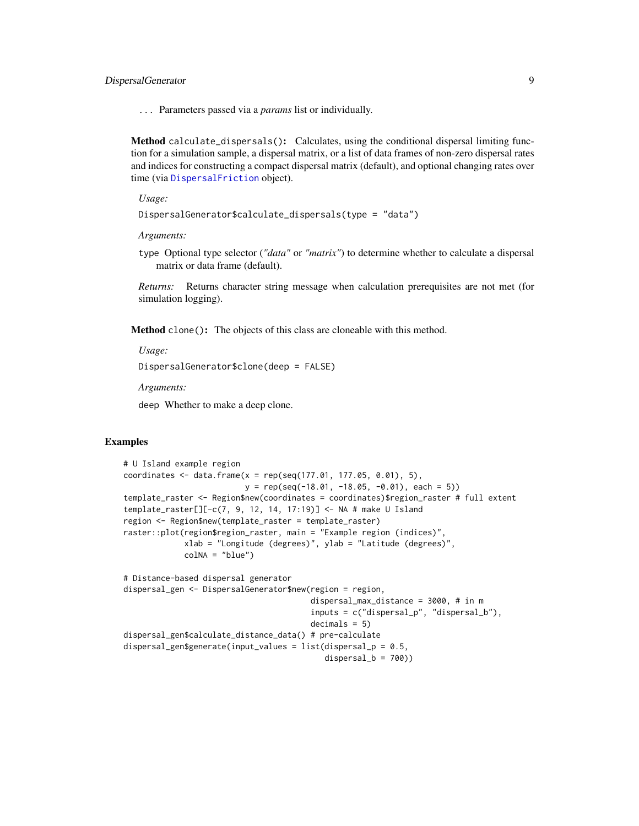# DispersalGenerator 9

... Parameters passed via a *params* list or individually.

<span id="page-8-0"></span>Method calculate\_dispersals(): Calculates, using the conditional dispersal limiting function for a simulation sample, a dispersal matrix, or a list of data frames of non-zero dispersal rates and indices for constructing a compact dispersal matrix (default), and optional changing rates over time (via [DispersalFriction](#page-2-1) object).

*Usage:*

```
DispersalGenerator$calculate_dispersals(type = "data")
```
*Arguments:*

type Optional type selector (*"data"* or *"matrix"*) to determine whether to calculate a dispersal matrix or data frame (default).

*Returns:* Returns character string message when calculation prerequisites are not met (for simulation logging).

Method clone(): The objects of this class are cloneable with this method.

*Usage:*

```
DispersalGenerator$clone(deep = FALSE)
```
*Arguments:*

deep Whether to make a deep clone.

# Examples

```
# U Island example region
coordinates \leq data.frame(x = rep(seq(177.01, 177.05, 0.01), 5),
                          y = rep(seq(-18.01, -18.05, -0.01), each = 5))
template_raster <- Region$new(coordinates = coordinates)$region_raster # full extent
template_raster[][-c(7, 9, 12, 14, 17:19)] <- NA # make U Island
region <- Region$new(template_raster = template_raster)
raster::plot(region$region_raster, main = "Example region (indices)",
             xlab = "Longitude (degrees)", ylab = "Latitude (degrees)",
             colNA = "blue")
# Distance-based dispersal generator
dispersal_gen <- DispersalGenerator$new(region = region,
                                        dispersal_max_distance = 3000, # in m
                                        inputs = c("dispersal_p", "dispersal_b"),
                                        decimals = 5)
dispersal_gen$calculate_distance_data() # pre-calculate
dispersal_gen$generate(input_values = list(dispersal_p = 0.5,
                                           dispersal_b = 700)
```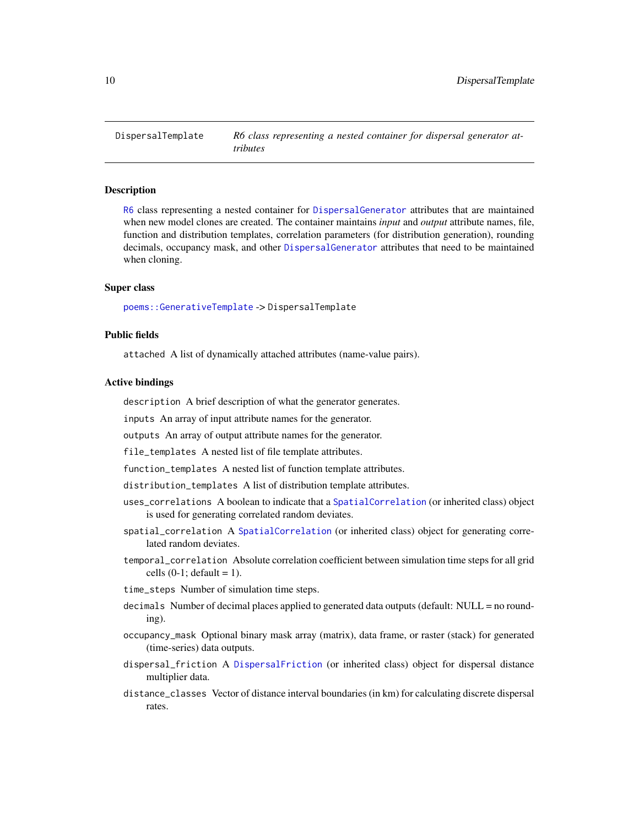<span id="page-9-1"></span><span id="page-9-0"></span>

## Description

[R6](#page-0-0) class representing a nested container for [DispersalGenerator](#page-4-1) attributes that are maintained when new model clones are created. The container maintains *input* and *output* attribute names, file, function and distribution templates, correlation parameters (for distribution generation), rounding decimals, occupancy mask, and other [DispersalGenerator](#page-4-1) attributes that need to be maintained when cloning.

# Super class

[poems::GenerativeTemplate](#page-0-0) -> DispersalTemplate

# Public fields

attached A list of dynamically attached attributes (name-value pairs).

#### Active bindings

description A brief description of what the generator generates.

inputs An array of input attribute names for the generator.

outputs An array of output attribute names for the generator.

file\_templates A nested list of file template attributes.

function\_templates A nested list of function template attributes.

distribution\_templates A list of distribution template attributes.

- uses\_correlations A boolean to indicate that a [SpatialCorrelation](#page-69-1) (or inherited class) object is used for generating correlated random deviates.
- spatial\_correlation A [SpatialCorrelation](#page-69-1) (or inherited class) object for generating correlated random deviates.
- temporal\_correlation Absolute correlation coefficient between simulation time steps for all grid cells  $(0-1;$  default = 1).
- time\_steps Number of simulation time steps.
- decimals Number of decimal places applied to generated data outputs (default: NULL = no rounding).
- occupancy\_mask Optional binary mask array (matrix), data frame, or raster (stack) for generated (time-series) data outputs.
- dispersal\_friction A [DispersalFriction](#page-2-1) (or inherited class) object for dispersal distance multiplier data.
- distance\_classes Vector of distance interval boundaries (in km) for calculating discrete dispersal rates.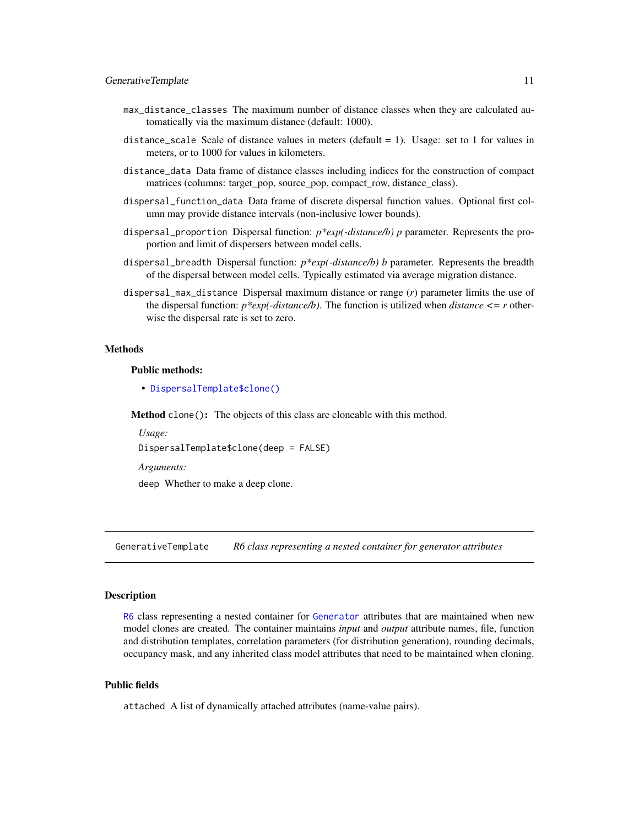- <span id="page-10-0"></span>max\_distance\_classes The maximum number of distance classes when they are calculated automatically via the maximum distance (default: 1000).
- distance\_scale Scale of distance values in meters (default  $= 1$ ). Usage: set to 1 for values in meters, or to 1000 for values in kilometers.
- distance\_data Data frame of distance classes including indices for the construction of compact matrices (columns: target\_pop, source\_pop, compact\_row, distance\_class).
- dispersal\_function\_data Data frame of discrete dispersal function values. Optional first column may provide distance intervals (non-inclusive lower bounds).
- dispersal\_proportion Dispersal function: *p\*exp(-distance/b) p* parameter. Represents the proportion and limit of dispersers between model cells.
- dispersal\_breadth Dispersal function: *p\*exp(-distance/b) b* parameter. Represents the breadth of the dispersal between model cells. Typically estimated via average migration distance.
- dispersal\_max\_distance Dispersal maximum distance or range (*r*) parameter limits the use of the dispersal function: *p\*exp(-distance/b)*. The function is utilized when *distance <= r* otherwise the dispersal rate is set to zero.

#### Methods

#### Public methods:

• [DispersalTemplate\\$clone\(\)](#page-3-1)

Method clone(): The objects of this class are cloneable with this method.

*Usage:* DispersalTemplate\$clone(deep = FALSE) *Arguments:*

deep Whether to make a deep clone.

<span id="page-10-1"></span>GenerativeTemplate *R6 class representing a nested container for generator attributes*

# Description

[R6](#page-0-0) class representing a nested container for [Generator](#page-12-1) attributes that are maintained when new model clones are created. The container maintains *input* and *output* attribute names, file, function and distribution templates, correlation parameters (for distribution generation), rounding decimals, occupancy mask, and any inherited class model attributes that need to be maintained when cloning.

# Public fields

attached A list of dynamically attached attributes (name-value pairs).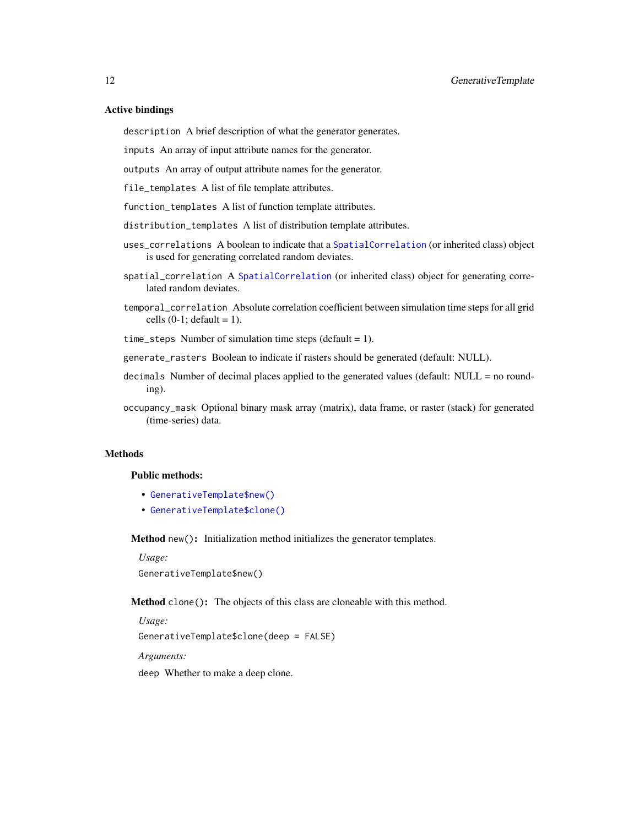# Active bindings

description A brief description of what the generator generates.

inputs An array of input attribute names for the generator.

outputs An array of output attribute names for the generator.

file\_templates A list of file template attributes.

function\_templates A list of function template attributes.

distribution\_templates A list of distribution template attributes.

- uses\_correlations A boolean to indicate that a [SpatialCorrelation](#page-69-1) (or inherited class) object is used for generating correlated random deviates.
- spatial\_correlation A [SpatialCorrelation](#page-69-1) (or inherited class) object for generating correlated random deviates.
- temporal\_correlation Absolute correlation coefficient between simulation time steps for all grid cells  $(0-1;$  default = 1).
- time\_steps Number of simulation time steps (default = 1).
- generate\_rasters Boolean to indicate if rasters should be generated (default: NULL).
- decimals Number of decimal places applied to the generated values (default: NULL = no rounding).
- occupancy\_mask Optional binary mask array (matrix), data frame, or raster (stack) for generated (time-series) data.

#### Methods

## Public methods:

- [GenerativeTemplate\\$new\(\)](#page-6-0)
- [GenerativeTemplate\\$clone\(\)](#page-3-1)

Method new(): Initialization method initializes the generator templates.

*Usage:* GenerativeTemplate\$new()

Method clone(): The objects of this class are cloneable with this method.

*Usage:* GenerativeTemplate\$clone(deep = FALSE) *Arguments:* deep Whether to make a deep clone.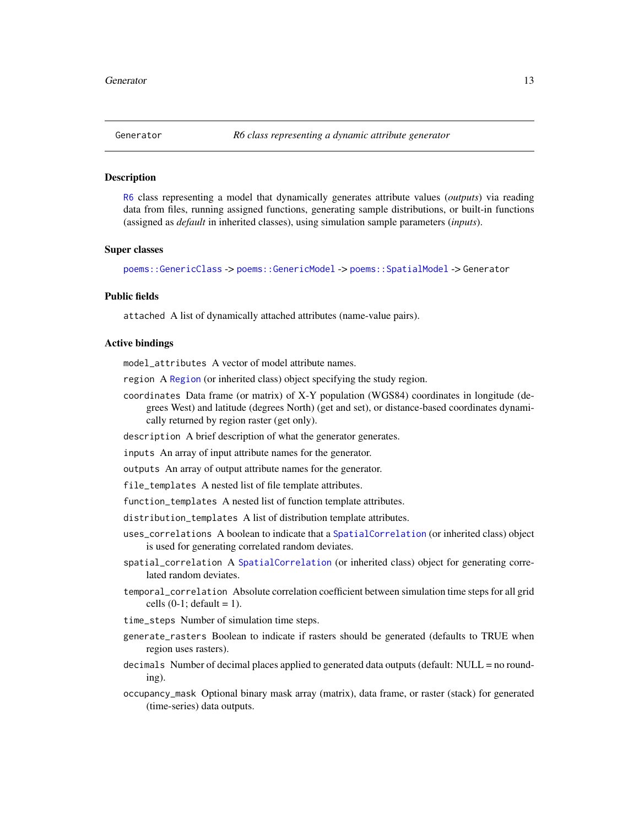<span id="page-12-1"></span><span id="page-12-0"></span>

# Description

[R6](#page-0-0) class representing a model that dynamically generates attribute values (*outputs*) via reading data from files, running assigned functions, generating sample distributions, or built-in functions (assigned as *default* in inherited classes), using simulation sample parameters (*inputs*).

#### Super classes

[poems::GenericClass](#page-0-0) -> [poems::GenericModel](#page-0-0) -> [poems::SpatialModel](#page-0-0) -> Generator

# Public fields

attached A list of dynamically attached attributes (name-value pairs).

#### Active bindings

model\_attributes A vector of model attribute names.

region A [Region](#page-53-1) (or inherited class) object specifying the study region.

- coordinates Data frame (or matrix) of X-Y population (WGS84) coordinates in longitude (degrees West) and latitude (degrees North) (get and set), or distance-based coordinates dynamically returned by region raster (get only).
- description A brief description of what the generator generates.

inputs An array of input attribute names for the generator.

outputs An array of output attribute names for the generator.

file\_templates A nested list of file template attributes.

function\_templates A nested list of function template attributes.

- distribution\_templates A list of distribution template attributes.
- uses\_correlations A boolean to indicate that a [SpatialCorrelation](#page-69-1) (or inherited class) object is used for generating correlated random deviates.
- spatial\_correlation A [SpatialCorrelation](#page-69-1) (or inherited class) object for generating correlated random deviates.
- temporal\_correlation Absolute correlation coefficient between simulation time steps for all grid cells  $(0-1;$  default = 1).
- time\_steps Number of simulation time steps.
- generate\_rasters Boolean to indicate if rasters should be generated (defaults to TRUE when region uses rasters).
- decimals Number of decimal places applied to generated data outputs (default: NULL = no rounding).
- occupancy\_mask Optional binary mask array (matrix), data frame, or raster (stack) for generated (time-series) data outputs.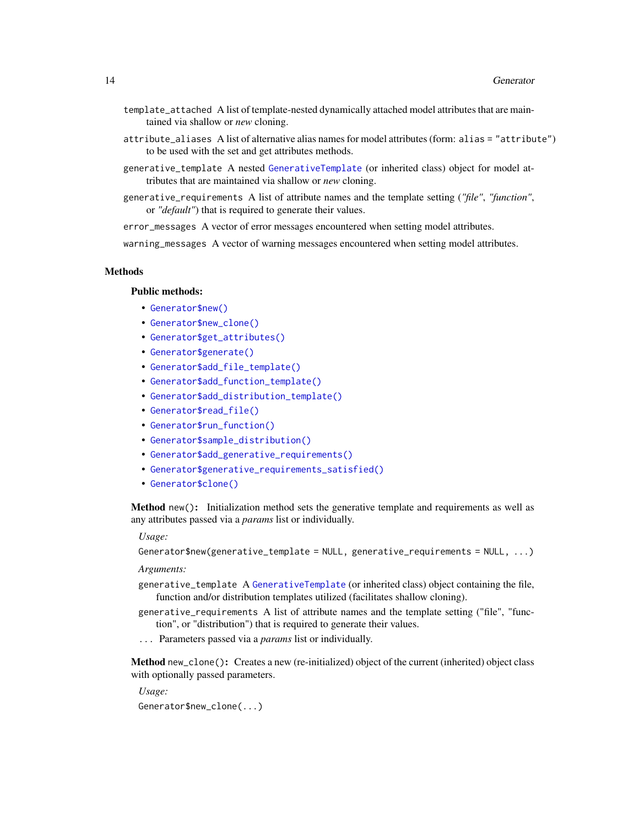- template\_attached A list of template-nested dynamically attached model attributes that are maintained via shallow or *new* cloning.
- attribute\_aliases A list of alternative alias names for model attributes (form: alias = "attribute") to be used with the set and get attributes methods.
- generative\_template A nested [GenerativeTemplate](#page-10-1) (or inherited class) object for model attributes that are maintained via shallow or *new* cloning.
- generative\_requirements A list of attribute names and the template setting (*"file"*, *"function"*, or *"default"*) that is required to generate their values.

error\_messages A vector of error messages encountered when setting model attributes.

warning\_messages A vector of warning messages encountered when setting model attributes.

#### Methods

#### Public methods:

- [Generator\\$new\(\)](#page-6-0)
- [Generator\\$new\\_clone\(\)](#page-13-0)
- [Generator\\$get\\_attributes\(\)](#page-14-0)
- [Generator\\$generate\(\)](#page-14-1)
- [Generator\\$add\\_file\\_template\(\)](#page-14-2)
- [Generator\\$add\\_function\\_template\(\)](#page-14-3)
- [Generator\\$add\\_distribution\\_template\(\)](#page-15-0)
- [Generator\\$read\\_file\(\)](#page-15-1)
- [Generator\\$run\\_function\(\)](#page-15-2)
- [Generator\\$sample\\_distribution\(\)](#page-16-0)
- [Generator\\$add\\_generative\\_requirements\(\)](#page-16-1)
- [Generator\\$generative\\_requirements\\_satisfied\(\)](#page-7-0)
- [Generator\\$clone\(\)](#page-3-1)

Method new(): Initialization method sets the generative template and requirements as well as any attributes passed via a *params* list or individually.

#### *Usage:*

Generator\$new(generative\_template = NULL, generative\_requirements = NULL, ...)

*Arguments:*

- generative\_template A [GenerativeTemplate](#page-10-1) (or inherited class) object containing the file, function and/or distribution templates utilized (facilitates shallow cloning).
- generative\_requirements A list of attribute names and the template setting ("file", "function", or "distribution") that is required to generate their values.
- ... Parameters passed via a *params* list or individually.

<span id="page-13-0"></span>Method new\_clone(): Creates a new (re-initialized) object of the current (inherited) object class with optionally passed parameters.

*Usage:*

Generator\$new\_clone(...)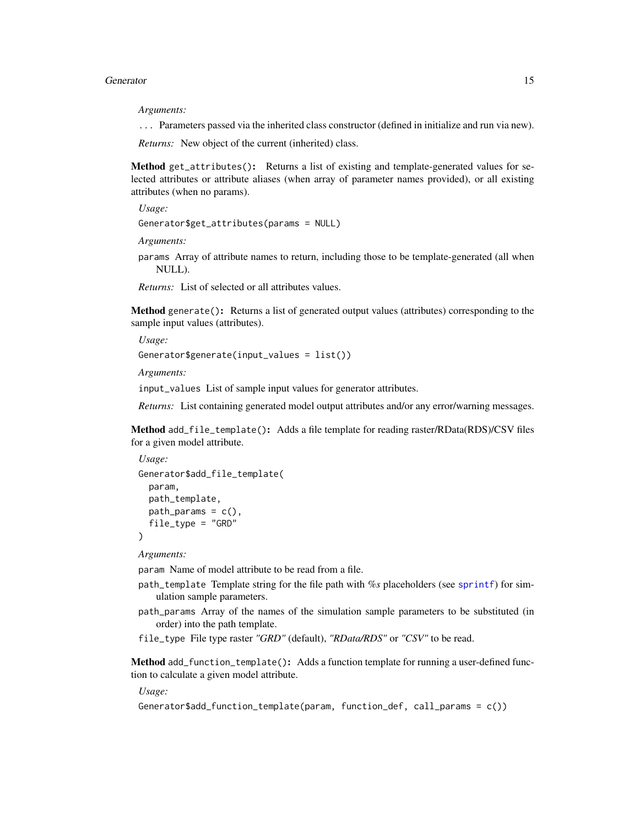#### Generator 15

*Arguments:*

... Parameters passed via the inherited class constructor (defined in initialize and run via new).

*Returns:* New object of the current (inherited) class.

<span id="page-14-0"></span>Method get\_attributes(): Returns a list of existing and template-generated values for selected attributes or attribute aliases (when array of parameter names provided), or all existing attributes (when no params).

*Usage:*

Generator\$get\_attributes(params = NULL)

*Arguments:*

params Array of attribute names to return, including those to be template-generated (all when NULL).

*Returns:* List of selected or all attributes values.

<span id="page-14-1"></span>Method generate(): Returns a list of generated output values (attributes) corresponding to the sample input values (attributes).

*Usage:*

Generator\$generate(input\_values = list())

*Arguments:*

input\_values List of sample input values for generator attributes.

*Returns:* List containing generated model output attributes and/or any error/warning messages.

<span id="page-14-2"></span>Method add\_file\_template(): Adds a file template for reading raster/RData(RDS)/CSV files for a given model attribute.

*Usage:* Generator\$add\_file\_template( param, path\_template,  $path\_params = c()$ , file\_type = "GRD" )

*Arguments:*

param Name of model attribute to be read from a file.

- path\_template Template string for the file path with *%s* placeholders (see [sprintf](#page-0-0)) for simulation sample parameters.
- path\_params Array of the names of the simulation sample parameters to be substituted (in order) into the path template.
- file\_type File type raster *"GRD"* (default), *"RData/RDS"* or *"CSV"* to be read.

<span id="page-14-3"></span>Method add\_function\_template(): Adds a function template for running a user-defined function to calculate a given model attribute.

*Usage:*

```
Generator$add_function_template(param, function_def, call_params = c())
```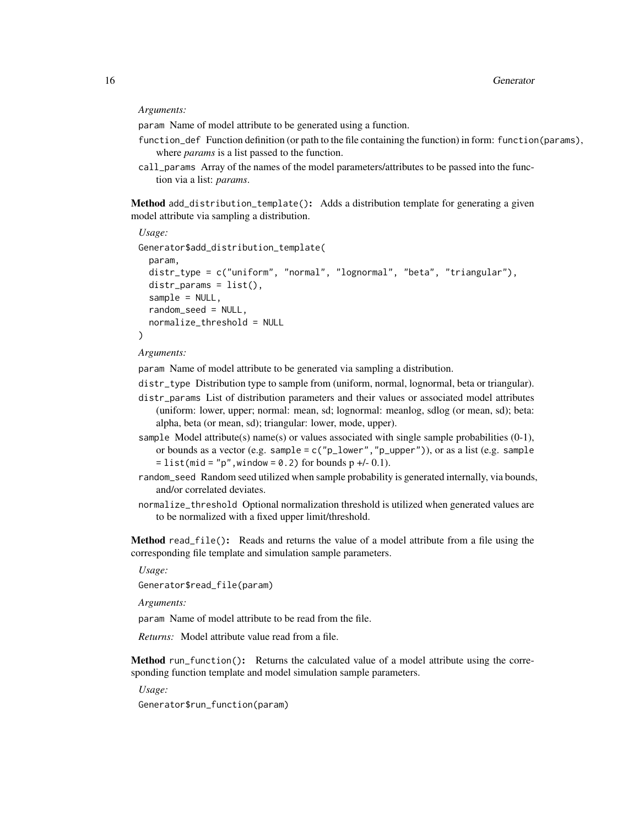## *Arguments:*

param Name of model attribute to be generated using a function.

- function\_def Function definition (or path to the file containing the function) in form: function(params), where *params* is a list passed to the function.
- call\_params Array of the names of the model parameters/attributes to be passed into the function via a list: *params*.

<span id="page-15-0"></span>Method add\_distribution\_template(): Adds a distribution template for generating a given model attribute via sampling a distribution.

```
Usage:
Generator$add_distribution_template(
 param,
 distr_type = c("uniform", "normal", "lognormal", "beta", "triangular"),
 distr_params = list(),
  sample = NULL,
  random_seed = NULL,
  normalize_threshold = NULL
)
```
#### *Arguments:*

param Name of model attribute to be generated via sampling a distribution.

- distr\_type Distribution type to sample from (uniform, normal, lognormal, beta or triangular).
- distr\_params List of distribution parameters and their values or associated model attributes (uniform: lower, upper; normal: mean, sd; lognormal: meanlog, sdlog (or mean, sd); beta: alpha, beta (or mean, sd); triangular: lower, mode, upper).
- sample Model attribute(s) name(s) or values associated with single sample probabilities  $(0-1)$ , or bounds as a vector (e.g. sample =  $c("p\_lower", "p\_upper"))$ , or as a list (e.g. sample  $=$  list(mid = "p", window = 0.2) for bounds p +/- 0.1).
- random\_seed Random seed utilized when sample probability is generated internally, via bounds, and/or correlated deviates.
- normalize\_threshold Optional normalization threshold is utilized when generated values are to be normalized with a fixed upper limit/threshold.

<span id="page-15-1"></span>Method read\_file(): Reads and returns the value of a model attribute from a file using the corresponding file template and simulation sample parameters.

*Usage:*

Generator\$read\_file(param)

*Arguments:*

param Name of model attribute to be read from the file.

*Returns:* Model attribute value read from a file.

<span id="page-15-2"></span>Method run\_function(): Returns the calculated value of a model attribute using the corresponding function template and model simulation sample parameters.

*Usage:*

Generator\$run\_function(param)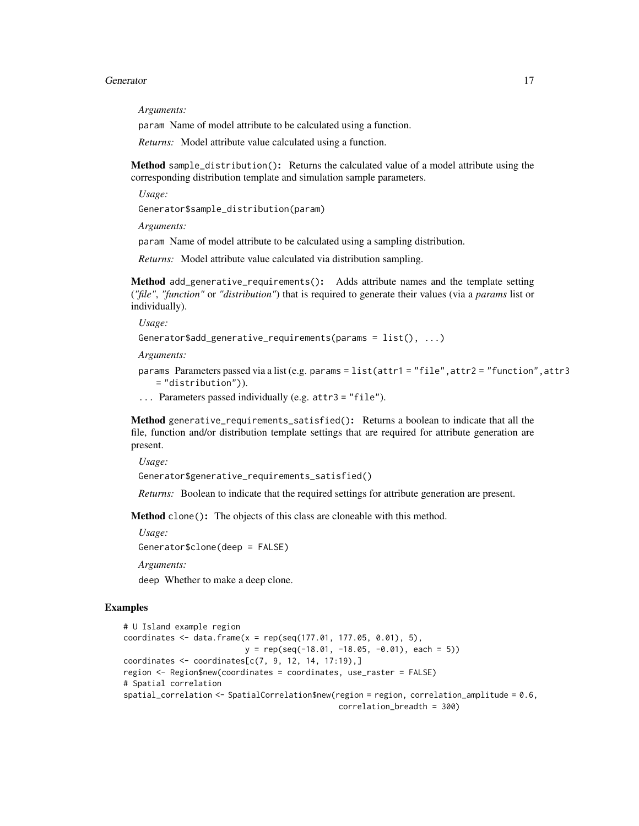#### Generator 17

*Arguments:*

param Name of model attribute to be calculated using a function.

*Returns:* Model attribute value calculated using a function.

<span id="page-16-0"></span>Method sample\_distribution(): Returns the calculated value of a model attribute using the corresponding distribution template and simulation sample parameters.

*Usage:*

Generator\$sample\_distribution(param)

*Arguments:*

param Name of model attribute to be calculated using a sampling distribution.

*Returns:* Model attribute value calculated via distribution sampling.

<span id="page-16-1"></span>Method add\_generative\_requirements(): Adds attribute names and the template setting (*"file"*, *"function"* or *"distribution"*) that is required to generate their values (via a *params* list or individually).

*Usage:*

```
Generator$add_generative_requirements(params = list(), ...)
```
*Arguments:*

params Parameters passed via a list (e.g. params = list(attr1 = "file",attr2 = "function",attr3 = "distribution")).

... Parameters passed individually (e.g. attr3 = "file").

Method generative\_requirements\_satisfied(): Returns a boolean to indicate that all the file, function and/or distribution template settings that are required for attribute generation are present.

*Usage:*

```
Generator$generative_requirements_satisfied()
```
*Returns:* Boolean to indicate that the required settings for attribute generation are present.

Method clone(): The objects of this class are cloneable with this method.

*Usage:*

```
Generator$clone(deep = FALSE)
```
*Arguments:*

deep Whether to make a deep clone.

# Examples

```
# U Island example region
coordinates \leq data.frame(x = rep(seq(177.01, 177.05, 0.01), 5),
                          y = rep(seq(-18.01, -18.05, -0.01), each = 5)coordinates \leq coordinates[c(7, 9, 12, 14, 17:19),]
region <- Region$new(coordinates = coordinates, use_raster = FALSE)
# Spatial correlation
spatial_correlation <- SpatialCorrelation$new(region = region, correlation_amplitude = 0.6,
                                              correlation_breadth = 300)
```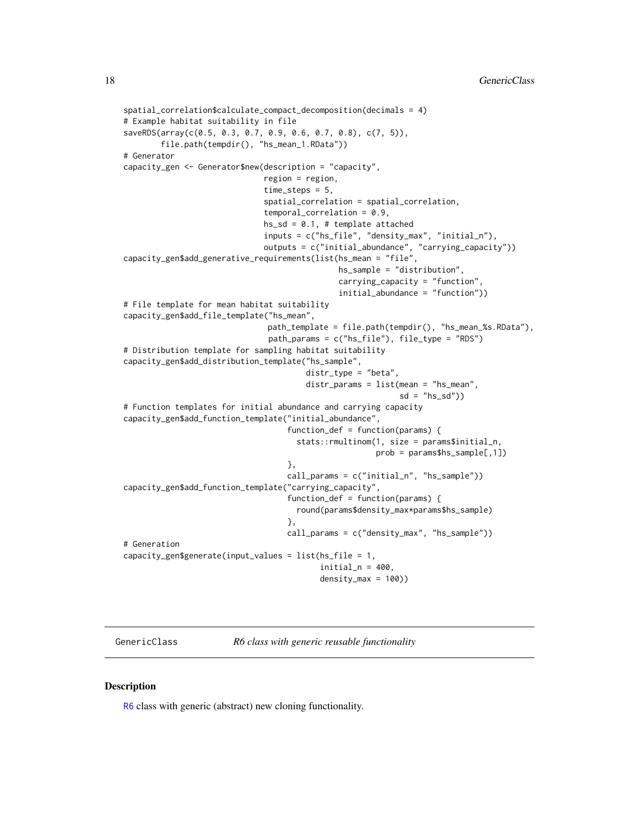```
spatial_correlation$calculate_compact_decomposition(decimals = 4)
# Example habitat suitability in file
saveRDS(array(c(0.5, 0.3, 0.7, 0.9, 0.6, 0.7, 0.8), c(7, 5)),
       file.path(tempdir(), "hs_mean_1.RData"))
# Generator
capacity_gen <- Generator$new(description = "capacity",
                              region = region,
                              time_steps = 5,
                              spatial_correlation = spatial_correlation,
                              temporal_correlation = 0.9,
                              hs\_sd = 0.1, # template attached
                              inputs = c("hs_file", "density_max", "initial_n"),
                              outputs = c("initial_abundance", "carrying_capacity"))
capacity_gen$add_generative_requirements(list(hs_mean = "file",
                                              hs_sample = "distribution",
                                              carrying_capacity = "function",
                                              initial_abundance = "function"))
# File template for mean habitat suitability
capacity_gen$add_file_template("hs_mean",
                              path_template = file.path(tempdir(), "hs_mean_%s.RData"),
                               path_params = c("hs_file"), file_type = "RDS")
# Distribution template for sampling habitat suitability
capacity_gen$add_distribution_template("hs_sample",
                                       distr_type = "beta",
                                       distr_params = list(mean = "hs_mean",
                                                           sd = "hs_s d")# Function templates for initial abundance and carrying capacity
capacity_gen$add_function_template("initial_abundance",
                                   function_def = function(params) {
                                     stats::rmultinom(1, size = params$initial_n,
                                                      prob = params$hs_sample[,1])
                                   },
                                   call_params = c("initial_n", "hs_sample"))
capacity_gen$add_function_template("carrying_capacity",
                                   function_def = function(params) {
                                     round(params$density_max*params$hs_sample)
                                   },
                                   call_params = c("density_max", "hs_sample"))
# Generation
capacity_gen$generate(input_values = list(hs_file = 1,
                                          initial_n = 400,density_max = 100)
```
GenericClass *R6 class with generic reusable functionality*

# **Description**

[R6](#page-0-0) class with generic (abstract) new cloning functionality.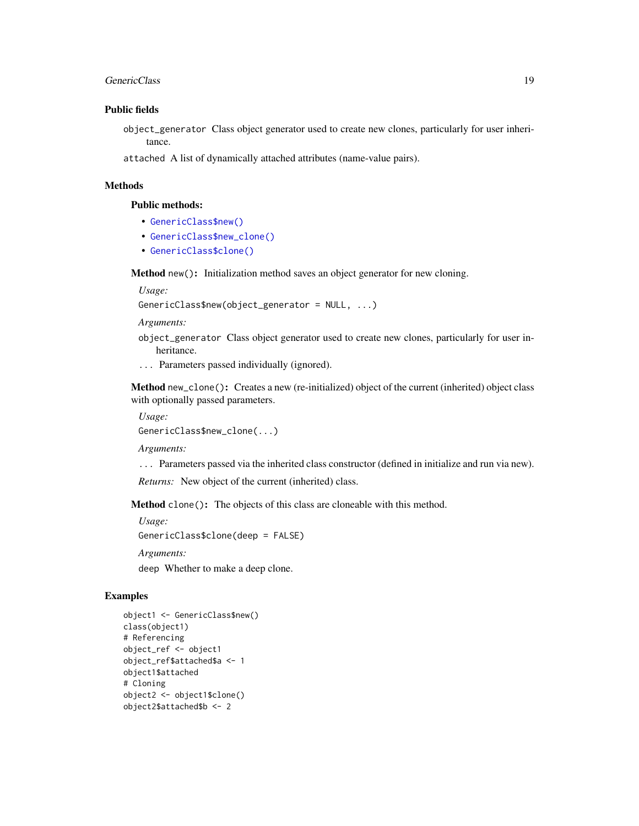#### GenericClass 19

# Public fields

object\_generator Class object generator used to create new clones, particularly for user inheritance.

attached A list of dynamically attached attributes (name-value pairs).

# Methods

# Public methods:

- [GenericClass\\$new\(\)](#page-6-0)
- [GenericClass\\$new\\_clone\(\)](#page-13-0)
- [GenericClass\\$clone\(\)](#page-3-1)

Method new(): Initialization method saves an object generator for new cloning.

*Usage:*

GenericClass\$new(object\_generator = NULL, ...)

*Arguments:*

- object\_generator Class object generator used to create new clones, particularly for user inheritance.
- ... Parameters passed individually (ignored).

Method new\_clone(): Creates a new (re-initialized) object of the current (inherited) object class with optionally passed parameters.

*Usage:* GenericClass\$new\_clone(...)

*Arguments:*

... Parameters passed via the inherited class constructor (defined in initialize and run via new).

*Returns:* New object of the current (inherited) class.

Method clone(): The objects of this class are cloneable with this method.

```
Usage:
GenericClass$clone(deep = FALSE)
Arguments:
deep Whether to make a deep clone.
```
# Examples

```
object1 <- GenericClass$new()
class(object1)
# Referencing
object_ref <- object1
object_ref$attached$a <- 1
object1$attached
# Cloning
object2 <- object1$clone()
object2$attached$b <- 2
```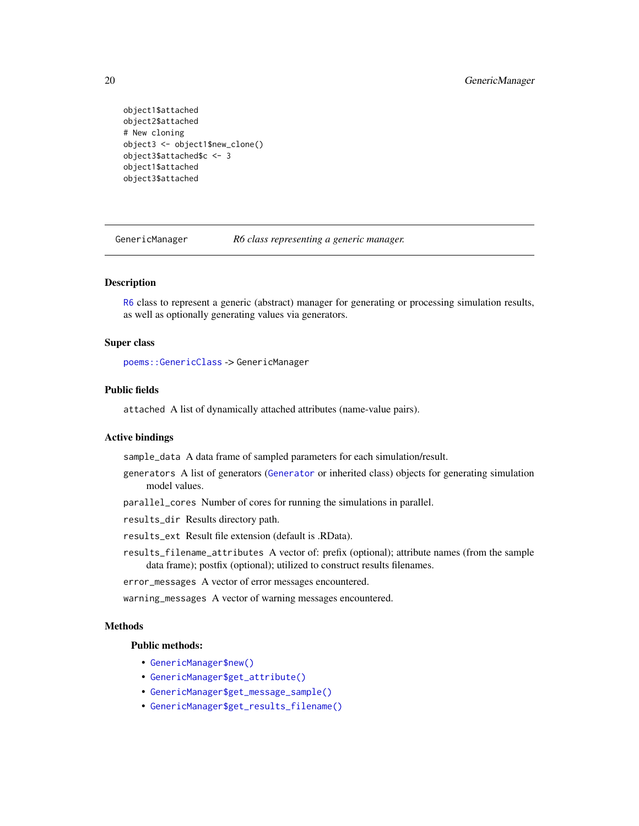```
object1$attached
object2$attached
# New cloning
object3 <- object1$new_clone()
object3$attached$c <- 3
object1$attached
object3$attached
```
GenericManager *R6 class representing a generic manager.*

#### **Description**

[R6](#page-0-0) class to represent a generic (abstract) manager for generating or processing simulation results, as well as optionally generating values via generators.

# Super class

[poems::GenericClass](#page-0-0) -> GenericManager

# Public fields

attached A list of dynamically attached attributes (name-value pairs).

# Active bindings

sample\_data A data frame of sampled parameters for each simulation/result.

- generators A list of generators ([Generator](#page-12-1) or inherited class) objects for generating simulation model values.
- parallel\_cores Number of cores for running the simulations in parallel.
- results\_dir Results directory path.
- results\_ext Result file extension (default is .RData).
- results\_filename\_attributes A vector of: prefix (optional); attribute names (from the sample data frame); postfix (optional); utilized to construct results filenames.
- error\_messages A vector of error messages encountered.
- warning\_messages A vector of warning messages encountered.

# **Methods**

# Public methods:

- [GenericManager\\$new\(\)](#page-6-0)
- [GenericManager\\$get\\_attribute\(\)](#page-20-0)
- [GenericManager\\$get\\_message\\_sample\(\)](#page-20-1)
- [GenericManager\\$get\\_results\\_filename\(\)](#page-20-2)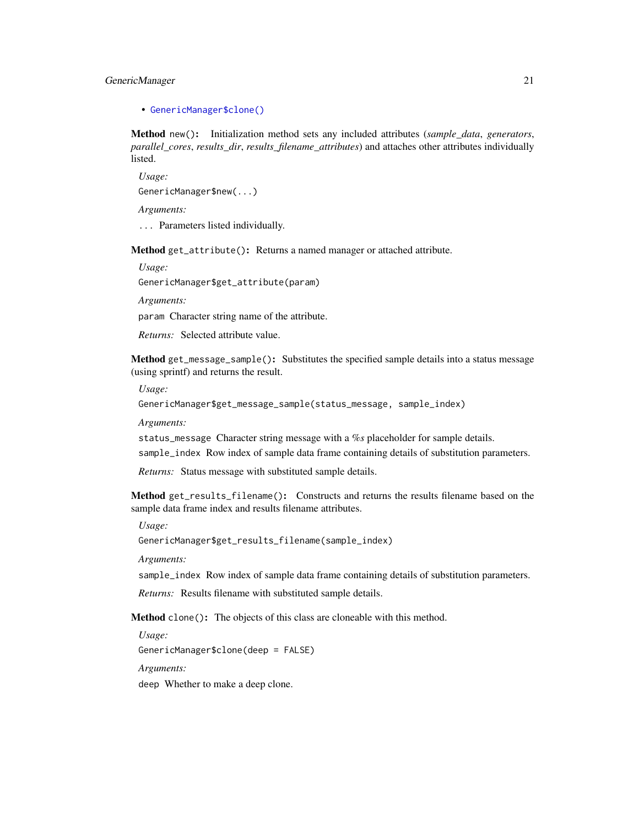# GenericManager 21

• [GenericManager\\$clone\(\)](#page-3-1)

Method new(): Initialization method sets any included attributes (*sample\_data*, *generators*, *parallel\_cores*, *results\_dir*, *results\_filename\_attributes*) and attaches other attributes individually listed.

*Usage:*

GenericManager\$new(...)

*Arguments:*

... Parameters listed individually.

<span id="page-20-0"></span>Method get\_attribute(): Returns a named manager or attached attribute.

*Usage:*

GenericManager\$get\_attribute(param)

*Arguments:*

param Character string name of the attribute.

*Returns:* Selected attribute value.

<span id="page-20-1"></span>Method get\_message\_sample(): Substitutes the specified sample details into a status message (using sprintf) and returns the result.

*Usage:*

GenericManager\$get\_message\_sample(status\_message, sample\_index)

*Arguments:*

status\_message Character string message with a *%s* placeholder for sample details. sample\_index Row index of sample data frame containing details of substitution parameters.

*Returns:* Status message with substituted sample details.

<span id="page-20-2"></span>Method get\_results\_filename(): Constructs and returns the results filename based on the sample data frame index and results filename attributes.

*Usage:*

GenericManager\$get\_results\_filename(sample\_index)

*Arguments:*

sample\_index Row index of sample data frame containing details of substitution parameters.

*Returns:* Results filename with substituted sample details.

Method clone(): The objects of this class are cloneable with this method.

*Usage:*

GenericManager\$clone(deep = FALSE)

*Arguments:*

deep Whether to make a deep clone.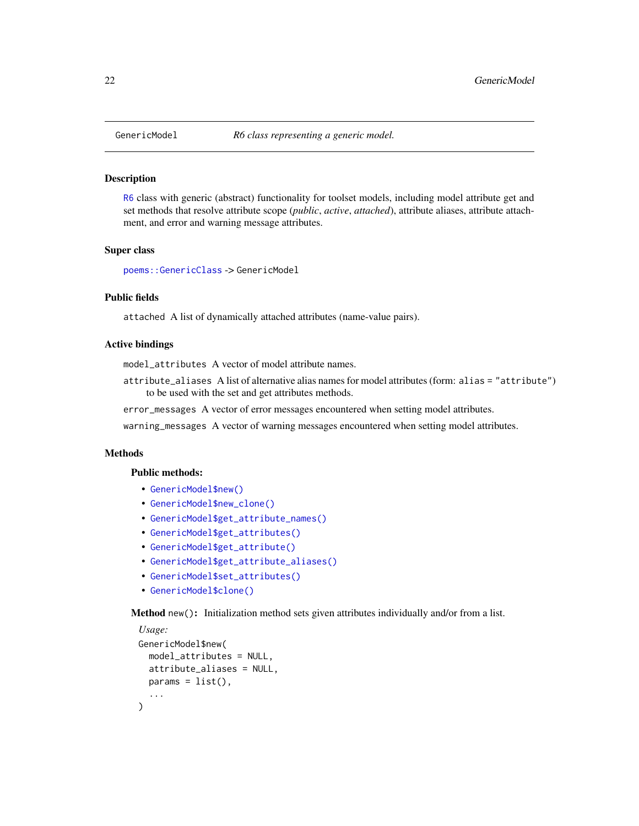## Description

[R6](#page-0-0) class with generic (abstract) functionality for toolset models, including model attribute get and set methods that resolve attribute scope (*public*, *active*, *attached*), attribute aliases, attribute attachment, and error and warning message attributes.

#### Super class

[poems::GenericClass](#page-0-0) -> GenericModel

# Public fields

attached A list of dynamically attached attributes (name-value pairs).

# Active bindings

model\_attributes A vector of model attribute names.

attribute\_aliases A list of alternative alias names for model attributes (form: alias = "attribute") to be used with the set and get attributes methods.

error\_messages A vector of error messages encountered when setting model attributes.

warning\_messages A vector of warning messages encountered when setting model attributes.

# Methods

#### Public methods:

- [GenericModel\\$new\(\)](#page-6-0)
- [GenericModel\\$new\\_clone\(\)](#page-13-0)
- [GenericModel\\$get\\_attribute\\_names\(\)](#page-22-0)
- [GenericModel\\$get\\_attributes\(\)](#page-14-0)
- [GenericModel\\$get\\_attribute\(\)](#page-20-0)
- [GenericModel\\$get\\_attribute\\_aliases\(\)](#page-22-1)
- [GenericModel\\$set\\_attributes\(\)](#page-23-1)
- [GenericModel\\$clone\(\)](#page-3-1)

Method new(): Initialization method sets given attributes individually and/or from a list.

```
Usage:
GenericModel$new(
 model_attributes = NULL,
 attribute_aliases = NULL,
 params = list(),...
)
```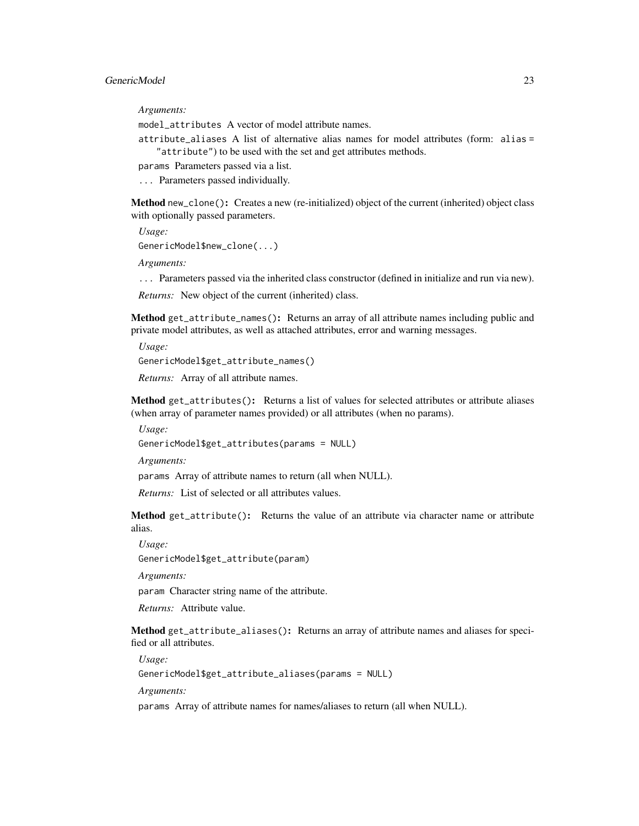# GenericModel 23

*Arguments:*

model\_attributes A vector of model attribute names.

attribute\_aliases A list of alternative alias names for model attributes (form: alias = "attribute") to be used with the set and get attributes methods.

params Parameters passed via a list.

... Parameters passed individually.

Method new\_clone(): Creates a new (re-initialized) object of the current (inherited) object class with optionally passed parameters.

*Usage:*

GenericModel\$new\_clone(...)

*Arguments:*

... Parameters passed via the inherited class constructor (defined in initialize and run via new).

*Returns:* New object of the current (inherited) class.

<span id="page-22-0"></span>Method get\_attribute\_names(): Returns an array of all attribute names including public and private model attributes, as well as attached attributes, error and warning messages.

*Usage:*

GenericModel\$get\_attribute\_names()

*Returns:* Array of all attribute names.

Method get\_attributes(): Returns a list of values for selected attributes or attribute aliases (when array of parameter names provided) or all attributes (when no params).

*Usage:*

GenericModel\$get\_attributes(params = NULL)

*Arguments:*

params Array of attribute names to return (all when NULL).

*Returns:* List of selected or all attributes values.

Method get\_attribute(): Returns the value of an attribute via character name or attribute alias.

*Usage:*

GenericModel\$get\_attribute(param)

*Arguments:*

param Character string name of the attribute.

*Returns:* Attribute value.

<span id="page-22-1"></span>Method get\_attribute\_aliases(): Returns an array of attribute names and aliases for specified or all attributes.

*Usage:*

GenericModel\$get\_attribute\_aliases(params = NULL)

*Arguments:*

params Array of attribute names for names/aliases to return (all when NULL).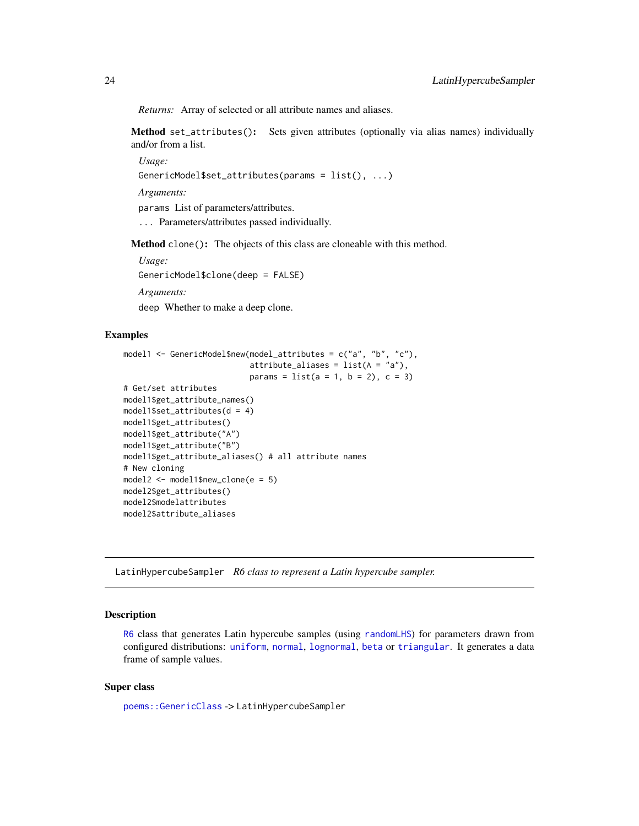<span id="page-23-0"></span>*Returns:* Array of selected or all attribute names and aliases.

<span id="page-23-1"></span>Method set\_attributes(): Sets given attributes (optionally via alias names) individually and/or from a list.

*Usage:*

```
GenericModel$set_attributes(params = list(), ...)
```
*Arguments:*

params List of parameters/attributes.

... Parameters/attributes passed individually.

Method clone(): The objects of this class are cloneable with this method.

*Usage:* GenericModel\$clone(deep = FALSE) *Arguments:*

deep Whether to make a deep clone.

# Examples

```
model1 <- GenericModel$new(model_attributes = c("a", "b", "c"),
                            \text{attribute}\_\text{aliases} = \text{list}(A = "a"),params = list(a = 1, b = 2), c = 3)# Get/set attributes
model1$get_attribute_names()
model1$set_attributes(d = 4)
model1$get_attributes()
model1$get_attribute("A")
model1$get_attribute("B")
model1$get_attribute_aliases() # all attribute names
# New cloning
model2 <- model1$new_clone(e = 5)
model2$get_attributes()
model2$modelattributes
model2$attribute_aliases
```
<span id="page-23-2"></span>LatinHypercubeSampler *R6 class to represent a Latin hypercube sampler.*

# Description

[R6](#page-0-0) class that generates Latin hypercube samples (using [randomLHS](#page-0-0)) for parameters drawn from configured distributions: [uniform](#page-0-0), [normal](#page-0-0), [lognormal](#page-0-0), [beta](#page-0-0) or [triangular](#page-0-0). It generates a data frame of sample values.

# Super class

[poems::GenericClass](#page-0-0) -> LatinHypercubeSampler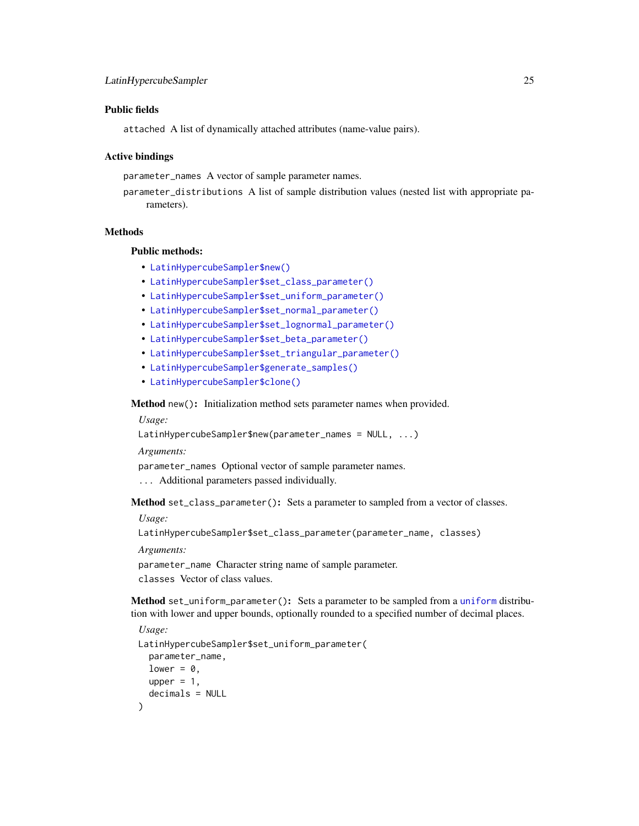# Public fields

attached A list of dynamically attached attributes (name-value pairs).

# Active bindings

parameter\_names A vector of sample parameter names.

parameter\_distributions A list of sample distribution values (nested list with appropriate parameters).

# **Methods**

# Public methods:

- [LatinHypercubeSampler\\$new\(\)](#page-6-0)
- [LatinHypercubeSampler\\$set\\_class\\_parameter\(\)](#page-24-0)
- [LatinHypercubeSampler\\$set\\_uniform\\_parameter\(\)](#page-24-1)
- [LatinHypercubeSampler\\$set\\_normal\\_parameter\(\)](#page-25-0)
- [LatinHypercubeSampler\\$set\\_lognormal\\_parameter\(\)](#page-25-1)
- [LatinHypercubeSampler\\$set\\_beta\\_parameter\(\)](#page-25-2)
- [LatinHypercubeSampler\\$set\\_triangular\\_parameter\(\)](#page-26-0)
- [LatinHypercubeSampler\\$generate\\_samples\(\)](#page-26-1)
- [LatinHypercubeSampler\\$clone\(\)](#page-3-1)

Method new(): Initialization method sets parameter names when provided.

*Usage:*

LatinHypercubeSampler\$new(parameter\_names = NULL, ...)

*Arguments:*

parameter\_names Optional vector of sample parameter names.

... Additional parameters passed individually.

<span id="page-24-0"></span>Method set\_class\_parameter(): Sets a parameter to sampled from a vector of classes.

*Usage:*

LatinHypercubeSampler\$set\_class\_parameter(parameter\_name, classes)

*Arguments:*

parameter\_name Character string name of sample parameter. classes Vector of class values.

<span id="page-24-1"></span>Method set\_uniform\_parameter(): Sets a parameter to be sampled from a [uniform](#page-0-0) distribution with lower and upper bounds, optionally rounded to a specified number of decimal places.

```
Usage:
LatinHypercubeSampler$set_uniform_parameter(
 parameter_name,
 lower = 0,upper = 1,
  decimals = NULL
)
```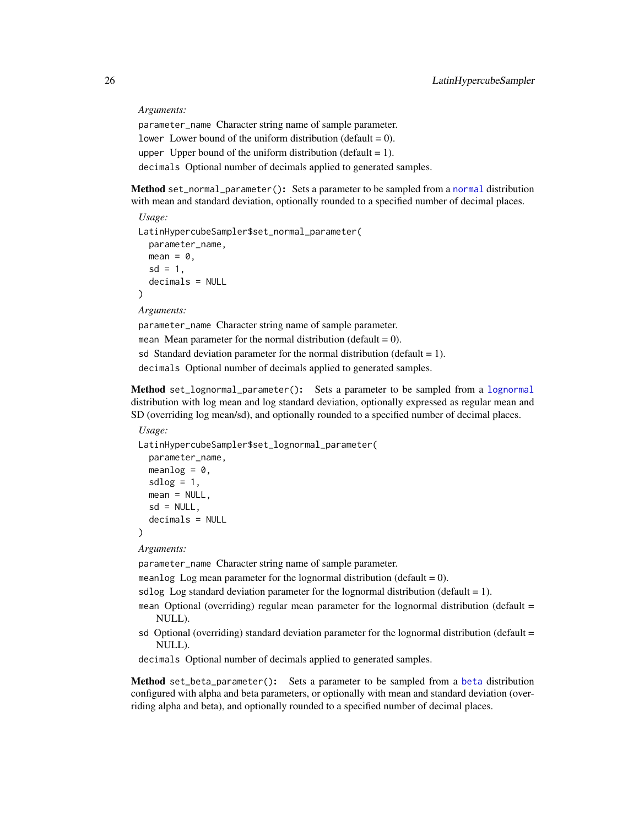*Arguments:*

parameter\_name Character string name of sample parameter. lower Lower bound of the uniform distribution (default  $= 0$ ). upper Upper bound of the uniform distribution (default  $= 1$ ). decimals Optional number of decimals applied to generated samples.

<span id="page-25-0"></span>Method set\_normal\_parameter(): Sets a parameter to be sampled from a [normal](#page-0-0) distribution with mean and standard deviation, optionally rounded to a specified number of decimal places.

```
Usage:
LatinHypercubeSampler$set_normal_parameter(
  parameter_name,
  mean = 0,
  sd = 1,
  decimals = NULL
)
Arguments:
```
parameter\_name Character string name of sample parameter. mean Mean parameter for the normal distribution (default  $= 0$ ). sd Standard deviation parameter for the normal distribution (default  $= 1$ ). decimals Optional number of decimals applied to generated samples.

<span id="page-25-1"></span>Method set\_lognormal\_parameter(): Sets a parameter to be sampled from a [lognormal](#page-0-0) distribution with log mean and log standard deviation, optionally expressed as regular mean and SD (overriding log mean/sd), and optionally rounded to a specified number of decimal places.

```
Usage:
LatinHypercubeSampler$set_lognormal_parameter(
 parameter_name,
 meanlog = 0,
 sdlog = 1,
 mean = NULL,sd = NULL,decimals = NULL
\lambda
```
*Arguments:*

parameter\_name Character string name of sample parameter.

meanlog Log mean parameter for the lognormal distribution (default  $= 0$ ).

sdlog Log standard deviation parameter for the lognormal distribution (default  $= 1$ ).

mean Optional (overriding) regular mean parameter for the lognormal distribution (default = NULL).

- sd Optional (overriding) standard deviation parameter for the lognormal distribution (default  $=$ NULL).
- decimals Optional number of decimals applied to generated samples.

<span id="page-25-2"></span>Method set\_beta\_parameter(): Sets a parameter to be sampled from a [beta](#page-0-0) distribution configured with alpha and beta parameters, or optionally with mean and standard deviation (overriding alpha and beta), and optionally rounded to a specified number of decimal places.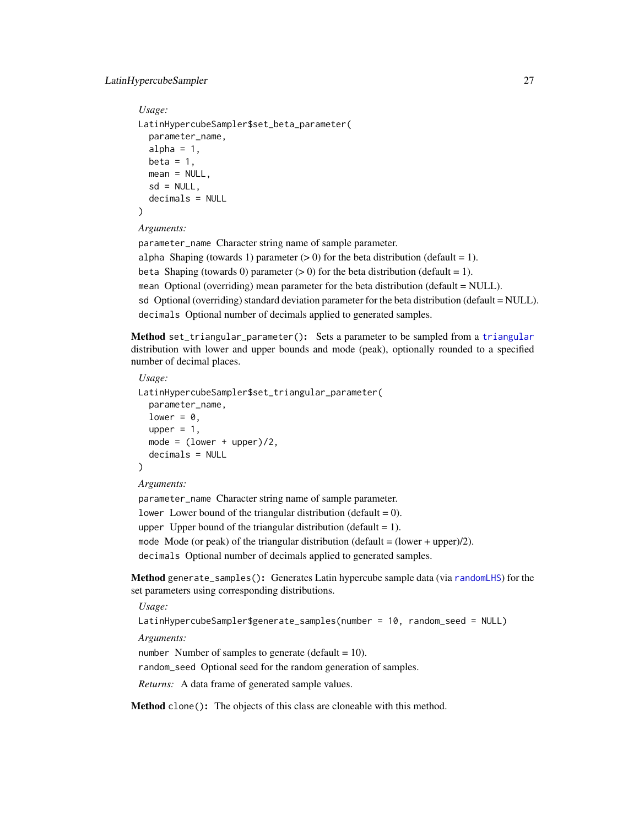# LatinHypercubeSampler 27

```
Usage:
LatinHypercubeSampler$set_beta_parameter(
 parameter_name,
  alpha = 1,
 beta = 1,
 mean = NULL,
  sd = NULL,
  decimals = NULL
)
```
# *Arguments:*

parameter\_name Character string name of sample parameter.

alpha Shaping (towards 1) parameter  $(> 0)$  for the beta distribution (default = 1). beta Shaping (towards 0) parameter  $(> 0)$  for the beta distribution (default = 1). mean Optional (overriding) mean parameter for the beta distribution (default = NULL). sd Optional (overriding) standard deviation parameter for the beta distribution (default = NULL). decimals Optional number of decimals applied to generated samples.

<span id="page-26-0"></span>Method set\_triangular\_parameter(): Sets a parameter to be sampled from a [triangular](#page-0-0) distribution with lower and upper bounds and mode (peak), optionally rounded to a specified number of decimal places.

```
Usage:
LatinHypercubeSampler$set_triangular_parameter(
  parameter_name,
  lower = 0,
  upper = 1,
  mode = (lower + upper)/2,
  decimals = NULL
)
```
#### *Arguments:*

parameter\_name Character string name of sample parameter. lower Lower bound of the triangular distribution (default  $= 0$ ). upper Upper bound of the triangular distribution (default  $= 1$ ). mode Mode (or peak) of the triangular distribution (default  $=$  (lower + upper)/2). decimals Optional number of decimals applied to generated samples.

<span id="page-26-1"></span>Method generate\_samples(): Generates Latin hypercube sample data (via [randomLHS](#page-0-0)) for the set parameters using corresponding distributions.

*Usage:*

```
LatinHypercubeSampler$generate_samples(number = 10, random_seed = NULL)
```
*Arguments:*

number Number of samples to generate (default =  $10$ ).

random\_seed Optional seed for the random generation of samples.

*Returns:* A data frame of generated sample values.

Method clone(): The objects of this class are cloneable with this method.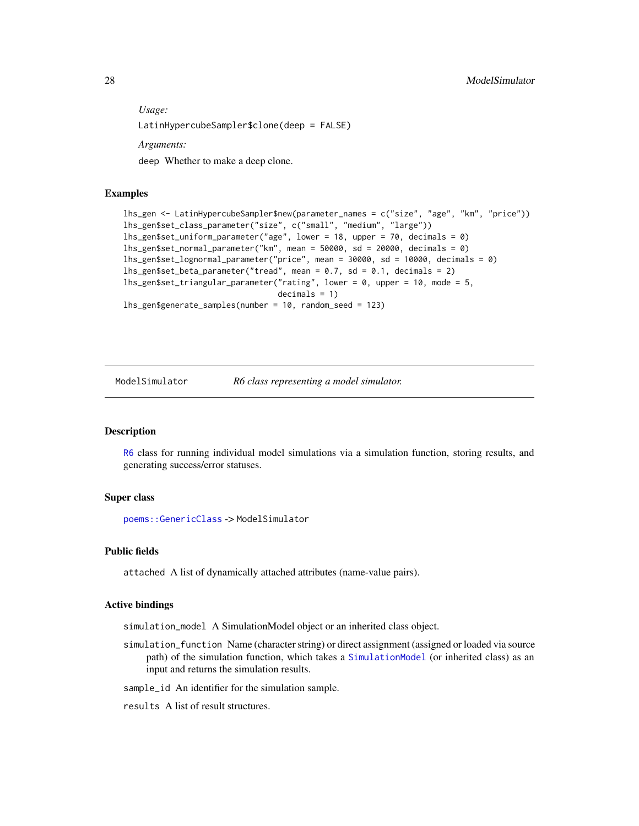<span id="page-27-0"></span>*Usage:* LatinHypercubeSampler\$clone(deep = FALSE) *Arguments:*

deep Whether to make a deep clone.

## Examples

```
lhs_gen <- LatinHypercubeSampler$new(parameter_names = c("size", "age", "km", "price"))
lhs_gen$set_class_parameter("size", c("small", "medium", "large"))
lhs_gen$set_uniform_parameter("age", lower = 18, upper = 70, decimals = 0)
lhs_gen$set_normal_parameter("km", mean = 50000, sd = 20000, decimals = 0)
lhs_gen$set_lognormal_parameter("price", mean = 30000, sd = 10000, decimals = 0)
lhs_gen$set_beta_parameter("tread", mean = 0.7, sd = 0.1, decimals = 2)
lhs_gen$set_triangular_parameter("rating", lower = 0, upper = 10, mode = 5,
                                 decimals = 1)
lhs_gen$generate_samples(number = 10, random_seed = 123)
```
ModelSimulator *R6 class representing a model simulator.*

#### **Description**

[R6](#page-0-0) class for running individual model simulations via a simulation function, storing results, and generating success/error statuses.

#### Super class

[poems::GenericClass](#page-0-0) -> ModelSimulator

# Public fields

attached A list of dynamically attached attributes (name-value pairs).

#### Active bindings

simulation\_model A SimulationModel object or an inherited class object.

simulation\_function Name (character string) or direct assignment (assigned or loaded via source path) of the simulation function, which takes a [SimulationModel](#page-61-1) (or inherited class) as an input and returns the simulation results.

sample\_id An identifier for the simulation sample.

results A list of result structures.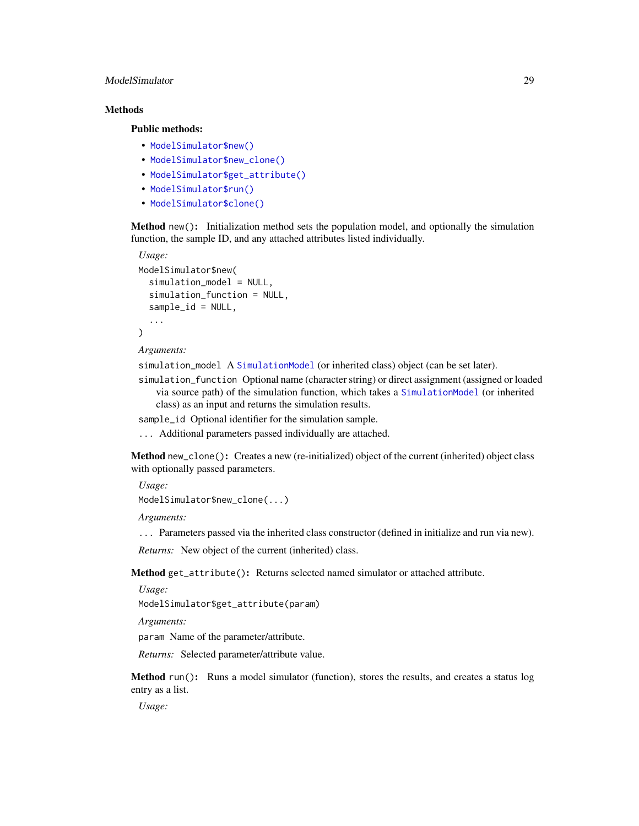# ModelSimulator 29

# **Methods**

# Public methods:

- [ModelSimulator\\$new\(\)](#page-6-0)
- [ModelSimulator\\$new\\_clone\(\)](#page-13-0)
- [ModelSimulator\\$get\\_attribute\(\)](#page-20-0)
- [ModelSimulator\\$run\(\)](#page-28-0)
- [ModelSimulator\\$clone\(\)](#page-3-1)

Method new(): Initialization method sets the population model, and optionally the simulation function, the sample ID, and any attached attributes listed individually.

```
Usage:
ModelSimulator$new(
  simulation_model = NULL,
  simulation_function = NULL,
  sample_id = NULL,
  ...
)
```
*Arguments:*

simulation\_model A [SimulationModel](#page-61-1) (or inherited class) object (can be set later).

simulation\_function Optional name (character string) or direct assignment (assigned or loaded via source path) of the simulation function, which takes a [SimulationModel](#page-61-1) (or inherited class) as an input and returns the simulation results.

sample\_id Optional identifier for the simulation sample.

... Additional parameters passed individually are attached.

Method new\_clone(): Creates a new (re-initialized) object of the current (inherited) object class with optionally passed parameters.

*Usage:*

ModelSimulator\$new\_clone(...)

*Arguments:*

... Parameters passed via the inherited class constructor (defined in initialize and run via new).

*Returns:* New object of the current (inherited) class.

Method get\_attribute(): Returns selected named simulator or attached attribute.

*Usage:*

ModelSimulator\$get\_attribute(param)

*Arguments:*

param Name of the parameter/attribute.

*Returns:* Selected parameter/attribute value.

<span id="page-28-0"></span>Method run(): Runs a model simulator (function), stores the results, and creates a status log entry as a list.

*Usage:*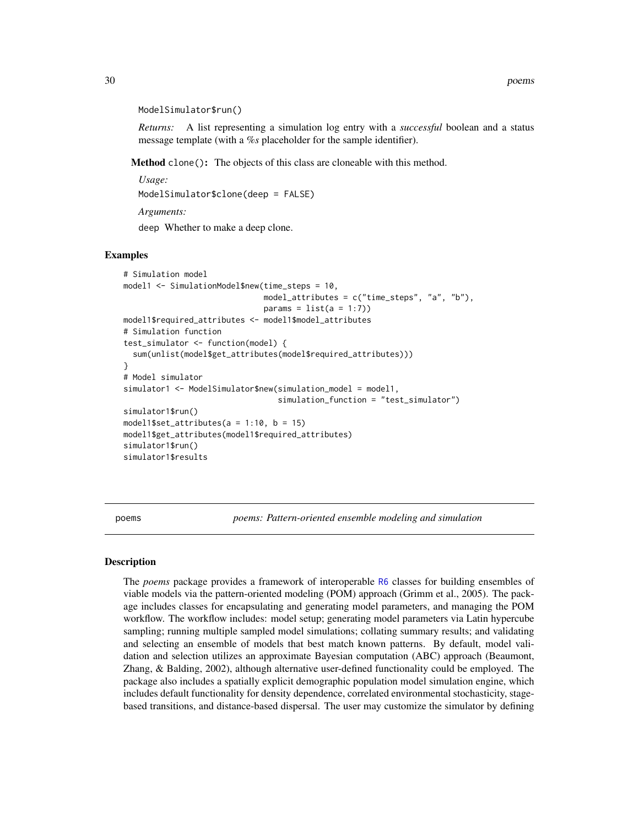#### <span id="page-29-0"></span>ModelSimulator\$run()

*Returns:* A list representing a simulation log entry with a *successful* boolean and a status message template (with a *%s* placeholder for the sample identifier).

Method clone(): The objects of this class are cloneable with this method.

```
Usage:
ModelSimulator$clone(deep = FALSE)
Arguments:
```
deep Whether to make a deep clone.

#### Examples

```
# Simulation model
model1 <- SimulationModel$new(time_steps = 10,
                              model_attributes = c("time_steps", "a", "b"),
                              params = list(a = 1:7)model1$required_attributes <- model1$model_attributes
# Simulation function
test_simulator <- function(model) {
 sum(unlist(model$get_attributes(model$required_attributes)))
}
# Model simulator
simulator1 <- ModelSimulator$new(simulation_model = model1,
                                 simulation_function = "test_simulator")
simulator1$run()
model1$set_attributes(a = 1:10, b = 15)
model1$get_attributes(model1$required_attributes)
simulator1$run()
simulator1$results
```
poems *poems: Pattern-oriented ensemble modeling and simulation*

#### Description

The *poems* package provides a framework of interoperable [R6](#page-0-0) classes for building ensembles of viable models via the pattern-oriented modeling (POM) approach (Grimm et al., 2005). The package includes classes for encapsulating and generating model parameters, and managing the POM workflow. The workflow includes: model setup; generating model parameters via Latin hypercube sampling; running multiple sampled model simulations; collating summary results; and validating and selecting an ensemble of models that best match known patterns. By default, model validation and selection utilizes an approximate Bayesian computation (ABC) approach (Beaumont, Zhang, & Balding, 2002), although alternative user-defined functionality could be employed. The package also includes a spatially explicit demographic population model simulation engine, which includes default functionality for density dependence, correlated environmental stochasticity, stagebased transitions, and distance-based dispersal. The user may customize the simulator by defining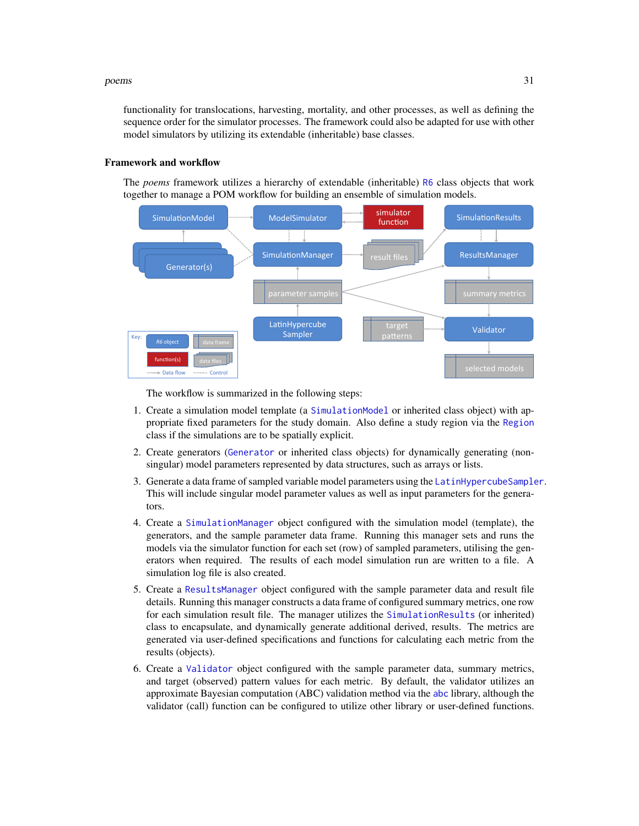#### poems 31

functionality for translocations, harvesting, mortality, and other processes, as well as defining the sequence order for the simulator processes. The framework could also be adapted for use with other model simulators by utilizing its extendable (inheritable) base classes.

#### Framework and workflow

The *poems* framework utilizes a hierarchy of extendable (inheritable) [R6](#page-0-0) class objects that work together to manage a POM workflow for building an ensemble of simulation models.



The workflow is summarized in the following steps:

- 1. Create a simulation model template (a [SimulationModel](#page-61-1) or inherited class object) with appropriate fixed parameters for the study domain. Also define a study region via the [Region](#page-53-1) class if the simulations are to be spatially explicit.
- 2. Create generators ([Generator](#page-12-1) or inherited class objects) for dynamically generating (nonsingular) model parameters represented by data structures, such as arrays or lists.
- 3. Generate a data frame of sampled variable model parameters using the [LatinHypercubeSampler](#page-23-2). This will include singular model parameter values as well as input parameters for the generators.
- 4. Create a [SimulationManager](#page-59-1) object configured with the simulation model (template), the generators, and the sample parameter data frame. Running this manager sets and runs the models via the simulator function for each set (row) of sampled parameters, utilising the generators when required. The results of each model simulation run are written to a file. A simulation log file is also created.
- 5. Create a [ResultsManager](#page-55-1) object configured with the sample parameter data and result file details. Running this manager constructs a data frame of configured summary metrics, one row for each simulation result file. The manager utilizes the [SimulationResults](#page-66-1) (or inherited) class to encapsulate, and dynamically generate additional derived, results. The metrics are generated via user-defined specifications and functions for calculating each metric from the results (objects).
- 6. Create a [Validator](#page-80-1) object configured with the sample parameter data, summary metrics, and target (observed) pattern values for each metric. By default, the validator utilizes an approximate Bayesian computation (ABC) validation method via the [abc](#page-0-0) library, although the validator (call) function can be configured to utilize other library or user-defined functions.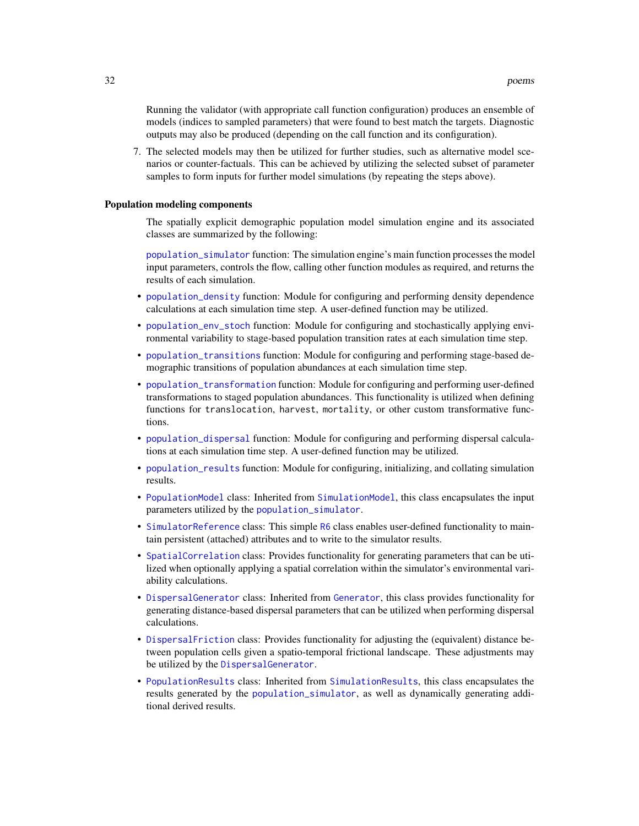Running the validator (with appropriate call function configuration) produces an ensemble of models (indices to sampled parameters) that were found to best match the targets. Diagnostic outputs may also be produced (depending on the call function and its configuration).

7. The selected models may then be utilized for further studies, such as alternative model scenarios or counter-factuals. This can be achieved by utilizing the selected subset of parameter samples to form inputs for further model simulations (by repeating the steps above).

#### Population modeling components

The spatially explicit demographic population model simulation engine and its associated classes are summarized by the following:

[population\\_simulator](#page-45-1) function: The simulation engine's main function processes the model input parameters, controls the flow, calling other function modules as required, and returns the results of each simulation.

- [population\\_density](#page-38-1) function: Module for configuring and performing density dependence calculations at each simulation time step. A user-defined function may be utilized.
- [population\\_env\\_stoch](#page-43-1) function: Module for configuring and stochastically applying environmental variability to stage-based population transition rates at each simulation time step.
- [population\\_transitions](#page-52-1) function: Module for configuring and performing stage-based demographic transitions of population abundances at each simulation time step.
- [population\\_transformation](#page-50-1) function: Module for configuring and performing user-defined transformations to staged population abundances. This functionality is utilized when defining functions for translocation, harvest, mortality, or other custom transformative functions.
- [population\\_dispersal](#page-40-1) function: Module for configuring and performing dispersal calculations at each simulation time step. A user-defined function may be utilized.
- [population\\_results](#page-44-1) function: Module for configuring, initializing, and collating simulation results.
- [PopulationModel](#page-32-1) class: Inherited from [SimulationModel](#page-61-1), this class encapsulates the input parameters utilized by the [population\\_simulator](#page-45-1).
- [SimulatorReference](#page-69-2) class: This simple [R6](#page-0-0) class enables user-defined functionality to maintain persistent (attached) attributes and to write to the simulator results.
- [SpatialCorrelation](#page-69-1) class: Provides functionality for generating parameters that can be utilized when optionally applying a spatial correlation within the simulator's environmental variability calculations.
- [DispersalGenerator](#page-4-1) class: Inherited from [Generator](#page-12-1), this class provides functionality for generating distance-based dispersal parameters that can be utilized when performing dispersal calculations.
- [DispersalFriction](#page-2-1) class: Provides functionality for adjusting the (equivalent) distance between population cells given a spatio-temporal frictional landscape. These adjustments may be utilized by the [DispersalGenerator](#page-4-1).
- [PopulationResults](#page-36-1) class: Inherited from [SimulationResults](#page-66-1), this class encapsulates the results generated by the [population\\_simulator](#page-45-1), as well as dynamically generating additional derived results.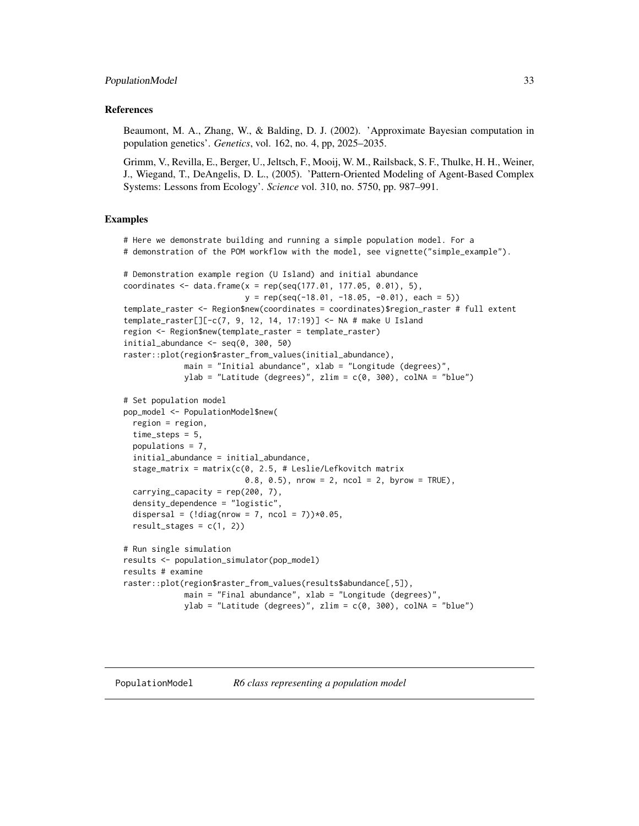# <span id="page-32-0"></span>References

Beaumont, M. A., Zhang, W., & Balding, D. J. (2002). 'Approximate Bayesian computation in population genetics'. *Genetics*, vol. 162, no. 4, pp, 2025–2035.

Grimm, V., Revilla, E., Berger, U., Jeltsch, F., Mooij, W. M., Railsback, S. F., Thulke, H. H., Weiner, J., Wiegand, T., DeAngelis, D. L., (2005). 'Pattern-Oriented Modeling of Agent-Based Complex Systems: Lessons from Ecology'. *Science* vol. 310, no. 5750, pp. 987–991.

#### Examples

```
# Here we demonstrate building and running a simple population model. For a
# demonstration of the POM workflow with the model, see vignette("simple_example").
# Demonstration example region (U Island) and initial abundance
coordinates <- data.frame(x = rep(seq(177.01, 177.05, 0.01), 5),
                          y = rep(seq(-18.01, -18.05, -0.01), each = 5)template_raster <- Region$new(coordinates = coordinates)$region_raster # full extent
template_raster[][-c(7, 9, 12, 14, 17:19)] <- NA # make U Island
region <- Region$new(template_raster = template_raster)
initial_abundance \leq seq(0, 300, 50)
raster::plot(region$raster_from_values(initial_abundance),
             main = "Initial abundance", xlab = "Longitude (degrees)",
             ylab = "Latitude (degrees)", zlim = c(0, 300), colNA = "blue")
# Set population model
pop_model <- PopulationModel$new(
 region = region,
 time_steps = 5,
 populations = 7,
 initial_abundance = initial_abundance,
 stage_matrix = matrix(c(0, 2.5, # Leslie/Lefkovitch matrix
                          0.8, 0.5), nrow = 2, ncol = 2, byrow = TRUE),
 carrying_capacity = rep(200, 7),
 density_dependence = "logistic",
 dispersal = (l \text{diag}(n \text{row} = 7, n \text{col} = 7)) \times 0.05,
 result\_stages = c(1, 2)# Run single simulation
results <- population_simulator(pop_model)
results # examine
raster::plot(region$raster_from_values(results$abundance[,5]),
             main = "Final abundance", xlab = "Longitude (degrees)",
             ylab = "Latitude (degrees)", zlim = c(\emptyset, 300), colNA = "blue")
```
<span id="page-32-1"></span>PopulationModel *R6 class representing a population model*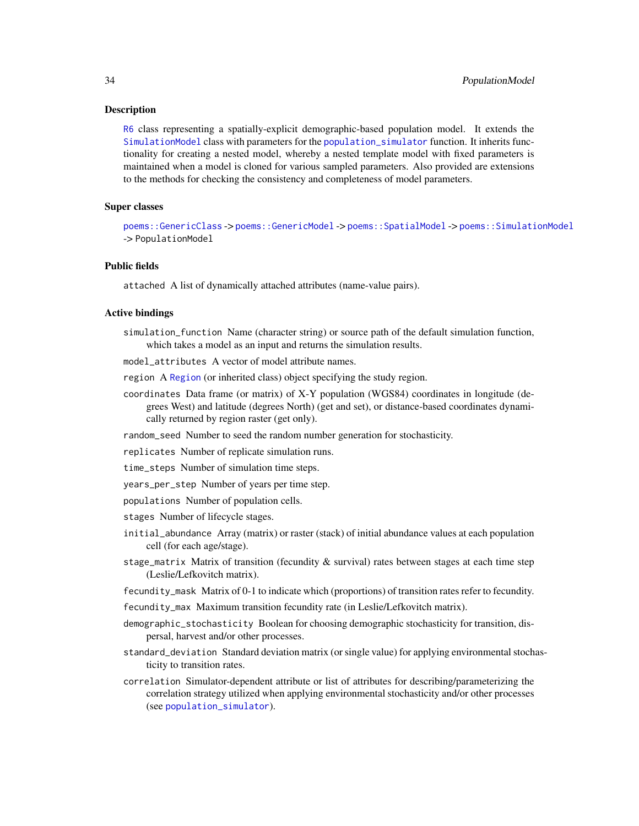# Description

[R6](#page-0-0) class representing a spatially-explicit demographic-based population model. It extends the [SimulationModel](#page-61-1) class with parameters for the [population\\_simulator](#page-45-1) function. It inherits functionality for creating a nested model, whereby a nested template model with fixed parameters is maintained when a model is cloned for various sampled parameters. Also provided are extensions to the methods for checking the consistency and completeness of model parameters.

# Super classes

[poems::GenericClass](#page-0-0) -> [poems::GenericModel](#page-0-0) -> [poems::SpatialModel](#page-0-0) -> [poems::SimulationModel](#page-0-0) -> PopulationModel

# Public fields

attached A list of dynamically attached attributes (name-value pairs).

#### Active bindings

simulation\_function Name (character string) or source path of the default simulation function, which takes a model as an input and returns the simulation results.

model\_attributes A vector of model attribute names.

region A [Region](#page-53-1) (or inherited class) object specifying the study region.

coordinates Data frame (or matrix) of X-Y population (WGS84) coordinates in longitude (degrees West) and latitude (degrees North) (get and set), or distance-based coordinates dynamically returned by region raster (get only).

random\_seed Number to seed the random number generation for stochasticity.

replicates Number of replicate simulation runs.

time\_steps Number of simulation time steps.

years\_per\_step Number of years per time step.

populations Number of population cells.

- stages Number of lifecycle stages.
- initial\_abundance Array (matrix) or raster (stack) of initial abundance values at each population cell (for each age/stage).
- stage\_matrix Matrix of transition (fecundity  $\&$  survival) rates between stages at each time step (Leslie/Lefkovitch matrix).

fecundity\_mask Matrix of 0-1 to indicate which (proportions) of transition rates refer to fecundity.

fecundity\_max Maximum transition fecundity rate (in Leslie/Lefkovitch matrix).

- demographic\_stochasticity Boolean for choosing demographic stochasticity for transition, dispersal, harvest and/or other processes.
- standard\_deviation Standard deviation matrix (or single value) for applying environmental stochasticity to transition rates.
- correlation Simulator-dependent attribute or list of attributes for describing/parameterizing the correlation strategy utilized when applying environmental stochasticity and/or other processes (see [population\\_simulator](#page-45-1)).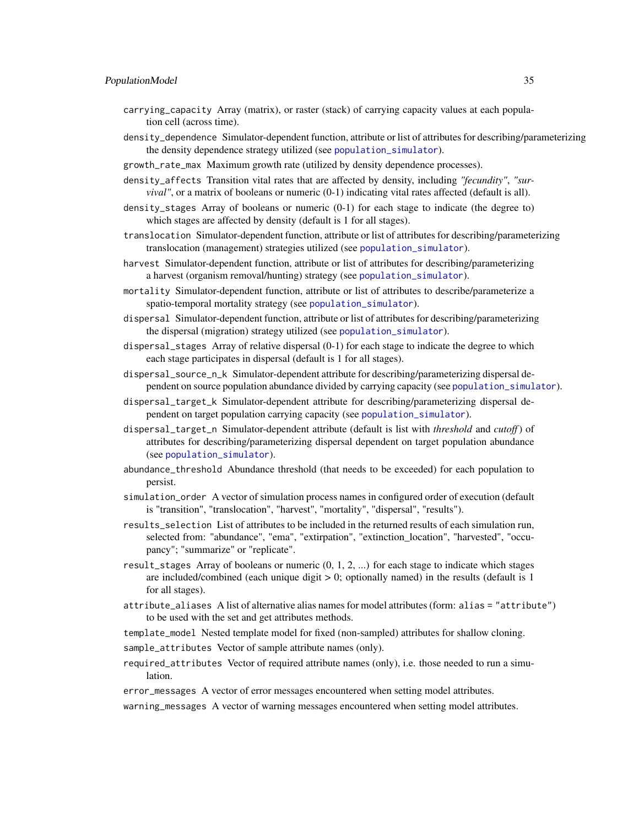- carrying\_capacity Array (matrix), or raster (stack) of carrying capacity values at each population cell (across time).
- density\_dependence Simulator-dependent function, attribute or list of attributes for describing/parameterizing the density dependence strategy utilized (see [population\\_simulator](#page-45-1)).
- growth\_rate\_max Maximum growth rate (utilized by density dependence processes).
- density\_affects Transition vital rates that are affected by density, including *"fecundity"*, *"survival*", or a matrix of booleans or numeric (0-1) indicating vital rates affected (default is all).
- density\_stages Array of booleans or numeric (0-1) for each stage to indicate (the degree to) which stages are affected by density (default is 1 for all stages).
- translocation Simulator-dependent function, attribute or list of attributes for describing/parameterizing translocation (management) strategies utilized (see [population\\_simulator](#page-45-1)).
- harvest Simulator-dependent function, attribute or list of attributes for describing/parameterizing a harvest (organism removal/hunting) strategy (see [population\\_simulator](#page-45-1)).
- mortality Simulator-dependent function, attribute or list of attributes to describe/parameterize a spatio-temporal mortality strategy (see [population\\_simulator](#page-45-1)).
- dispersal Simulator-dependent function, attribute or list of attributes for describing/parameterizing the dispersal (migration) strategy utilized (see [population\\_simulator](#page-45-1)).
- dispersal\_stages Array of relative dispersal (0-1) for each stage to indicate the degree to which each stage participates in dispersal (default is 1 for all stages).
- dispersal\_source\_n\_k Simulator-dependent attribute for describing/parameterizing dispersal dependent on source population abundance divided by carrying capacity (see [population\\_simulator](#page-45-1)).
- dispersal\_target\_k Simulator-dependent attribute for describing/parameterizing dispersal dependent on target population carrying capacity (see [population\\_simulator](#page-45-1)).
- dispersal\_target\_n Simulator-dependent attribute (default is list with *threshold* and *cutoff*) of attributes for describing/parameterizing dispersal dependent on target population abundance (see [population\\_simulator](#page-45-1)).
- abundance\_threshold Abundance threshold (that needs to be exceeded) for each population to persist.
- simulation\_order A vector of simulation process names in configured order of execution (default is "transition", "translocation", "harvest", "mortality", "dispersal", "results").
- results\_selection List of attributes to be included in the returned results of each simulation run, selected from: "abundance", "ema", "extirpation", "extinction\_location", "harvested", "occupancy"; "summarize" or "replicate".
- result\_stages Array of booleans or numeric  $(0, 1, 2, ...)$  for each stage to indicate which stages are included/combined (each unique digit > 0; optionally named) in the results (default is 1 for all stages).
- attribute\_aliases A list of alternative alias names for model attributes (form: alias = "attribute") to be used with the set and get attributes methods.
- template\_model Nested template model for fixed (non-sampled) attributes for shallow cloning.

sample\_attributes Vector of sample attribute names (only).

required\_attributes Vector of required attribute names (only), i.e. those needed to run a simulation.

error\_messages A vector of error messages encountered when setting model attributes.

warning\_messages A vector of warning messages encountered when setting model attributes.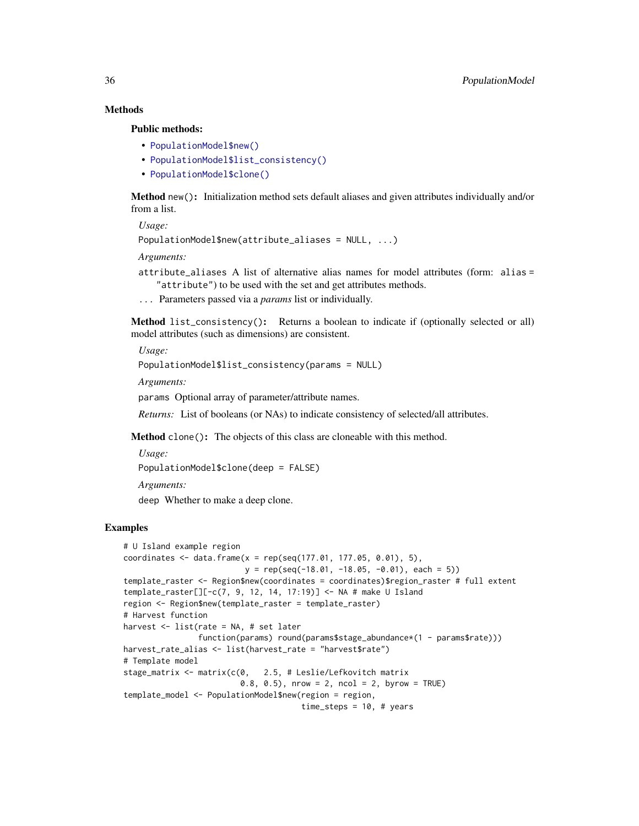# Methods

Public methods:

- [PopulationModel\\$new\(\)](#page-6-0)
- [PopulationModel\\$list\\_consistency\(\)](#page-35-0)
- [PopulationModel\\$clone\(\)](#page-3-1)

Method new(): Initialization method sets default aliases and given attributes individually and/or from a list.

*Usage:*

```
PopulationModel$new(attribute_aliases = NULL, ...)
```
*Arguments:*

attribute\_aliases A list of alternative alias names for model attributes (form: alias = "attribute") to be used with the set and get attributes methods.

... Parameters passed via a *params* list or individually.

<span id="page-35-0"></span>Method list\_consistency(): Returns a boolean to indicate if (optionally selected or all) model attributes (such as dimensions) are consistent.

*Usage:*

PopulationModel\$list\_consistency(params = NULL)

*Arguments:*

params Optional array of parameter/attribute names.

*Returns:* List of booleans (or NAs) to indicate consistency of selected/all attributes.

Method clone(): The objects of this class are cloneable with this method.

```
Usage:
PopulationModel$clone(deep = FALSE)
Arguments:
```
deep Whether to make a deep clone.

# Examples

```
# U Island example region
coordinates <- data.frame(x = rep(seq(177.01, 177.05, 0.01), 5),
                         y = rep(seq(-18.01, -18.05, -0.01), each = 5)template_raster <- Region$new(coordinates = coordinates)$region_raster # full extent
template_raster[][-c(7, 9, 12, 14, 17:19)] <- NA # make U Island
region <- Region$new(template_raster = template_raster)
# Harvest function
harvest <- list(rate = NA, # set later
               function(params) round(params$stage_abundance*(1 - params$rate)))
harvest_rate_alias <- list(harvest_rate = "harvest$rate")
# Template model
stage_matrix <- matrix(c(0, 2.5, # Leslie/Lefkovitch matrix
                         0.8, 0.5, nrow = 2, ncol = 2, byrow = TRUE)
template_model <- PopulationModel$new(region = region,
                                     time_steps = 10, # years
```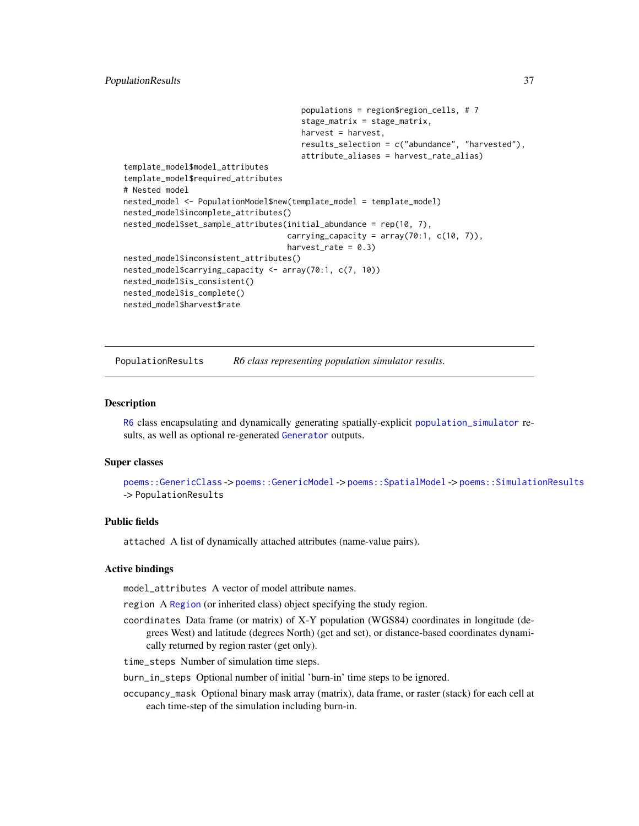# PopulationResults 37

```
populations = region$region_cells, # 7
                                      stage_matrix = stage_matrix,
                                      harvest = harvest,
                                      results_selection = c("abundance", "harvested"),
                                      attribute_aliases = harvest_rate_alias)
template_model$model_attributes
template_model$required_attributes
# Nested model
nested_model <- PopulationModel$new(template_model = template_model)
nested_model$incomplete_attributes()
nested_model$set_sample_attributes(initial_abundance = rep(10, 7),
                                   carrying_capacity = array(70:1, c(10, 7)),harvest_rate = 0.3)
nested_model$inconsistent_attributes()
nested_model$carrying_capacity <- array(70:1, c(7, 10))
nested_model$is_consistent()
nested_model$is_complete()
nested_model$harvest$rate
```
PopulationResults *R6 class representing population simulator results.*

## Description

[R6](#page-0-0) class encapsulating and dynamically generating spatially-explicit [population\\_simulator](#page-45-0) results, as well as optional re-generated [Generator](#page-12-0) outputs.

## Super classes

```
poems::GenericClass -> poems::GenericModel -> poems::SpatialModel -> poems::SimulationResults
-> PopulationResults
```
# Public fields

attached A list of dynamically attached attributes (name-value pairs).

## Active bindings

model\_attributes A vector of model attribute names.

- region A [Region](#page-53-0) (or inherited class) object specifying the study region.
- coordinates Data frame (or matrix) of X-Y population (WGS84) coordinates in longitude (degrees West) and latitude (degrees North) (get and set), or distance-based coordinates dynamically returned by region raster (get only).
- time\_steps Number of simulation time steps.

burn\_in\_steps Optional number of initial 'burn-in' time steps to be ignored.

occupancy\_mask Optional binary mask array (matrix), data frame, or raster (stack) for each cell at each time-step of the simulation including burn-in.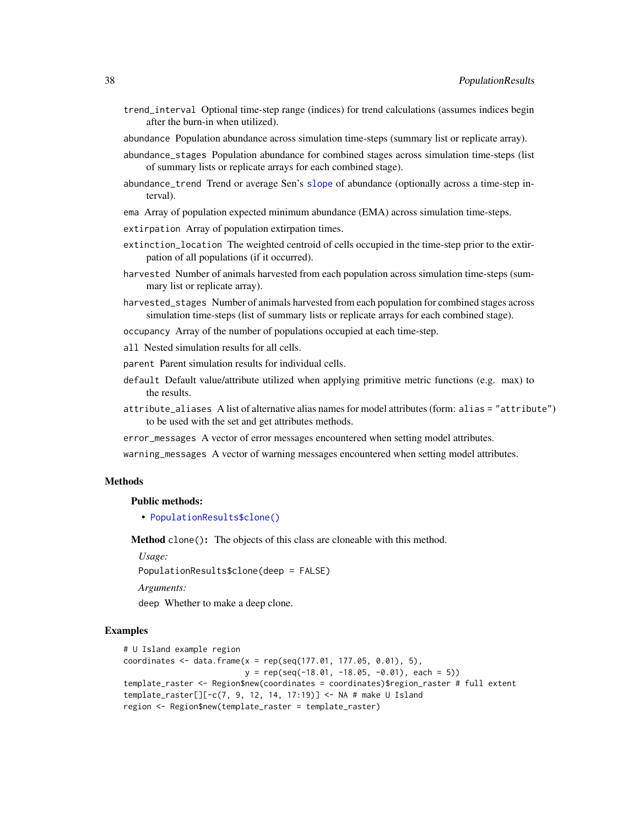- trend\_interval Optional time-step range (indices) for trend calculations (assumes indices begin after the burn-in when utilized).
- abundance Population abundance across simulation time-steps (summary list or replicate array).
- abundance\_stages Population abundance for combined stages across simulation time-steps (list of summary lists or replicate arrays for each combined stage).
- abundance\_trend Trend or average Sen's [slope](#page-0-0) of abundance (optionally across a time-step interval).
- ema Array of population expected minimum abundance (EMA) across simulation time-steps.
- extirpation Array of population extirpation times.
- extinction\_location The weighted centroid of cells occupied in the time-step prior to the extirpation of all populations (if it occurred).
- harvested Number of animals harvested from each population across simulation time-steps (summary list or replicate array).
- harvested\_stages Number of animals harvested from each population for combined stages across simulation time-steps (list of summary lists or replicate arrays for each combined stage).
- occupancy Array of the number of populations occupied at each time-step.
- all Nested simulation results for all cells.
- parent Parent simulation results for individual cells.
- default Default value/attribute utilized when applying primitive metric functions (e.g. max) to the results.
- attribute\_aliases A list of alternative alias names for model attributes (form: alias = "attribute") to be used with the set and get attributes methods.
- error\_messages A vector of error messages encountered when setting model attributes.
- warning\_messages A vector of warning messages encountered when setting model attributes.

# Methods

#### Public methods:

• [PopulationResults\\$clone\(\)](#page-3-0)

Method clone(): The objects of this class are cloneable with this method.

*Usage:*

PopulationResults\$clone(deep = FALSE)

*Arguments:*

deep Whether to make a deep clone.

#### Examples

```
# U Island example region
coordinates <- data.frame(x = rep(seq(177.01, 177.05, 0.01), 5),
                         y = rep(seq(-18.01, -18.05, -0.01), each = 5)template_raster <- Region$new(coordinates = coordinates)$region_raster # full extent
template_raster[][-c(7, 9, 12, 14, 17:19)] <- NA # make U Island
region <- Region$new(template_raster = template_raster)
```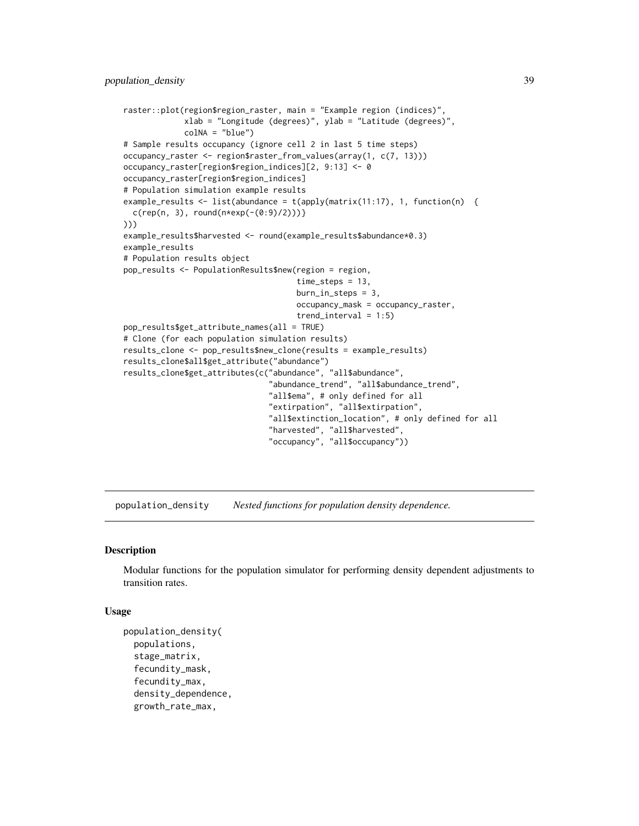```
raster::plot(region$region_raster, main = "Example region (indices)",
             xlab = "Longitude (degrees)", ylab = "Latitude (degrees)",
             colNA = "blue")
# Sample results occupancy (ignore cell 2 in last 5 time steps)
occupancy_raster <- region$raster_from_values(array(1, c(7, 13)))
occupancy_raster[region$region_indices][2, 9:13] <- 0
occupancy_raster[region$region_indices]
# Population simulation example results
example_results <- list(abundance = t(apply(matrix(11:17), 1, function(n) {
 c(rep(n, 3), round(n*exp(-(0:9)/2)))))))
example_results$harvested <- round(example_results$abundance*0.3)
example_results
# Population results object
pop_results <- PopulationResults$new(region = region,
                                     time_steps = 13,
                                     burn_in_steps = 3,
                                     occupancy_mask = occupancy_raster,
                                     trend_interval = 1:5)pop_results$get_attribute_names(all = TRUE)
# Clone (for each population simulation results)
results_clone <- pop_results$new_clone(results = example_results)
results_clone$all$get_attribute("abundance")
results_clone$get_attributes(c("abundance", "all$abundance",
                               "abundance_trend", "all$abundance_trend",
                               "all$ema", # only defined for all
                               "extirpation", "all$extirpation",
                               "all$extinction_location", # only defined for all
                               "harvested", "all$harvested",
                               "occupancy", "all$occupancy"))
```
population\_density *Nested functions for population density dependence.*

#### Description

Modular functions for the population simulator for performing density dependent adjustments to transition rates.

#### Usage

```
population_density(
  populations,
  stage_matrix,
  fecundity_mask,
  fecundity_max,
  density_dependence,
  growth_rate_max,
```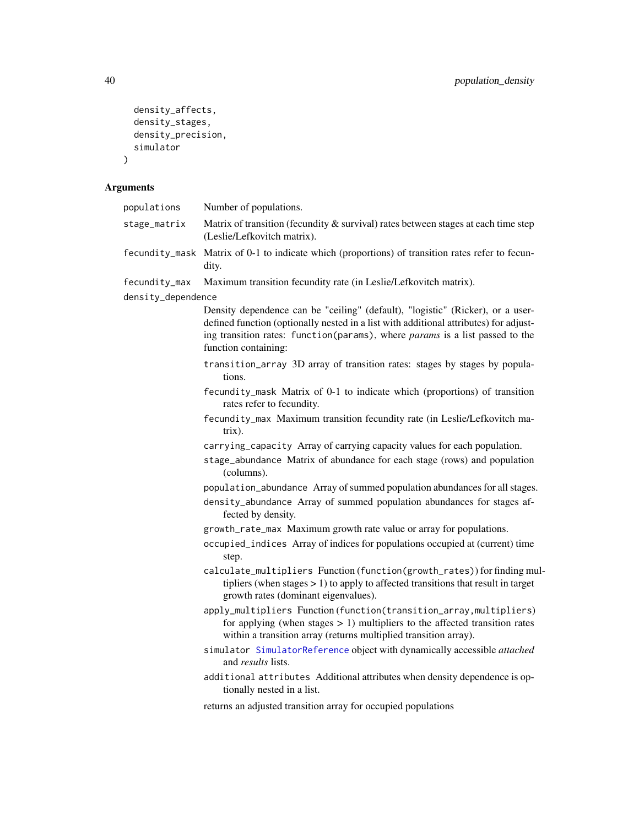```
density_affects,
 density_stages,
 density_precision,
 simulator
)
```
# Arguments

| populations        | Number of populations.                                                                                                                                                                                                                                                          |
|--------------------|---------------------------------------------------------------------------------------------------------------------------------------------------------------------------------------------------------------------------------------------------------------------------------|
| stage_matrix       | Matrix of transition (fecundity & survival) rates between stages at each time step<br>(Leslie/Lefkovitch matrix).                                                                                                                                                               |
|                    | fecundity_mask Matrix of 0-1 to indicate which (proportions) of transition rates refer to fecun-<br>dity.                                                                                                                                                                       |
| fecundity_max      | Maximum transition fecundity rate (in Leslie/Lefkovitch matrix).                                                                                                                                                                                                                |
| density_dependence |                                                                                                                                                                                                                                                                                 |
|                    | Density dependence can be "ceiling" (default), "logistic" (Ricker), or a user-<br>defined function (optionally nested in a list with additional attributes) for adjust-<br>ing transition rates: function(params), where params is a list passed to the<br>function containing: |
|                    | transition_array 3D array of transition rates: stages by stages by popula-<br>tions.                                                                                                                                                                                            |
|                    | fecundity_mask Matrix of 0-1 to indicate which (proportions) of transition<br>rates refer to fecundity.                                                                                                                                                                         |
|                    | fecundity_max Maximum transition fecundity rate (in Leslie/Lefkovitch ma-<br>$trix)$ .                                                                                                                                                                                          |
|                    | carrying_capacity Array of carrying capacity values for each population.                                                                                                                                                                                                        |
|                    | stage_abundance Matrix of abundance for each stage (rows) and population<br>(columns).                                                                                                                                                                                          |
|                    | population_abundance Array of summed population abundances for all stages.                                                                                                                                                                                                      |
|                    | density_abundance Array of summed population abundances for stages af-<br>fected by density.                                                                                                                                                                                    |
|                    | growth_rate_max Maximum growth rate value or array for populations.                                                                                                                                                                                                             |
|                    | occupied_indices Array of indices for populations occupied at (current) time<br>step.                                                                                                                                                                                           |
|                    | calculate_multipliers Function (function(growth_rates)) for finding mul-<br>tipliers (when stages $> 1$ ) to apply to affected transitions that result in target<br>growth rates (dominant eigenvalues).                                                                        |
|                    | apply_multipliers Function(function(transition_array,multipliers)<br>for applying (when stages $> 1$ ) multipliers to the affected transition rates<br>within a transition array (returns multiplied transition array).                                                         |
|                    | simulator SimulatorReference object with dynamically accessible attached<br>and <i>results</i> lists.                                                                                                                                                                           |
|                    | additional attributes Additional attributes when density dependence is op-<br>tionally nested in a list.                                                                                                                                                                        |
|                    | returns an adjusted transition array for occupied populations                                                                                                                                                                                                                   |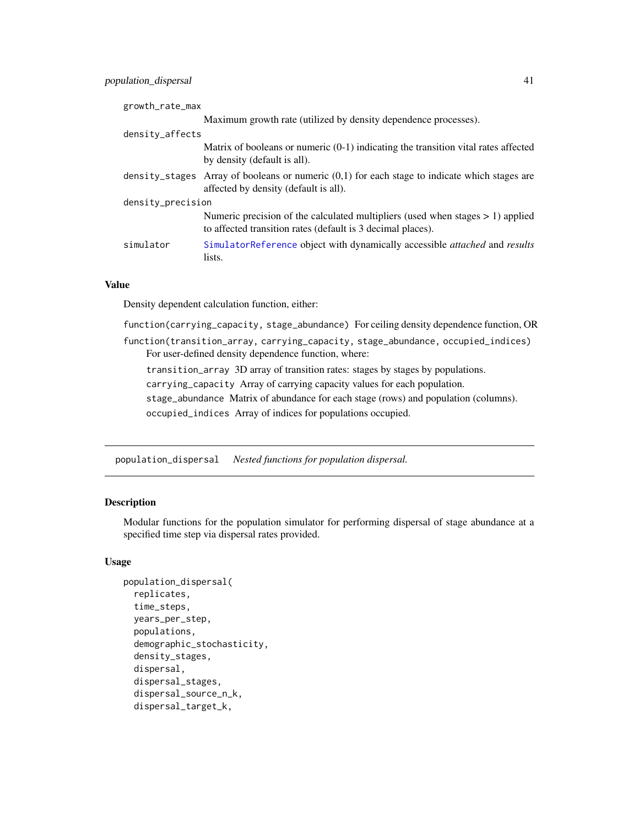| growth_rate_max   |                                                                                                                                                  |
|-------------------|--------------------------------------------------------------------------------------------------------------------------------------------------|
|                   | Maximum growth rate (utilized by density dependence processes).                                                                                  |
| density_affects   |                                                                                                                                                  |
|                   | Matrix of booleans or numeric $(0-1)$ indicating the transition vital rates affected<br>by density (default is all).                             |
|                   | density_stages Array of booleans or numeric $(0,1)$ for each stage to indicate which stages are<br>affected by density (default is all).         |
| density_precision |                                                                                                                                                  |
|                   | Numeric precision of the calculated multipliers (used when stages $> 1$ ) applied<br>to affected transition rates (default is 3 decimal places). |
| simulator         | SimulatorReference object with dynamically accessible attached and results<br>lists.                                                             |

# Value

Density dependent calculation function, either:

function(carrying\_capacity, stage\_abundance) For ceiling density dependence function, OR

function(transition\_array, carrying\_capacity, stage\_abundance, occupied\_indices) For user-defined density dependence function, where:

transition\_array 3D array of transition rates: stages by stages by populations.

carrying\_capacity Array of carrying capacity values for each population.

stage\_abundance Matrix of abundance for each stage (rows) and population (columns). occupied\_indices Array of indices for populations occupied.

population\_dispersal *Nested functions for population dispersal.*

# Description

Modular functions for the population simulator for performing dispersal of stage abundance at a specified time step via dispersal rates provided.

# Usage

```
population_dispersal(
  replicates,
  time_steps,
  years_per_step,
  populations,
  demographic_stochasticity,
  density_stages,
  dispersal,
  dispersal_stages,
  dispersal_source_n_k,
  dispersal_target_k,
```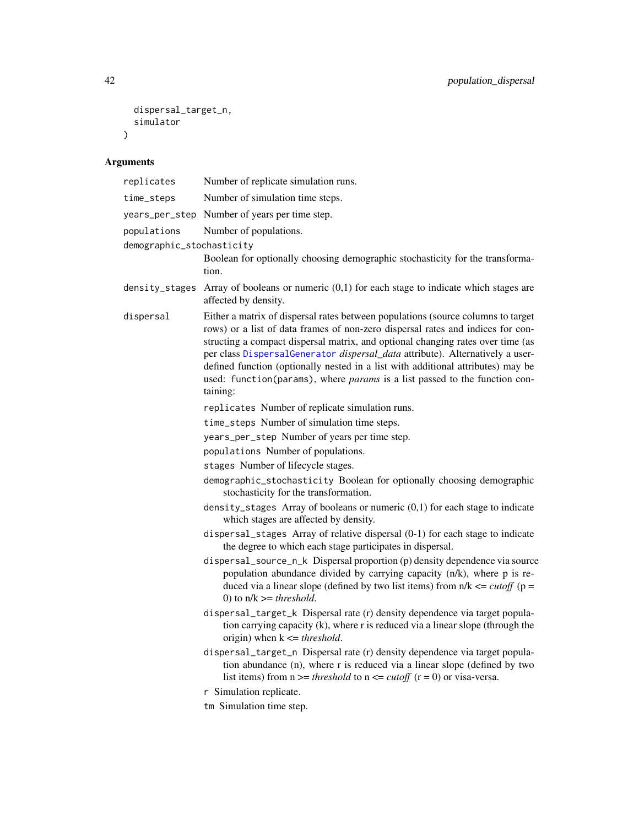```
dispersal_target_n,
  simulator
\overline{)}
```
# Arguments

| replicates                               | Number of replicate simulation runs.                                                                                                                                                                                                                                                                                                                                                                                                                                                                                  |
|------------------------------------------|-----------------------------------------------------------------------------------------------------------------------------------------------------------------------------------------------------------------------------------------------------------------------------------------------------------------------------------------------------------------------------------------------------------------------------------------------------------------------------------------------------------------------|
| time_steps                               | Number of simulation time steps.                                                                                                                                                                                                                                                                                                                                                                                                                                                                                      |
| years_per_step                           | Number of years per time step.                                                                                                                                                                                                                                                                                                                                                                                                                                                                                        |
| populations<br>demographic_stochasticity | Number of populations.<br>Boolean for optionally choosing demographic stochasticity for the transforma-<br>tion.                                                                                                                                                                                                                                                                                                                                                                                                      |
| density_stages                           | Array of booleans or numeric $(0,1)$ for each stage to indicate which stages are<br>affected by density.                                                                                                                                                                                                                                                                                                                                                                                                              |
| dispersal                                | Either a matrix of dispersal rates between populations (source columns to target<br>rows) or a list of data frames of non-zero dispersal rates and indices for con-<br>structing a compact dispersal matrix, and optional changing rates over time (as<br>per class DispersalGenerator dispersal_data attribute). Alternatively a user-<br>defined function (optionally nested in a list with additional attributes) may be<br>used: function(params), where params is a list passed to the function con-<br>taining: |
|                                          | replicates Number of replicate simulation runs.                                                                                                                                                                                                                                                                                                                                                                                                                                                                       |
|                                          | time_steps Number of simulation time steps.                                                                                                                                                                                                                                                                                                                                                                                                                                                                           |
|                                          | years_per_step Number of years per time step.                                                                                                                                                                                                                                                                                                                                                                                                                                                                         |
|                                          | populations Number of populations.                                                                                                                                                                                                                                                                                                                                                                                                                                                                                    |
|                                          | stages Number of lifecycle stages.                                                                                                                                                                                                                                                                                                                                                                                                                                                                                    |
|                                          | demographic_stochasticity Boolean for optionally choosing demographic<br>stochasticity for the transformation.                                                                                                                                                                                                                                                                                                                                                                                                        |
|                                          | density_stages Array of booleans or numeric $(0,1)$ for each stage to indicate<br>which stages are affected by density.                                                                                                                                                                                                                                                                                                                                                                                               |
|                                          | dispersal_stages Array of relative dispersal (0-1) for each stage to indicate<br>the degree to which each stage participates in dispersal.                                                                                                                                                                                                                                                                                                                                                                            |
|                                          | dispersal_source_n_k Dispersal proportion (p) density dependence via source<br>population abundance divided by carrying capacity (n/k), where p is re-<br>duced via a linear slope (defined by two list items) from $n/k \leq cutoff$ (p =<br>0) to $n/k \geq threshold$ .                                                                                                                                                                                                                                            |
|                                          | dispersal_target_k Dispersal rate (r) density dependence via target popula-<br>tion carrying capacity (k), where r is reduced via a linear slope (through the<br>origin) when $k \leq threshold$ .                                                                                                                                                                                                                                                                                                                    |
|                                          | dispersal_target_n Dispersal rate (r) density dependence via target popula-<br>tion abundance (n), where r is reduced via a linear slope (defined by two<br>list items) from $n \geq$ <i>threshold</i> to $n \leq$ <i>cutoff</i> $(r = 0)$ or visa-versa.                                                                                                                                                                                                                                                             |
|                                          | r Simulation replicate.                                                                                                                                                                                                                                                                                                                                                                                                                                                                                               |
|                                          | tm Simulation time step.                                                                                                                                                                                                                                                                                                                                                                                                                                                                                              |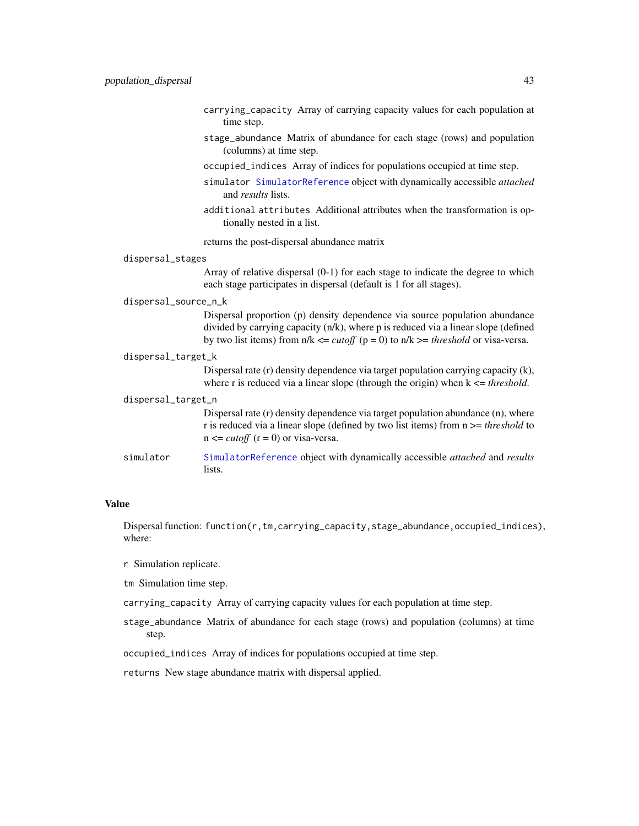- carrying\_capacity Array of carrying capacity values for each population at time step.
- stage\_abundance Matrix of abundance for each stage (rows) and population (columns) at time step.
- occupied\_indices Array of indices for populations occupied at time step.
- simulator [SimulatorReference](#page-69-0) object with dynamically accessible *attached* and *results* lists.
- additional attributes Additional attributes when the transformation is optionally nested in a list.

returns the post-dispersal abundance matrix

# dispersal\_stages

Array of relative dispersal (0-1) for each stage to indicate the degree to which each stage participates in dispersal (default is 1 for all stages).

#### dispersal\_source\_n\_k

Dispersal proportion (p) density dependence via source population abundance divided by carrying capacity (n/k), where p is reduced via a linear slope (defined by two list items) from  $n/k \leq \text{cutoff}$  ( $p = 0$ ) to  $n/k \geq \text{threshold}$  or visa-versa.

#### dispersal\_target\_k

Dispersal rate (r) density dependence via target population carrying capacity (k), where r is reduced via a linear slope (through the origin) when  $k \leq threshold$ .

#### dispersal\_target\_n

Dispersal rate (r) density dependence via target population abundance (n), where r is reduced via a linear slope (defined by two list items) from n >= *threshold* to  $n \leq \text{cutoff}$  ( $r = 0$ ) or visa-versa.

simulator [SimulatorReference](#page-69-0) object with dynamically accessible *attached* and *results* lists.

## Value

Dispersal function: function(r,tm,carrying\_capacity,stage\_abundance,occupied\_indices), where:

- r Simulation replicate.
- tm Simulation time step.
- carrying\_capacity Array of carrying capacity values for each population at time step.
- stage\_abundance Matrix of abundance for each stage (rows) and population (columns) at time step.

occupied\_indices Array of indices for populations occupied at time step.

returns New stage abundance matrix with dispersal applied.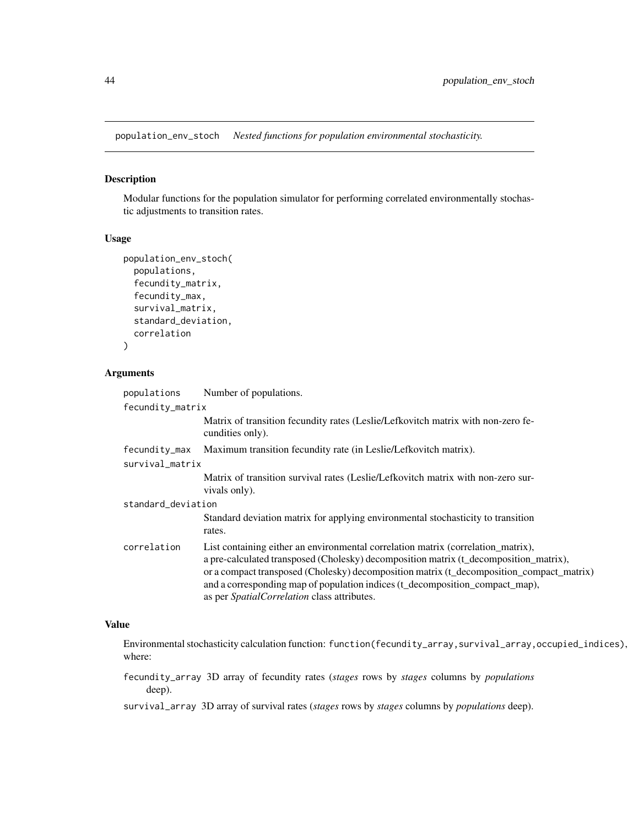population\_env\_stoch *Nested functions for population environmental stochasticity.*

# Description

Modular functions for the population simulator for performing correlated environmentally stochastic adjustments to transition rates.

# Usage

```
population_env_stoch(
  populations,
  fecundity_matrix,
  fecundity_max,
  survival_matrix,
  standard_deviation,
  correlation
)
```
# Arguments

| populations        | Number of populations.                                                                                                                                                                                                                                                                                                                                                                                      |
|--------------------|-------------------------------------------------------------------------------------------------------------------------------------------------------------------------------------------------------------------------------------------------------------------------------------------------------------------------------------------------------------------------------------------------------------|
| fecundity_matrix   |                                                                                                                                                                                                                                                                                                                                                                                                             |
|                    | Matrix of transition fecundity rates (Leslie/Lefkovitch matrix with non-zero fe-<br>cundities only).                                                                                                                                                                                                                                                                                                        |
| fecundity_max      | Maximum transition fecundity rate (in Leslie/Lefkovitch matrix).                                                                                                                                                                                                                                                                                                                                            |
| survival_matrix    |                                                                                                                                                                                                                                                                                                                                                                                                             |
|                    | Matrix of transition survival rates (Leslie/Lefkovitch matrix with non-zero sur-<br>vivals only).                                                                                                                                                                                                                                                                                                           |
| standard_deviation |                                                                                                                                                                                                                                                                                                                                                                                                             |
|                    | Standard deviation matrix for applying environmental stochasticity to transition<br>rates.                                                                                                                                                                                                                                                                                                                  |
| correlation        | List containing either an environmental correlation matrix (correlation_matrix),<br>a pre-calculated transposed (Cholesky) decomposition matrix (t_decomposition_matrix),<br>or a compact transposed (Cholesky) decomposition matrix (t_decomposition_compact_matrix)<br>and a corresponding map of population indices (t_decomposition_compact_map),<br>as per <i>SpatialCorrelation</i> class attributes. |

# Value

Environmental stochasticity calculation function: function(fecundity\_array,survival\_array,occupied\_indices), where:

fecundity\_array 3D array of fecundity rates (*stages* rows by *stages* columns by *populations* deep).

survival\_array 3D array of survival rates (*stages* rows by *stages* columns by *populations* deep).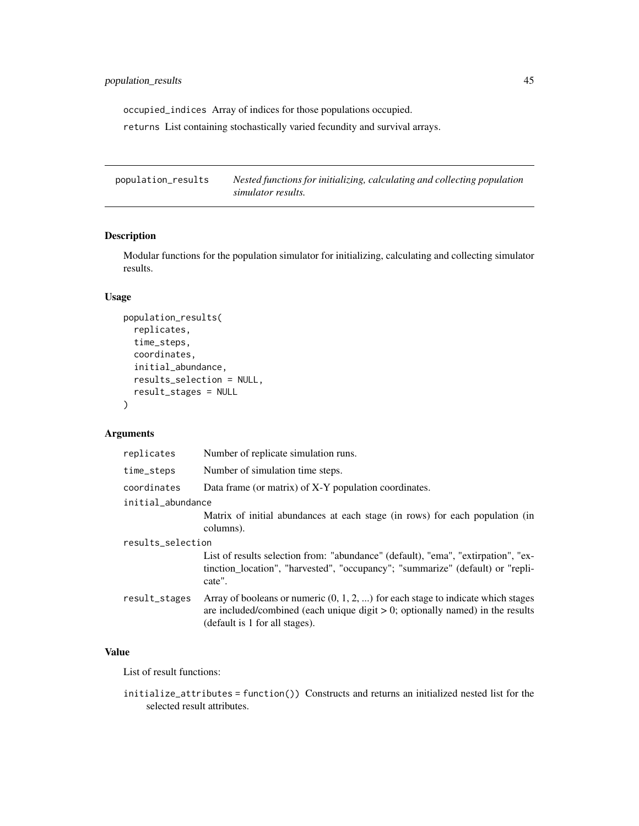occupied\_indices Array of indices for those populations occupied.

returns List containing stochastically varied fecundity and survival arrays.

population\_results *Nested functions for initializing, calculating and collecting population simulator results.*

# Description

Modular functions for the population simulator for initializing, calculating and collecting simulator results.

# Usage

```
population_results(
  replicates,
  time_steps,
  coordinates,
  initial_abundance,
  results_selection = NULL,
  result_stages = NULL
)
```
# Arguments

| replicates        | Number of replicate simulation runs.                                                                                                                                                                      |
|-------------------|-----------------------------------------------------------------------------------------------------------------------------------------------------------------------------------------------------------|
| time_steps        | Number of simulation time steps.                                                                                                                                                                          |
| coordinates       | Data frame (or matrix) of X-Y population coordinates.                                                                                                                                                     |
| initial abundance |                                                                                                                                                                                                           |
|                   | Matrix of initial abundances at each stage (in rows) for each population (in<br>columns).                                                                                                                 |
| results_selection |                                                                                                                                                                                                           |
|                   | List of results selection from: "abundance" (default), "ema", "extirpation", "ex-<br>tinction_location", "harvested", "occupancy"; "summarize" (default) or "repli-<br>cate".                             |
| result_stages     | Array of booleans or numeric $(0, 1, 2, )$ for each stage to indicate which stages<br>are included/combined (each unique digit $> 0$ ; optionally named) in the results<br>(default is 1 for all stages). |

# Value

List of result functions:

initialize\_attributes = function()) Constructs and returns an initialized nested list for the selected result attributes.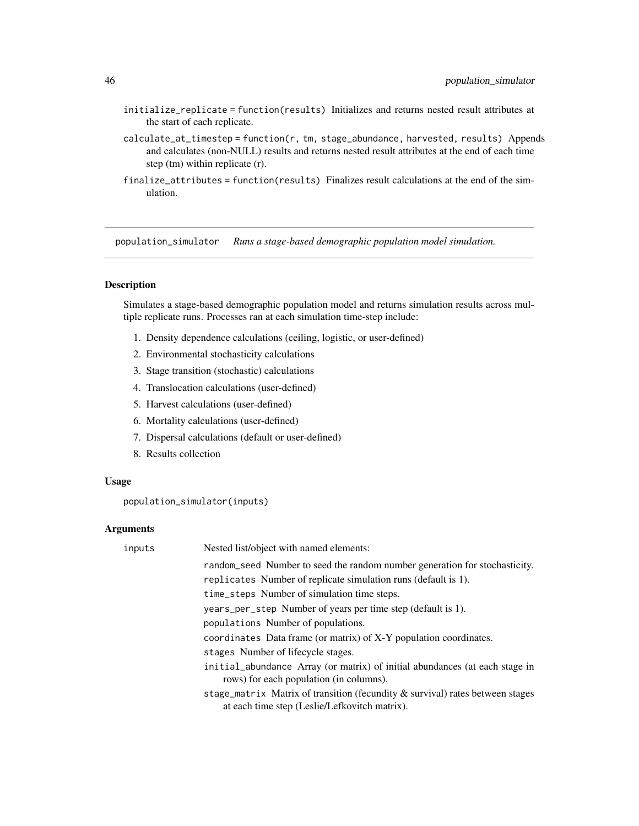- initialize\_replicate = function(results) Initializes and returns nested result attributes at the start of each replicate.
- $calculate_at_timestep = function(r, tm, stage_abundance, harvested, results)$  Appends and calculates (non-NULL) results and returns nested result attributes at the end of each time step (tm) within replicate (r).
- finalize\_attributes = function(results) Finalizes result calculations at the end of the simulation.

<span id="page-45-0"></span>population\_simulator *Runs a stage-based demographic population model simulation.*

# Description

Simulates a stage-based demographic population model and returns simulation results across multiple replicate runs. Processes ran at each simulation time-step include:

- 1. Density dependence calculations (ceiling, logistic, or user-defined)
- 2. Environmental stochasticity calculations
- 3. Stage transition (stochastic) calculations
- 4. Translocation calculations (user-defined)
- 5. Harvest calculations (user-defined)
- 6. Mortality calculations (user-defined)
- 7. Dispersal calculations (default or user-defined)
- 8. Results collection

#### Usage

population\_simulator(inputs)

#### **Arguments**

| inputs | Nested list/object with named elements:                                                                                        |
|--------|--------------------------------------------------------------------------------------------------------------------------------|
|        | random_seed Number to seed the random number generation for stochasticity.                                                     |
|        | replicates Number of replicate simulation runs (default is 1).                                                                 |
|        | time_steps Number of simulation time steps.                                                                                    |
|        | years_per_step Number of years per time step (default is 1).                                                                   |
|        | populations Number of populations.                                                                                             |
|        | coordinates Data frame (or matrix) of X-Y population coordinates.                                                              |
|        | stages Number of lifecycle stages.                                                                                             |
|        | initial abundance Array (or matrix) of initial abundances (at each stage in<br>rows) for each population (in columns).         |
|        | stage_matrix Matrix of transition (fecundity & survival) rates between stages<br>at each time step (Leslie/Lefkovitch matrix). |
|        |                                                                                                                                |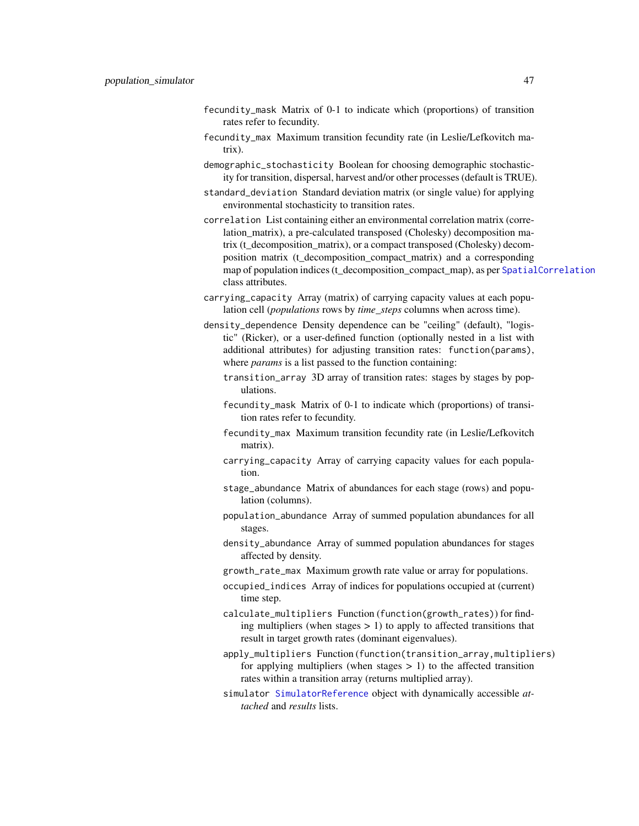- fecundity\_mask Matrix of 0-1 to indicate which (proportions) of transition rates refer to fecundity.
- fecundity\_max Maximum transition fecundity rate (in Leslie/Lefkovitch matrix).
- demographic\_stochasticity Boolean for choosing demographic stochasticity for transition, dispersal, harvest and/or other processes (default is TRUE).
- standard\_deviation Standard deviation matrix (or single value) for applying environmental stochasticity to transition rates.
- correlation List containing either an environmental correlation matrix (correlation\_matrix), a pre-calculated transposed (Cholesky) decomposition matrix (t\_decomposition\_matrix), or a compact transposed (Cholesky) decomposition matrix (t\_decomposition\_compact\_matrix) and a corresponding map of population indices (t\_decomposition\_compact\_map), as per [SpatialCorrelation](#page-69-1) class attributes.
- carrying\_capacity Array (matrix) of carrying capacity values at each population cell (*populations* rows by *time\_steps* columns when across time).
- density\_dependence Density dependence can be "ceiling" (default), "logistic" (Ricker), or a user-defined function (optionally nested in a list with additional attributes) for adjusting transition rates: function(params), where *params* is a list passed to the function containing:
	- transition\_array 3D array of transition rates: stages by stages by populations.
	- fecundity\_mask Matrix of 0-1 to indicate which (proportions) of transition rates refer to fecundity.
	- fecundity\_max Maximum transition fecundity rate (in Leslie/Lefkovitch matrix).
	- carrying\_capacity Array of carrying capacity values for each population.
	- stage\_abundance Matrix of abundances for each stage (rows) and population (columns).
	- population\_abundance Array of summed population abundances for all stages.
	- density\_abundance Array of summed population abundances for stages affected by density.
	- growth\_rate\_max Maximum growth rate value or array for populations.
	- occupied\_indices Array of indices for populations occupied at (current) time step.
	- calculate\_multipliers Function (function(growth\_rates)) for finding multipliers (when stages  $> 1$ ) to apply to affected transitions that result in target growth rates (dominant eigenvalues).
	- apply\_multipliers Function (function(transition\_array,multipliers) for applying multipliers (when stages  $> 1$ ) to the affected transition rates within a transition array (returns multiplied array).
	- simulator [SimulatorReference](#page-69-0) object with dynamically accessible *attached* and *results* lists.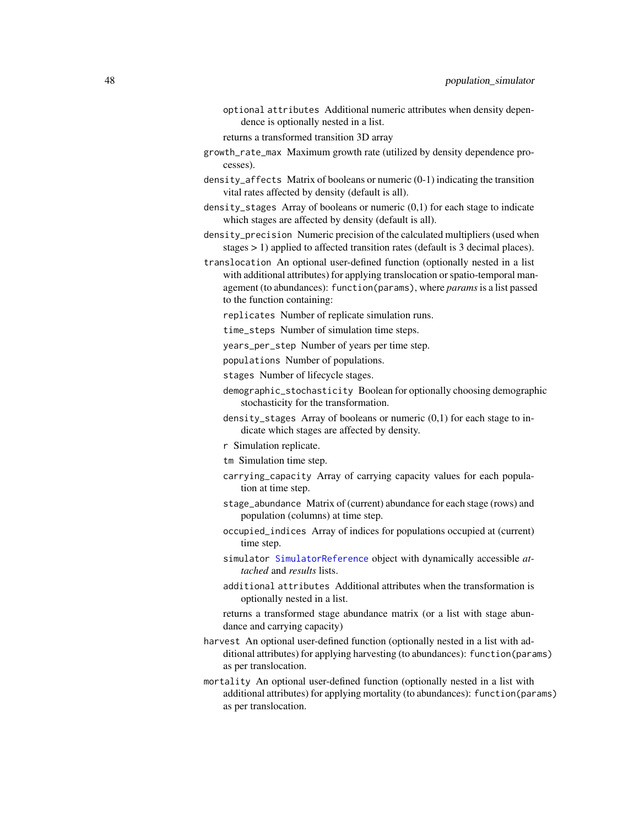optional attributes Additional numeric attributes when density dependence is optionally nested in a list.

returns a transformed transition 3D array

- growth\_rate\_max Maximum growth rate (utilized by density dependence processes).
- density\_affects Matrix of booleans or numeric (0-1) indicating the transition vital rates affected by density (default is all).
- density\_stages Array of booleans or numeric (0,1) for each stage to indicate which stages are affected by density (default is all).
- density\_precision Numeric precision of the calculated multipliers (used when stages > 1) applied to affected transition rates (default is 3 decimal places).
- translocation An optional user-defined function (optionally nested in a list with additional attributes) for applying translocation or spatio-temporal management (to abundances): function(params), where *params*is a list passed to the function containing:
	- replicates Number of replicate simulation runs.
	- time\_steps Number of simulation time steps.
	- years\_per\_step Number of years per time step.
	- populations Number of populations.
	- stages Number of lifecycle stages.
	- demographic\_stochasticity Boolean for optionally choosing demographic stochasticity for the transformation.
	- density\_stages Array of booleans or numeric (0,1) for each stage to indicate which stages are affected by density.
	- r Simulation replicate.
	- tm Simulation time step.
	- carrying\_capacity Array of carrying capacity values for each population at time step.
	- stage\_abundance Matrix of (current) abundance for each stage (rows) and population (columns) at time step.
	- occupied\_indices Array of indices for populations occupied at (current) time step.
	- simulator [SimulatorReference](#page-69-0) object with dynamically accessible *attached* and *results* lists.
	- additional attributes Additional attributes when the transformation is optionally nested in a list.
	- returns a transformed stage abundance matrix (or a list with stage abundance and carrying capacity)
- harvest An optional user-defined function (optionally nested in a list with additional attributes) for applying harvesting (to abundances): function(params) as per translocation.
- mortality An optional user-defined function (optionally nested in a list with additional attributes) for applying mortality (to abundances): function(params) as per translocation.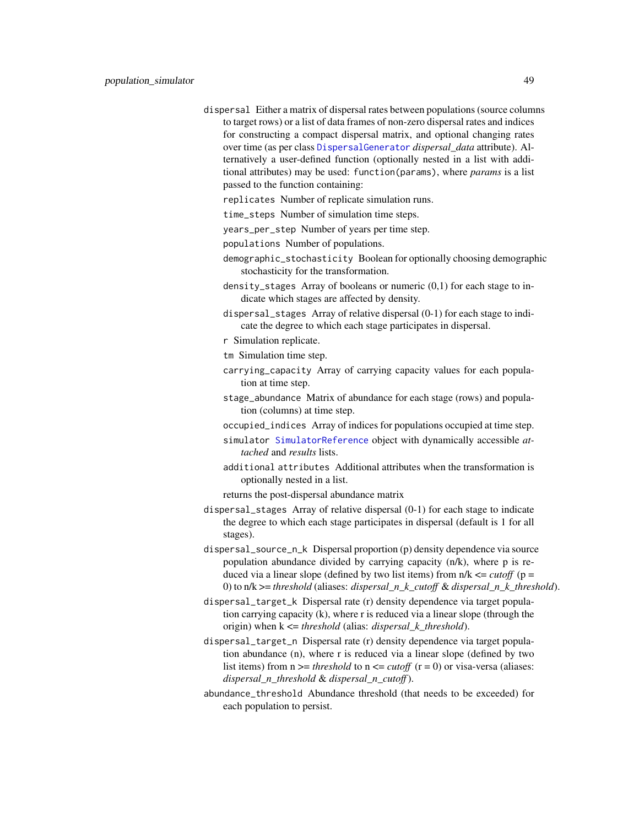dispersal Either a matrix of dispersal rates between populations (source columns to target rows) or a list of data frames of non-zero dispersal rates and indices for constructing a compact dispersal matrix, and optional changing rates over time (as per class [DispersalGenerator](#page-4-0) *dispersal\_data* attribute). Alternatively a user-defined function (optionally nested in a list with additional attributes) may be used: function(params), where *params* is a list passed to the function containing:

replicates Number of replicate simulation runs.

- time\_steps Number of simulation time steps.
- years\_per\_step Number of years per time step.
- populations Number of populations.
- demographic\_stochasticity Boolean for optionally choosing demographic stochasticity for the transformation.
- density\_stages Array of booleans or numeric (0,1) for each stage to indicate which stages are affected by density.
- dispersal\_stages Array of relative dispersal (0-1) for each stage to indicate the degree to which each stage participates in dispersal.
- r Simulation replicate.
- tm Simulation time step.
- carrying\_capacity Array of carrying capacity values for each population at time step.
- stage\_abundance Matrix of abundance for each stage (rows) and population (columns) at time step.
- occupied\_indices Array of indices for populations occupied at time step.
- simulator [SimulatorReference](#page-69-0) object with dynamically accessible *attached* and *results* lists.
- additional attributes Additional attributes when the transformation is optionally nested in a list.
- returns the post-dispersal abundance matrix
- dispersal\_stages Array of relative dispersal (0-1) for each stage to indicate the degree to which each stage participates in dispersal (default is 1 for all stages).
- dispersal\_source\_n\_k Dispersal proportion (p) density dependence via source population abundance divided by carrying capacity (n/k), where p is reduced via a linear slope (defined by two list items) from  $n/k \leq \text{cutoff}$  (p = 0) to n/k >= *threshold* (aliases: *dispersal\_n\_k\_cutoff* & *dispersal\_n\_k\_threshold*).
- dispersal\_target\_k Dispersal rate (r) density dependence via target population carrying capacity (k), where r is reduced via a linear slope (through the origin) when k <= *threshold* (alias: *dispersal\_k\_threshold*).
- dispersal\_target\_n Dispersal rate (r) density dependence via target population abundance (n), where r is reduced via a linear slope (defined by two list items) from  $n \geq 1$  *threshold* to  $n \leq 1$  *cutoff* ( $r = 0$ ) or visa-versa (aliases: *dispersal\_n\_threshold* & *dispersal\_n\_cutoff*).
- abundance\_threshold Abundance threshold (that needs to be exceeded) for each population to persist.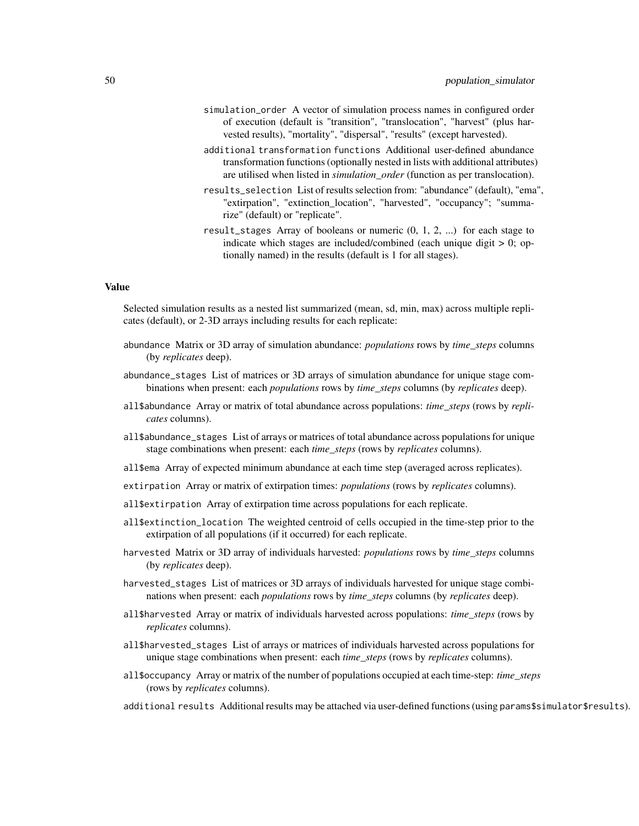- simulation\_order A vector of simulation process names in configured order of execution (default is "transition", "translocation", "harvest" (plus harvested results), "mortality", "dispersal", "results" (except harvested).
- additional transformation functions Additional user-defined abundance transformation functions (optionally nested in lists with additional attributes) are utilised when listed in *simulation\_order* (function as per translocation).
- results\_selection List of results selection from: "abundance" (default), "ema", "extirpation", "extinction\_location", "harvested", "occupancy"; "summarize" (default) or "replicate".
- result\_stages Array of booleans or numeric (0, 1, 2, ...) for each stage to indicate which stages are included/combined (each unique digit  $> 0$ ; optionally named) in the results (default is 1 for all stages).

# Value

Selected simulation results as a nested list summarized (mean, sd, min, max) across multiple replicates (default), or 2-3D arrays including results for each replicate:

- abundance Matrix or 3D array of simulation abundance: *populations* rows by *time\_steps* columns (by *replicates* deep).
- abundance\_stages List of matrices or 3D arrays of simulation abundance for unique stage combinations when present: each *populations* rows by *time\_steps* columns (by *replicates* deep).
- all\$abundance Array or matrix of total abundance across populations: *time\_steps* (rows by *replicates* columns).
- all\$abundance\_stages List of arrays or matrices of total abundance across populations for unique stage combinations when present: each *time\_steps* (rows by *replicates* columns).
- all\$ema Array of expected minimum abundance at each time step (averaged across replicates).
- extirpation Array or matrix of extirpation times: *populations* (rows by *replicates* columns).
- all\$extirpation Array of extirpation time across populations for each replicate.
- all\$extinction\_location The weighted centroid of cells occupied in the time-step prior to the extirpation of all populations (if it occurred) for each replicate.
- harvested Matrix or 3D array of individuals harvested: *populations* rows by *time\_steps* columns (by *replicates* deep).
- harvested\_stages List of matrices or 3D arrays of individuals harvested for unique stage combinations when present: each *populations* rows by *time\_steps* columns (by *replicates* deep).
- all\$harvested Array or matrix of individuals harvested across populations: *time\_steps* (rows by *replicates* columns).
- all\$harvested\_stages List of arrays or matrices of individuals harvested across populations for unique stage combinations when present: each *time\_steps* (rows by *replicates* columns).
- all\$occupancy Array or matrix of the number of populations occupied at each time-step: *time\_steps* (rows by *replicates* columns).
- additional results Additional results may be attached via user-defined functions (using params\$simulator\$results).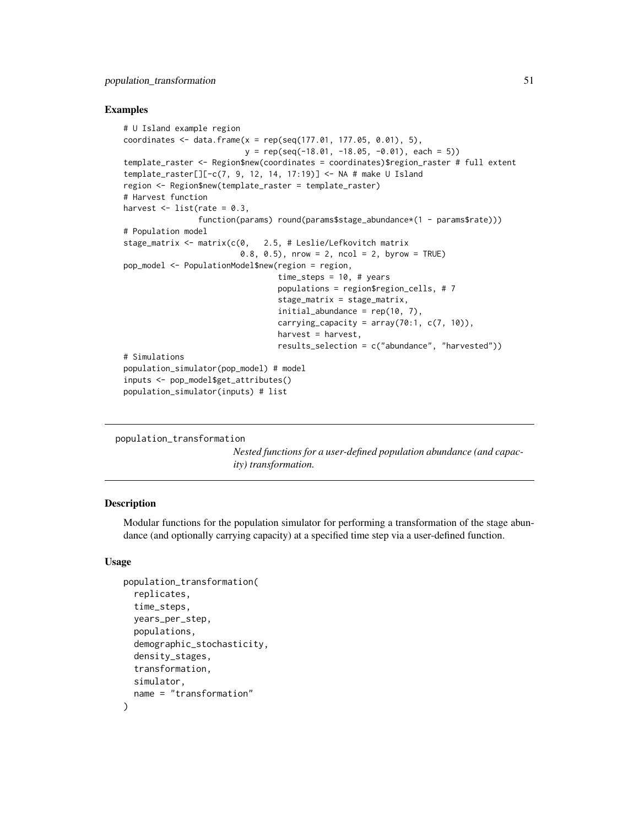## Examples

```
# U Island example region
coordinates \leq data.frame(x = rep(seq(177.01, 177.05, 0.01), 5),
                          y = rep(seq(-18.01, -18.05, -0.01), each = 5)template_raster <- Region$new(coordinates = coordinates)$region_raster # full extent
template_raster[][-c(7, 9, 12, 14, 17:19)] <- NA # make U Island
region <- Region$new(template_raster = template_raster)
# Harvest function
harvest \leq - list(rate = 0.3,
                function(params) round(params$stage_abundance*(1 - params$rate)))
# Population model
stage_matrix <- matrix(c(0, 2.5, # Leslie/Lefkovitch matrix
                         0.8, 0.5), nrow = 2, ncol = 2, byrow = TRUE)
pop_model <- PopulationModel$new(region = region,
                                 time_steps = 10, # years
                                 populations = region$region_cells, # 7
                                 stage_matrix = stage_matrix,
                                 initial_abundance = rep(10, 7),
                                 carrying_capacity = array(70:1, c(7, 10)),
                                 harvest = harvest,
                                 results_selection = c("abundance", "harvested"))
# Simulations
population_simulator(pop_model) # model
inputs <- pop_model$get_attributes()
population_simulator(inputs) # list
```

```
population_transformation
```
*Nested functions for a user-defined population abundance (and capacity) transformation.*

## Description

Modular functions for the population simulator for performing a transformation of the stage abundance (and optionally carrying capacity) at a specified time step via a user-defined function.

# Usage

```
population_transformation(
  replicates,
  time_steps,
  years_per_step,
  populations,
  demographic_stochasticity,
  density_stages,
  transformation,
  simulator,
  name = "transformation"
)
```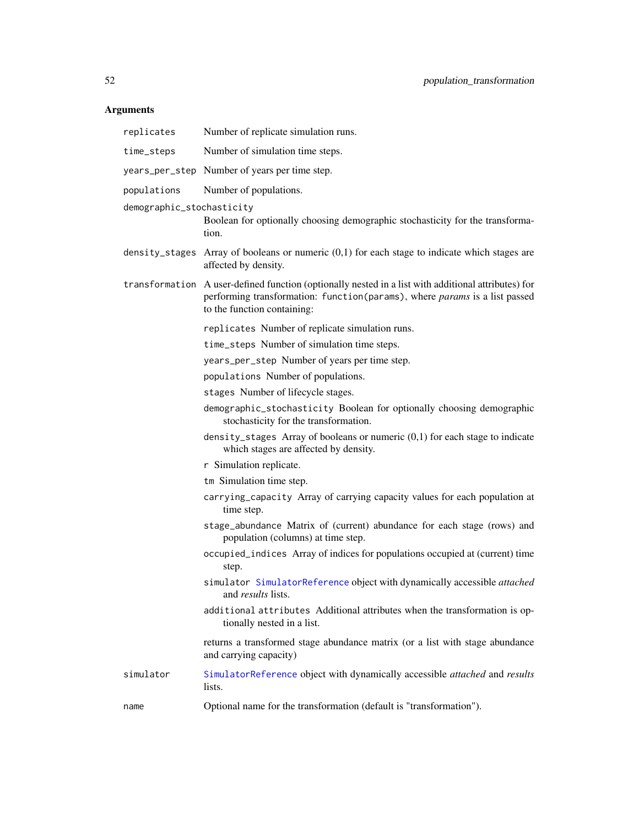# Arguments

| replicates                | Number of replicate simulation runs.                                                                                                                                                                             |
|---------------------------|------------------------------------------------------------------------------------------------------------------------------------------------------------------------------------------------------------------|
| time_steps                | Number of simulation time steps.                                                                                                                                                                                 |
|                           | years_per_step Number of years per time step.                                                                                                                                                                    |
| populations               | Number of populations.                                                                                                                                                                                           |
| demographic_stochasticity | Boolean for optionally choosing demographic stochasticity for the transforma-<br>tion.                                                                                                                           |
|                           | density_stages Array of booleans or numeric $(0,1)$ for each stage to indicate which stages are<br>affected by density.                                                                                          |
|                           | transformation A user-defined function (optionally nested in a list with additional attributes) for<br>performing transformation: function(params), where params is a list passed<br>to the function containing: |
|                           | replicates Number of replicate simulation runs.                                                                                                                                                                  |
|                           | time_steps Number of simulation time steps.                                                                                                                                                                      |
|                           | years_per_step Number of years per time step.                                                                                                                                                                    |
|                           | populations Number of populations.                                                                                                                                                                               |
|                           | stages Number of lifecycle stages.                                                                                                                                                                               |
|                           | demographic_stochasticity Boolean for optionally choosing demographic<br>stochasticity for the transformation.                                                                                                   |
|                           | density_stages Array of booleans or numeric $(0,1)$ for each stage to indicate<br>which stages are affected by density.                                                                                          |
|                           | r Simulation replicate.                                                                                                                                                                                          |
|                           | tm Simulation time step.                                                                                                                                                                                         |
|                           | carrying_capacity Array of carrying capacity values for each population at<br>time step.                                                                                                                         |
|                           | stage_abundance Matrix of (current) abundance for each stage (rows) and<br>population (columns) at time step.                                                                                                    |
|                           | occupied_indices Array of indices for populations occupied at (current) time<br>step.                                                                                                                            |
|                           | simulator SimulatorReference object with dynamically accessible attached<br>and results lists.                                                                                                                   |
|                           | additional attributes Additional attributes when the transformation is op-<br>tionally nested in a list.                                                                                                         |
|                           | returns a transformed stage abundance matrix (or a list with stage abundance<br>and carrying capacity)                                                                                                           |
| simulator                 | SimulatorReference object with dynamically accessible attached and results<br>lists.                                                                                                                             |
| name                      | Optional name for the transformation (default is "transformation").                                                                                                                                              |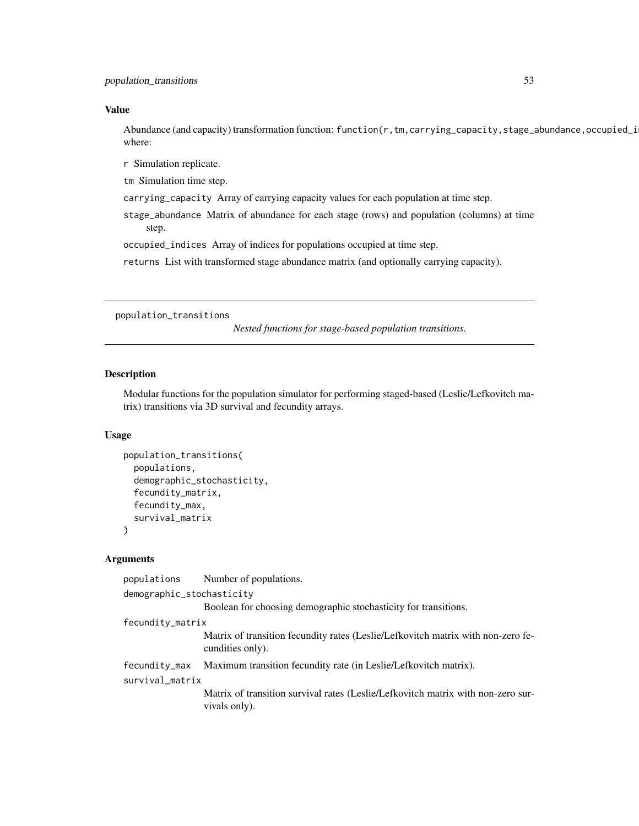# Value

Abundance (and capacity) transformation function: function(r,tm,carrying\_capacity,stage\_abundance,occupied\_i where:

r Simulation replicate.

tm Simulation time step.

carrying\_capacity Array of carrying capacity values for each population at time step.

stage\_abundance Matrix of abundance for each stage (rows) and population (columns) at time step.

occupied\_indices Array of indices for populations occupied at time step.

returns List with transformed stage abundance matrix (and optionally carrying capacity).

population\_transitions

*Nested functions for stage-based population transitions.*

# Description

Modular functions for the population simulator for performing staged-based (Leslie/Lefkovitch matrix) transitions via 3D survival and fecundity arrays.

# Usage

```
population_transitions(
  populations,
  demographic_stochasticity,
  fecundity_matrix,
  fecundity_max,
  survival_matrix
)
```
# Arguments

| populations                      | Number of populations.                                                                               |
|----------------------------------|------------------------------------------------------------------------------------------------------|
| demographic_stochasticity        |                                                                                                      |
|                                  | Boolean for choosing demographic stochasticity for transitions.                                      |
| fecundity_matrix                 |                                                                                                      |
|                                  | Matrix of transition fecundity rates (Leslie/Lefkovitch matrix with non-zero fe-<br>cundities only). |
| fecundity_max<br>survival_matrix | Maximum transition fecundity rate (in Leslie/Lefkovitch matrix).                                     |
|                                  | Matrix of transition survival rates (Leslie/Lefkovitch matrix with non-zero sur-<br>vivals only).    |
|                                  |                                                                                                      |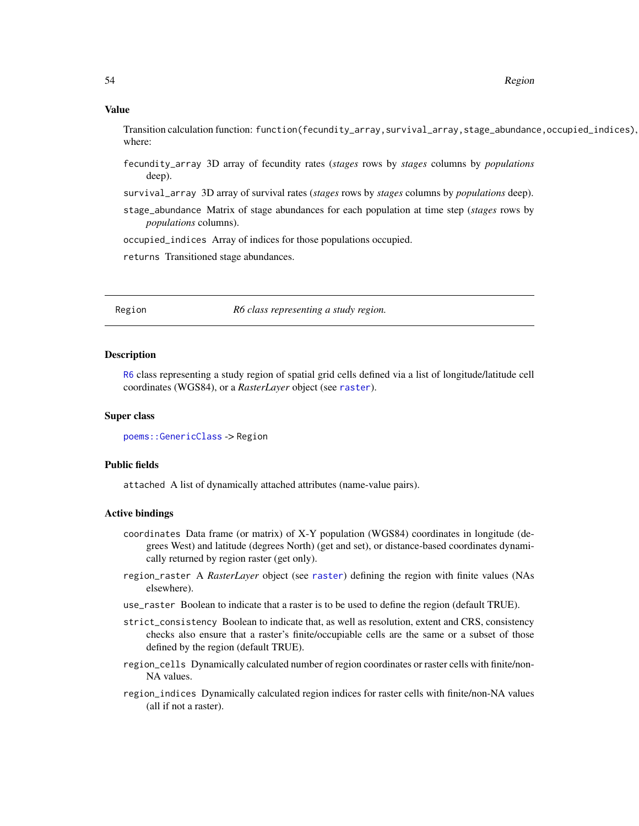#### 54 Region

#### Value

Transition calculation function: function(fecundity\_array,survival\_array,stage\_abundance,occupied\_indices), where:

- fecundity\_array 3D array of fecundity rates (*stages* rows by *stages* columns by *populations* deep).
- survival\_array 3D array of survival rates (*stages* rows by *stages* columns by *populations* deep).
- stage\_abundance Matrix of stage abundances for each population at time step (*stages* rows by *populations* columns).

occupied\_indices Array of indices for those populations occupied.

returns Transitioned stage abundances.

<span id="page-53-0"></span>Region *R6 class representing a study region.*

## Description

[R6](#page-0-0) class representing a study region of spatial grid cells defined via a list of longitude/latitude cell coordinates (WGS84), or a *RasterLayer* object (see [raster](#page-0-0)).

#### Super class

[poems::GenericClass](#page-0-0) -> Region

## Public fields

attached A list of dynamically attached attributes (name-value pairs).

# Active bindings

- coordinates Data frame (or matrix) of X-Y population (WGS84) coordinates in longitude (degrees West) and latitude (degrees North) (get and set), or distance-based coordinates dynamically returned by region raster (get only).
- region\_raster A *RasterLayer* object (see [raster](#page-0-0)) defining the region with finite values (NAs elsewhere).
- use\_raster Boolean to indicate that a raster is to be used to define the region (default TRUE).
- strict\_consistency Boolean to indicate that, as well as resolution, extent and CRS, consistency checks also ensure that a raster's finite/occupiable cells are the same or a subset of those defined by the region (default TRUE).
- region\_cells Dynamically calculated number of region coordinates or raster cells with finite/non-NA values.
- region\_indices Dynamically calculated region indices for raster cells with finite/non-NA values (all if not a raster).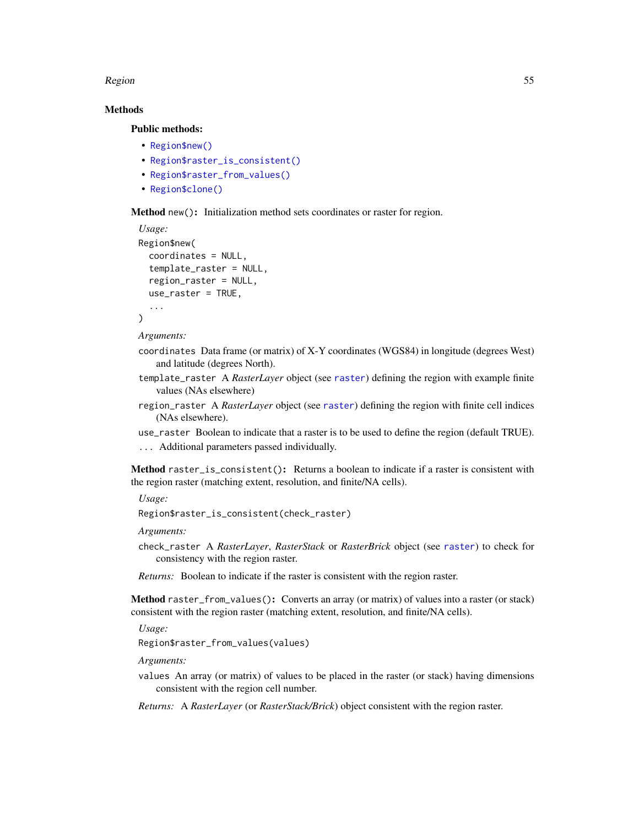#### Region 55 and 55 and 50 km s and 55 and 50 km s and 55 and 50 km s and 55 and 55 and 55 and 55 and 55 and 55 and 55 and 55 and 55 and 55 and 55 and 55 and 55 and 55 and 55 and 55 and 55 and 55 and 55 and 55 and 55 and 55 a

# Methods

Public methods:

- [Region\\$new\(\)](#page-6-0)
- [Region\\$raster\\_is\\_consistent\(\)](#page-54-0)
- [Region\\$raster\\_from\\_values\(\)](#page-54-1)
- [Region\\$clone\(\)](#page-3-0)

Method new(): Initialization method sets coordinates or raster for region.

```
Usage:
Region$new(
 coordinates = NULL,
  template_raster = NULL,
  region_raster = NULL,
 use_raster = TRUE,
  ...
)
```
*Arguments:*

- coordinates Data frame (or matrix) of X-Y coordinates (WGS84) in longitude (degrees West) and latitude (degrees North).
- template\_raster A *RasterLayer* object (see [raster](#page-0-0)) defining the region with example finite values (NAs elsewhere)
- region\_raster A *RasterLayer* object (see [raster](#page-0-0)) defining the region with finite cell indices (NAs elsewhere).
- use\_raster Boolean to indicate that a raster is to be used to define the region (default TRUE). ... Additional parameters passed individually.

<span id="page-54-0"></span>Method raster\_is\_consistent(): Returns a boolean to indicate if a raster is consistent with the region raster (matching extent, resolution, and finite/NA cells).

*Usage:*

Region\$raster\_is\_consistent(check\_raster)

*Arguments:*

check\_raster A *RasterLayer*, *RasterStack* or *RasterBrick* object (see [raster](#page-0-0)) to check for consistency with the region raster.

*Returns:* Boolean to indicate if the raster is consistent with the region raster.

<span id="page-54-1"></span>Method raster\_from\_values(): Converts an array (or matrix) of values into a raster (or stack) consistent with the region raster (matching extent, resolution, and finite/NA cells).

*Usage:*

Region\$raster\_from\_values(values)

*Arguments:*

values An array (or matrix) of values to be placed in the raster (or stack) having dimensions consistent with the region cell number.

*Returns:* A *RasterLayer* (or *RasterStack/Brick*) object consistent with the region raster.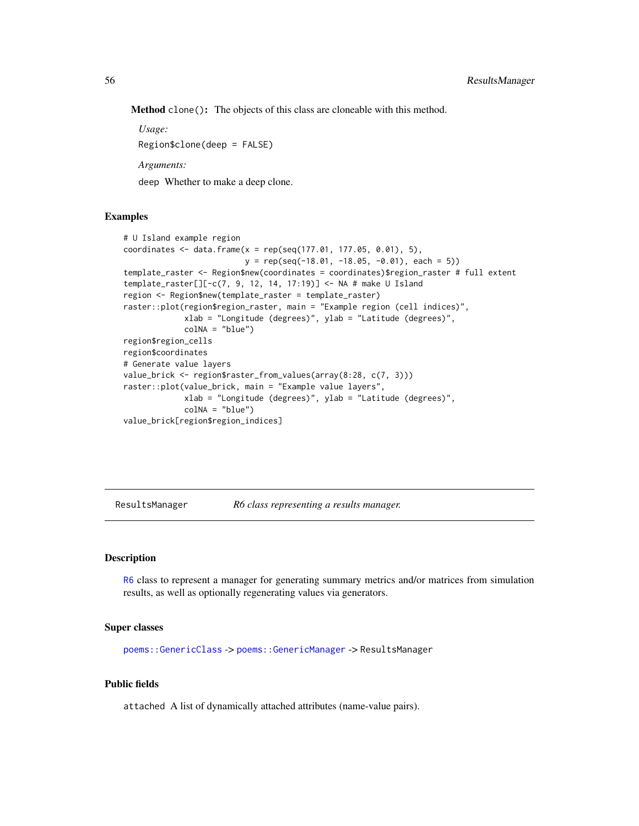Method clone(): The objects of this class are cloneable with this method.

*Usage:*

Region\$clone(deep = FALSE)

*Arguments:*

deep Whether to make a deep clone.

## Examples

```
# U Island example region
coordinates <- data.frame(x = rep(seq(177.01, 177.05, 0.01), 5),
                         y = rep(seq(-18.01, -18.05, -0.01), each = 5)template_raster <- Region$new(coordinates = coordinates)$region_raster # full extent
template_raster[][-c(7, 9, 12, 14, 17:19)] <- NA # make U Island
region <- Region$new(template_raster = template_raster)
raster::plot(region$region_raster, main = "Example region (cell indices)",
            xlab = "Longitude (degrees)", ylab = "Latitude (degrees)",
            colNA = "blue")region$region_cells
region$coordinates
# Generate value layers
value_brick <- region$raster_from_values(array(8:28, c(7, 3)))
raster::plot(value_brick, main = "Example value layers",
            xlab = "Longitude (degrees)", ylab = "Latitude (degrees)",
            colNA = "blue")value_brick[region$region_indices]
```
ResultsManager *R6 class representing a results manager.*

## Description

[R6](#page-0-0) class to represent a manager for generating summary metrics and/or matrices from simulation results, as well as optionally regenerating values via generators.

#### Super classes

[poems::GenericClass](#page-0-0) -> [poems::GenericManager](#page-0-0) -> ResultsManager

# Public fields

attached A list of dynamically attached attributes (name-value pairs).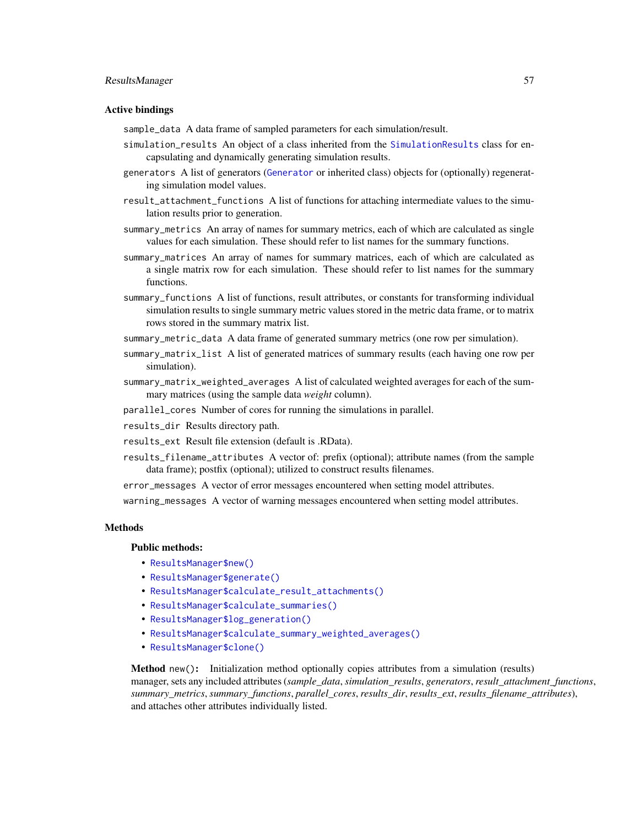#### ResultsManager 57

#### Active bindings

sample\_data A data frame of sampled parameters for each simulation/result.

- simulation\_results An object of a class inherited from the [SimulationResults](#page-66-0) class for encapsulating and dynamically generating simulation results.
- generators A list of generators ([Generator](#page-12-0) or inherited class) objects for (optionally) regenerating simulation model values.
- result\_attachment\_functions A list of functions for attaching intermediate values to the simulation results prior to generation.
- summary\_metrics An array of names for summary metrics, each of which are calculated as single values for each simulation. These should refer to list names for the summary functions.
- summary\_matrices An array of names for summary matrices, each of which are calculated as a single matrix row for each simulation. These should refer to list names for the summary functions.
- summary\_functions A list of functions, result attributes, or constants for transforming individual simulation results to single summary metric values stored in the metric data frame, or to matrix rows stored in the summary matrix list.
- summary\_metric\_data A data frame of generated summary metrics (one row per simulation).
- summary\_matrix\_list A list of generated matrices of summary results (each having one row per simulation).
- summary\_matrix\_weighted\_averages A list of calculated weighted averages for each of the summary matrices (using the sample data *weight* column).
- parallel\_cores Number of cores for running the simulations in parallel.
- results\_dir Results directory path.
- results\_ext Result file extension (default is .RData).
- results\_filename\_attributes A vector of: prefix (optional); attribute names (from the sample data frame); postfix (optional); utilized to construct results filenames.

error\_messages A vector of error messages encountered when setting model attributes.

warning\_messages A vector of warning messages encountered when setting model attributes.

## **Methods**

#### Public methods:

- [ResultsManager\\$new\(\)](#page-6-0)
- [ResultsManager\\$generate\(\)](#page-14-0)
- [ResultsManager\\$calculate\\_result\\_attachments\(\)](#page-57-0)
- [ResultsManager\\$calculate\\_summaries\(\)](#page-57-1)
- [ResultsManager\\$log\\_generation\(\)](#page-57-2)
- [ResultsManager\\$calculate\\_summary\\_weighted\\_averages\(\)](#page-57-3)
- [ResultsManager\\$clone\(\)](#page-3-0)

Method new(): Initialization method optionally copies attributes from a simulation (results) manager, sets any included attributes (*sample\_data*, *simulation\_results*, *generators*, *result\_attachment\_functions*, *summary\_metrics*, *summary\_functions*, *parallel\_cores*, *results\_dir*, *results\_ext*, *results\_filename\_attributes*), and attaches other attributes individually listed.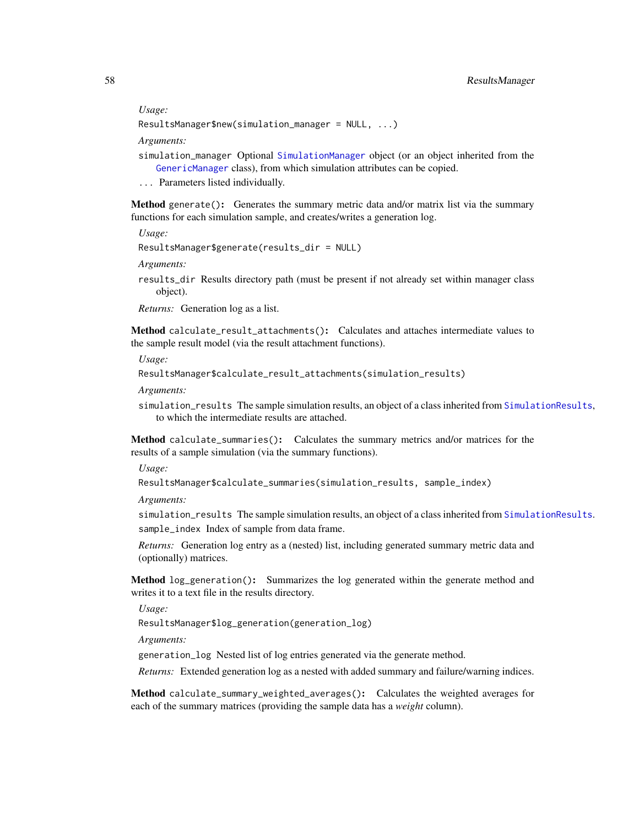*Usage:*

```
ResultsManager$new(simulation_manager = NULL, ...)
```
*Arguments:*

- simulation\_manager Optional [SimulationManager](#page-59-0) object (or an object inherited from the [GenericManager](#page-19-0) class), from which simulation attributes can be copied.
- ... Parameters listed individually.

Method generate(): Generates the summary metric data and/or matrix list via the summary functions for each simulation sample, and creates/writes a generation log.

*Usage:*

ResultsManager\$generate(results\_dir = NULL)

*Arguments:*

results\_dir Results directory path (must be present if not already set within manager class object).

*Returns:* Generation log as a list.

<span id="page-57-0"></span>Method calculate\_result\_attachments(): Calculates and attaches intermediate values to the sample result model (via the result attachment functions).

*Usage:*

```
ResultsManager$calculate_result_attachments(simulation_results)
```
*Arguments:*

simulation\_results The sample simulation results, an object of a class inherited from [SimulationResults](#page-66-0), to which the intermediate results are attached.

<span id="page-57-1"></span>Method calculate\_summaries(): Calculates the summary metrics and/or matrices for the results of a sample simulation (via the summary functions).

*Usage:*

ResultsManager\$calculate\_summaries(simulation\_results, sample\_index)

*Arguments:*

simulation\_results The sample simulation results, an object of a class inherited from [SimulationResults](#page-66-0). sample\_index Index of sample from data frame.

*Returns:* Generation log entry as a (nested) list, including generated summary metric data and (optionally) matrices.

<span id="page-57-2"></span>Method log\_generation(): Summarizes the log generated within the generate method and writes it to a text file in the results directory.

*Usage:*

ResultsManager\$log\_generation(generation\_log)

*Arguments:*

generation\_log Nested list of log entries generated via the generate method.

*Returns:* Extended generation log as a nested with added summary and failure/warning indices.

<span id="page-57-3"></span>Method calculate\_summary\_weighted\_averages(): Calculates the weighted averages for each of the summary matrices (providing the sample data has a *weight* column).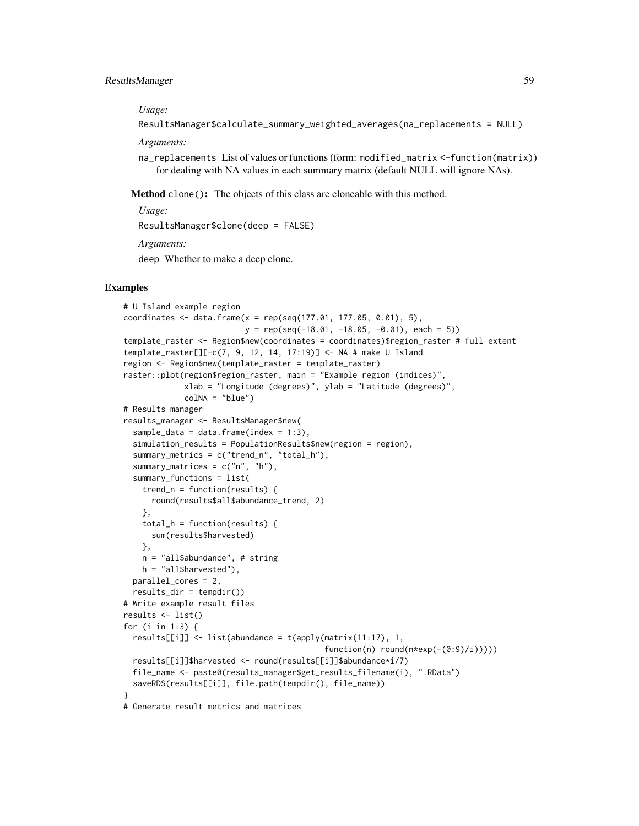*Usage:*

ResultsManager\$calculate\_summary\_weighted\_averages(na\_replacements = NULL)

*Arguments:*

na\_replacements List of values or functions (form: modified\_matrix <-function(matrix)) for dealing with NA values in each summary matrix (default NULL will ignore NAs).

Method clone(): The objects of this class are cloneable with this method.

*Usage:* ResultsManager\$clone(deep = FALSE) *Arguments:*

deep Whether to make a deep clone.

## Examples

```
# U Island example region
coordinates \leq data.frame(x = rep(seq(177.01, 177.05, 0.01), 5),
                          y = rep(seq(-18.01, -18.05, -0.01), each = 5))
template_raster <- Region$new(coordinates = coordinates)$region_raster # full extent
template_raster[][-c(7, 9, 12, 14, 17:19)] <- NA # make U Island
region <- Region$new(template_raster = template_raster)
raster::plot(region$region_raster, main = "Example region (indices)",
            xlab = "Longitude (degrees)", ylab = "Latitude (degrees)",
             colNA = "blue")# Results manager
results_manager <- ResultsManager$new(
 sample_data = data.frame(index = 1:3),
 simulation_results = PopulationResults$new(region = region),
 summary_metrics = c("trend_n", "total_h"),
 summary_matrices = c("n", "h"),
 summary_functions = list(
   trend_n = function(results) {
     round(results$all$abundance_trend, 2)
   },
   total_h = function(results) {
     sum(results$harvested)
   },
   n = "all$abundance", # string
   h = "all$harvested"),
 parallel_cores = 2,
 results_dir = tempdir()# Write example result files
results <- list()
for (i in 1:3) {
 results[[i]] <- list(abundance = t(apply(matrix(11:17), 1,
                                           function(n) round(n*exp(-(0:9)/i)))))
 results[[i]]$harvested <- round(results[[i]]$abundance*i/7)
 file_name <- paste0(results_manager$get_results_filename(i), ".RData")
 saveRDS(results[[i]], file.path(tempdir(), file_name))
}
# Generate result metrics and matrices
```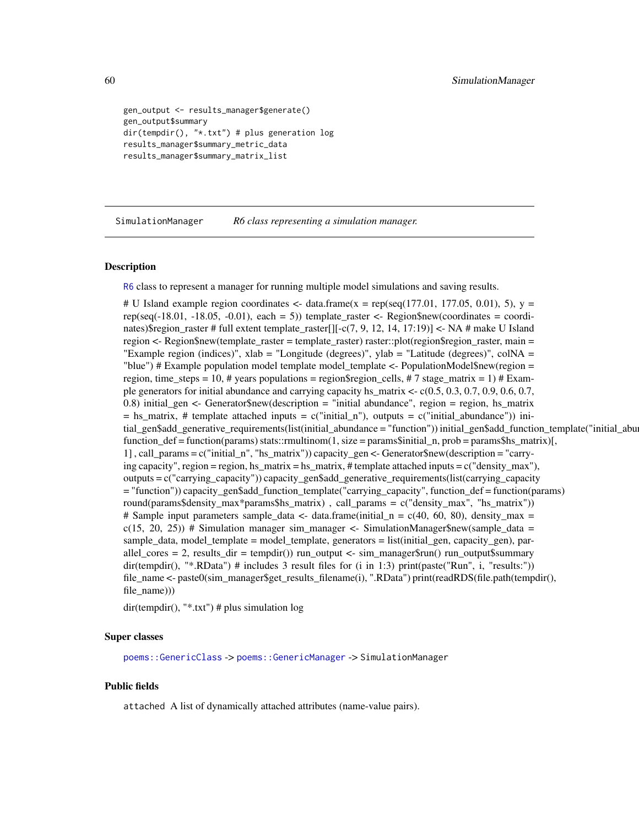```
gen_output <- results_manager$generate()
gen_output$summary
dir(tempdir(), "*.txt") # plus generation log
results_manager$summary_metric_data
results_manager$summary_matrix_list
```
<span id="page-59-0"></span>SimulationManager *R6 class representing a simulation manager.*

#### Description

[R6](#page-0-0) class to represent a manager for running multiple model simulations and saving results.

# U Island example region coordinates  $\lt$ - data.frame(x = rep(seq(177.01, 177.05, 0.01), 5), y = rep(seq(-18.01, -18.05, -0.01), each = 5)) template\_raster  $\lt$ - Region\$new(coordinates = coordinates)\$region\_raster # full extent template\_raster[][-c(7, 9, 12, 14, 17:19)] <- NA # make U Island region <- Region\$new(template\_raster = template\_raster) raster::plot(region\$region\_raster, main = "Example region (indices)",  $x \,$ lab = "Longitude (degrees)",  $y \,$ lab = "Latitude (degrees)", colNA = "blue") # Example population model template model\_template <- PopulationModel\$new(region = region, time\_steps = 10, # years populations = region\$region\_cells, #7 stage\_matrix = 1) # Example generators for initial abundance and carrying capacity hs\_matrix <- c(0.5, 0.3, 0.7, 0.9, 0.6, 0.7, 0.8) initial\_gen <- Generator\$new(description = "initial abundance", region = region, hs\_matrix  $=$  hs\_matrix, # template attached inputs  $= c("initial_n")$ , outputs  $= c("initial_nabundance")$  initial\_gen\$add\_generative\_requirements(list(initial\_abundance = "function")) initial\_gen\$add\_function\_template("initial\_abu function\_def = function(params) stats::rmultinom(1, size = params\$initial\_n, prob = params\$hs\_matrix)[, 1] , call\_params = c("initial\_n", "hs\_matrix")) capacity\_gen <- Generator\$new(description = "carrying capacity", region = region, hs\_matrix = hs\_matrix, # template attached inputs = c("density\_max"), outputs =  $c("carrying capacity")$ ) capacity gen\$add\_generative\_requirements(list(carrying\_capacity = "function")) capacity\_gen\$add\_function\_template("carrying\_capacity", function\_def = function(params) round(params\$density\_max\*params\$hs\_matrix) , call\_params = c("density\_max", "hs\_matrix")) # Sample input parameters sample\_data <- data.frame(initial\_ $n = c(40, 60, 80)$ , density\_max =  $c(15, 20, 25)$  # Simulation manager sim\_manager <- SimulationManager\$new(sample\_data = sample\_data, model\_template = model\_template, generators = list(initial\_gen, capacity\_gen), parallel cores = 2, results dir = tempdir()) run\_output <- sim\_manager\$run() run\_output\$summary dir(tempdir(), "\*.RData") # includes 3 result files for (i in 1:3) print(paste("Run", i, "results:")) file\_name <- paste0(sim\_manager\$get\_results\_filename(i), ".RData") print(readRDS(file.path(tempdir(), file\_name)))

dir(tempdir(), "\*.txt") # plus simulation log

#### Super classes

[poems::GenericClass](#page-0-0) -> [poems::GenericManager](#page-0-0) -> SimulationManager

## Public fields

attached A list of dynamically attached attributes (name-value pairs).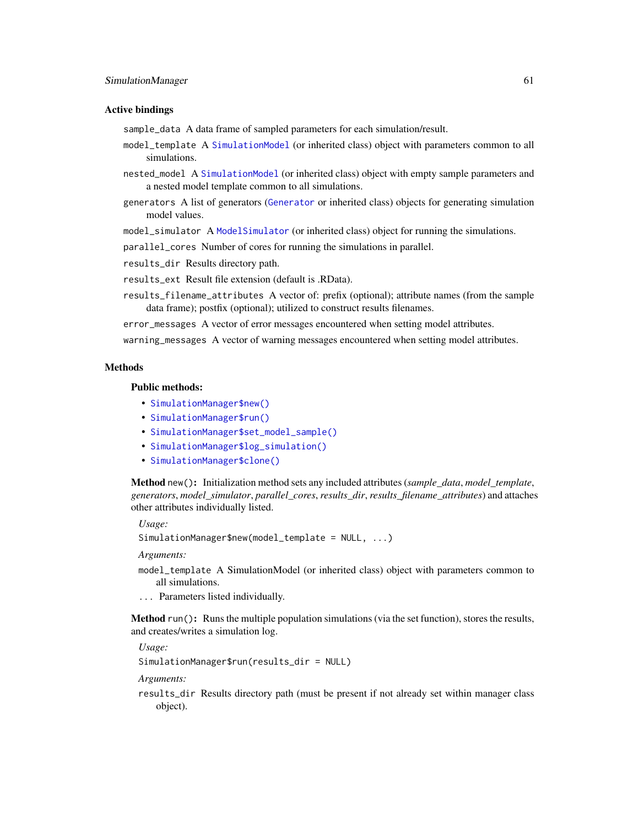#### SimulationManager 61

#### Active bindings

sample\_data A data frame of sampled parameters for each simulation/result.

- model\_template A [SimulationModel](#page-61-0) (or inherited class) object with parameters common to all simulations.
- nested\_model A [SimulationModel](#page-61-0) (or inherited class) object with empty sample parameters and a nested model template common to all simulations.
- generators A list of generators ([Generator](#page-12-0) or inherited class) objects for generating simulation model values.

model\_simulator A [ModelSimulator](#page-27-0) (or inherited class) object for running the simulations.

parallel\_cores Number of cores for running the simulations in parallel.

results\_dir Results directory path.

results\_ext Result file extension (default is .RData).

results\_filename\_attributes A vector of: prefix (optional); attribute names (from the sample data frame); postfix (optional); utilized to construct results filenames.

error\_messages A vector of error messages encountered when setting model attributes.

warning\_messages A vector of warning messages encountered when setting model attributes.

# Methods

## Public methods:

- [SimulationManager\\$new\(\)](#page-6-0)
- [SimulationManager\\$run\(\)](#page-28-0)
- [SimulationManager\\$set\\_model\\_sample\(\)](#page-61-1)
- [SimulationManager\\$log\\_simulation\(\)](#page-61-2)
- [SimulationManager\\$clone\(\)](#page-3-0)

Method new(): Initialization method sets any included attributes (*sample\_data*, *model\_template*, *generators*, *model\_simulator*, *parallel\_cores*, *results\_dir*, *results\_filename\_attributes*) and attaches other attributes individually listed.

*Usage:*

```
SimulationManager$new(model_template = NULL, ...)
```
*Arguments:*

- model\_template A SimulationModel (or inherited class) object with parameters common to all simulations.
- ... Parameters listed individually.

Method run(): Runs the multiple population simulations (via the set function), stores the results, and creates/writes a simulation log.

*Usage:*

SimulationManager\$run(results\_dir = NULL)

*Arguments:*

results\_dir Results directory path (must be present if not already set within manager class object).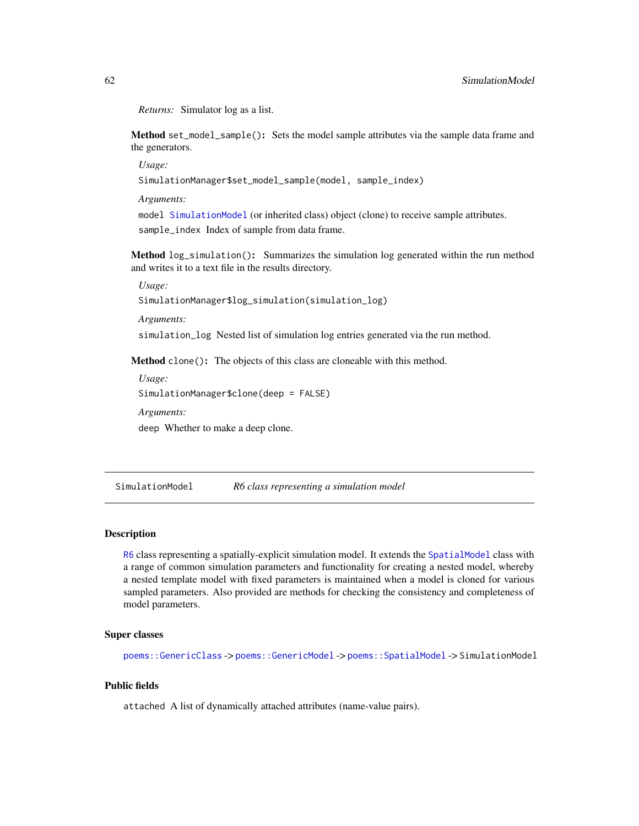*Returns:* Simulator log as a list.

<span id="page-61-1"></span>Method set\_model\_sample(): Sets the model sample attributes via the sample data frame and the generators.

*Usage:*

SimulationManager\$set\_model\_sample(model, sample\_index)

*Arguments:*

model [SimulationModel](#page-61-0) (or inherited class) object (clone) to receive sample attributes. sample\_index Index of sample from data frame.

<span id="page-61-2"></span>Method log\_simulation(): Summarizes the simulation log generated within the run method and writes it to a text file in the results directory.

*Usage:*

SimulationManager\$log\_simulation(simulation\_log)

*Arguments:*

simulation\_log Nested list of simulation log entries generated via the run method.

Method clone(): The objects of this class are cloneable with this method.

*Usage:* SimulationManager\$clone(deep = FALSE) *Arguments:*

deep Whether to make a deep clone.

<span id="page-61-0"></span>SimulationModel *R6 class representing a simulation model*

#### Description

[R6](#page-0-0) class representing a spatially-explicit simulation model. It extends the [SpatialModel](#page-73-0) class with a range of common simulation parameters and functionality for creating a nested model, whereby a nested template model with fixed parameters is maintained when a model is cloned for various sampled parameters. Also provided are methods for checking the consistency and completeness of model parameters.

#### Super classes

[poems::GenericClass](#page-0-0) -> [poems::GenericModel](#page-0-0) -> [poems::SpatialModel](#page-0-0) -> SimulationModel

## Public fields

attached A list of dynamically attached attributes (name-value pairs).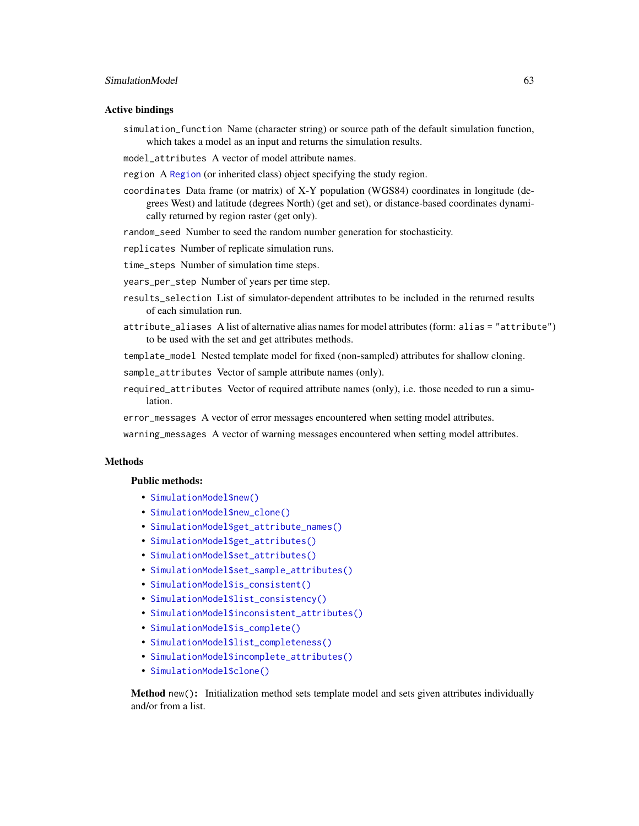## Active bindings

- simulation\_function Name (character string) or source path of the default simulation function, which takes a model as an input and returns the simulation results.
- model attributes A vector of model attribute names.
- region A [Region](#page-53-0) (or inherited class) object specifying the study region.
- coordinates Data frame (or matrix) of X-Y population (WGS84) coordinates in longitude (degrees West) and latitude (degrees North) (get and set), or distance-based coordinates dynamically returned by region raster (get only).
- random\_seed Number to seed the random number generation for stochasticity.
- replicates Number of replicate simulation runs.
- time\_steps Number of simulation time steps.
- years\_per\_step Number of years per time step.
- results\_selection List of simulator-dependent attributes to be included in the returned results of each simulation run.
- attribute\_aliases A list of alternative alias names for model attributes (form: alias = "attribute") to be used with the set and get attributes methods.
- template\_model Nested template model for fixed (non-sampled) attributes for shallow cloning.

sample\_attributes Vector of sample attribute names (only).

- required\_attributes Vector of required attribute names (only), i.e. those needed to run a simulation.
- error\_messages A vector of error messages encountered when setting model attributes.

warning\_messages A vector of warning messages encountered when setting model attributes.

## Methods

## Public methods:

- [SimulationModel\\$new\(\)](#page-6-0)
- [SimulationModel\\$new\\_clone\(\)](#page-13-0)
- [SimulationModel\\$get\\_attribute\\_names\(\)](#page-22-0)
- [SimulationModel\\$get\\_attributes\(\)](#page-14-1)
- [SimulationModel\\$set\\_attributes\(\)](#page-23-0)
- [SimulationModel\\$set\\_sample\\_attributes\(\)](#page-63-0)
- [SimulationModel\\$is\\_consistent\(\)](#page-64-0)
- [SimulationModel\\$list\\_consistency\(\)](#page-35-0)
- [SimulationModel\\$inconsistent\\_attributes\(\)](#page-64-1)
- [SimulationModel\\$is\\_complete\(\)](#page-64-2)
- [SimulationModel\\$list\\_completeness\(\)](#page-64-3)
- [SimulationModel\\$incomplete\\_attributes\(\)](#page-64-4)
- [SimulationModel\\$clone\(\)](#page-3-0)

Method new(): Initialization method sets template model and sets given attributes individually and/or from a list.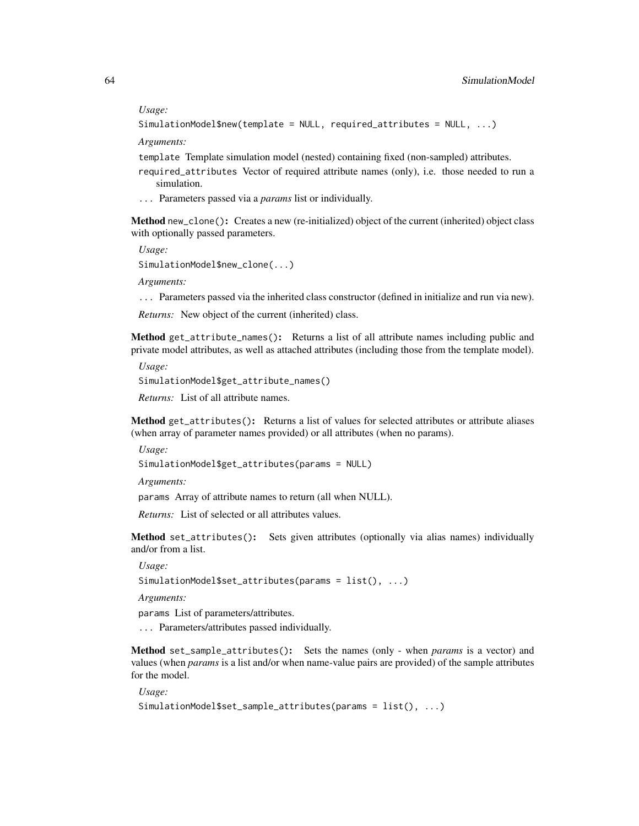*Usage:*

```
SimulationModel$new(template = NULL, required_attributes = NULL, ...)
```
*Arguments:*

template Template simulation model (nested) containing fixed (non-sampled) attributes.

- required\_attributes Vector of required attribute names (only), i.e. those needed to run a simulation.
- ... Parameters passed via a *params* list or individually.

Method new\_clone(): Creates a new (re-initialized) object of the current (inherited) object class with optionally passed parameters.

*Usage:*

SimulationModel\$new\_clone(...)

*Arguments:*

... Parameters passed via the inherited class constructor (defined in initialize and run via new).

*Returns:* New object of the current (inherited) class.

Method get\_attribute\_names(): Returns a list of all attribute names including public and private model attributes, as well as attached attributes (including those from the template model).

*Usage:*

```
SimulationModel$get_attribute_names()
```
*Returns:* List of all attribute names.

Method get\_attributes(): Returns a list of values for selected attributes or attribute aliases (when array of parameter names provided) or all attributes (when no params).

*Usage:*

```
SimulationModel$get_attributes(params = NULL)
```
*Arguments:*

params Array of attribute names to return (all when NULL).

*Returns:* List of selected or all attributes values.

Method set\_attributes(): Sets given attributes (optionally via alias names) individually and/or from a list.

*Usage:*

```
SimulationModel$set_attributes(params = list(), ...)
```
*Arguments:*

params List of parameters/attributes.

... Parameters/attributes passed individually.

<span id="page-63-0"></span>Method set\_sample\_attributes(): Sets the names (only - when *params* is a vector) and values (when *params* is a list and/or when name-value pairs are provided) of the sample attributes for the model.

*Usage:*

```
SimulationModel$set_sample_attributes(params = list(), ...)
```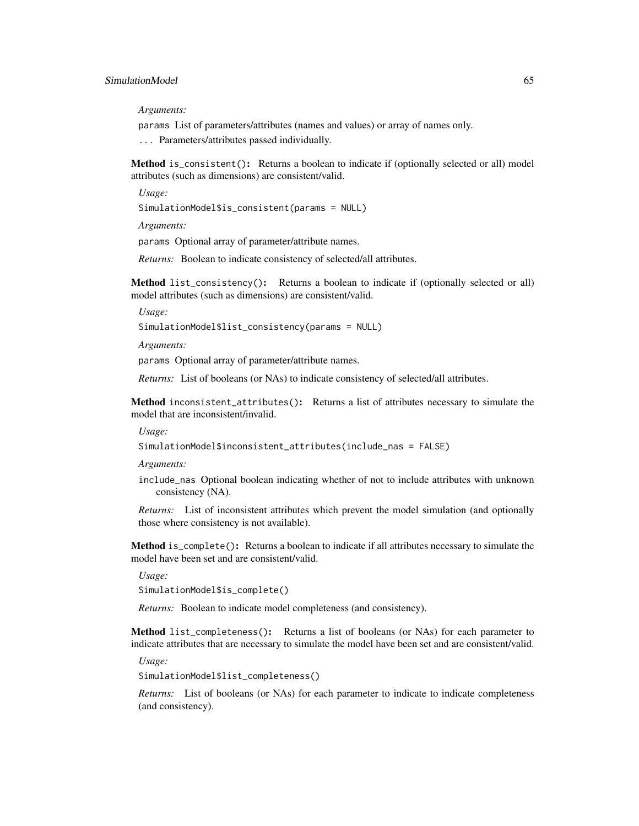*Arguments:*

params List of parameters/attributes (names and values) or array of names only.

... Parameters/attributes passed individually.

<span id="page-64-0"></span>Method is\_consistent(): Returns a boolean to indicate if (optionally selected or all) model attributes (such as dimensions) are consistent/valid.

*Usage:*

SimulationModel\$is\_consistent(params = NULL)

*Arguments:*

params Optional array of parameter/attribute names.

*Returns:* Boolean to indicate consistency of selected/all attributes.

Method list\_consistency(): Returns a boolean to indicate if (optionally selected or all) model attributes (such as dimensions) are consistent/valid.

*Usage:*

SimulationModel\$list\_consistency(params = NULL)

*Arguments:*

params Optional array of parameter/attribute names.

*Returns:* List of booleans (or NAs) to indicate consistency of selected/all attributes.

<span id="page-64-1"></span>Method inconsistent\_attributes(): Returns a list of attributes necessary to simulate the model that are inconsistent/invalid.

*Usage:*

SimulationModel\$inconsistent\_attributes(include\_nas = FALSE)

*Arguments:*

include\_nas Optional boolean indicating whether of not to include attributes with unknown consistency (NA).

*Returns:* List of inconsistent attributes which prevent the model simulation (and optionally those where consistency is not available).

<span id="page-64-2"></span>Method is\_complete(): Returns a boolean to indicate if all attributes necessary to simulate the model have been set and are consistent/valid.

*Usage:*

SimulationModel\$is\_complete()

*Returns:* Boolean to indicate model completeness (and consistency).

<span id="page-64-3"></span>Method list\_completeness(): Returns a list of booleans (or NAs) for each parameter to indicate attributes that are necessary to simulate the model have been set and are consistent/valid.

*Usage:*

SimulationModel\$list\_completeness()

<span id="page-64-4"></span>*Returns:* List of booleans (or NAs) for each parameter to indicate to indicate completeness (and consistency).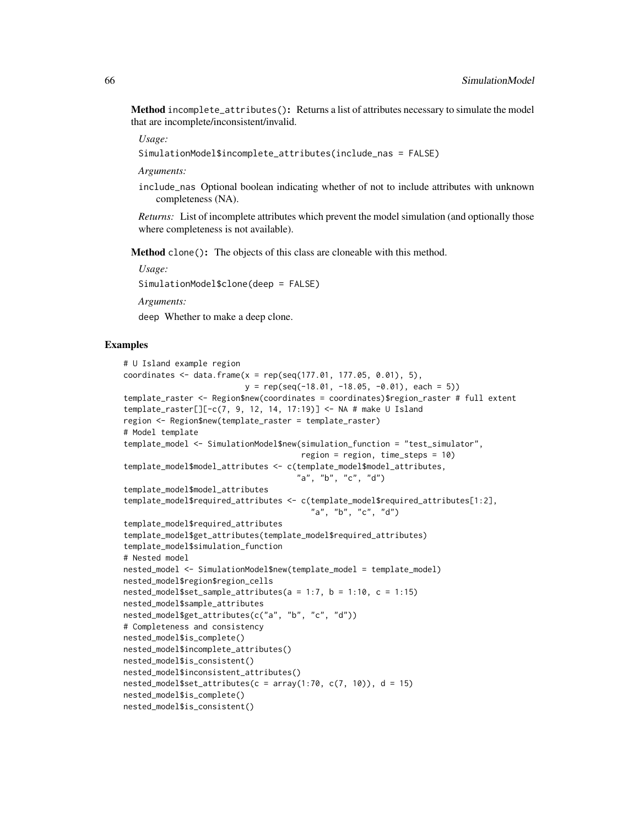Method incomplete\_attributes(): Returns a list of attributes necessary to simulate the model that are incomplete/inconsistent/invalid.

*Usage:*

SimulationModel\$incomplete\_attributes(include\_nas = FALSE)

*Arguments:*

include\_nas Optional boolean indicating whether of not to include attributes with unknown completeness (NA).

*Returns:* List of incomplete attributes which prevent the model simulation (and optionally those where completeness is not available).

Method clone(): The objects of this class are cloneable with this method.

*Usage:*

SimulationModel\$clone(deep = FALSE)

*Arguments:*

deep Whether to make a deep clone.

### Examples

```
# U Island example region
coordinates \leq data.frame(x = rep(seq(177.01, 177.05, 0.01), 5),
                          y = rep(seq(-18.01, -18.05, -0.01), each = 5)template_raster <- Region$new(coordinates = coordinates)$region_raster # full extent
template_raster[][-c(7, 9, 12, 14, 17:19)] <- NA # make U Island
region <- Region$new(template_raster = template_raster)
# Model template
template_model <- SimulationModel$new(simulation_function = "test_simulator",
                                      region = region, time_steps = 10)
template_model$model_attributes <- c(template_model$model_attributes,
                                     "a", "b", "c", "d")
template_model$model_attributes
template_model$required_attributes <- c(template_model$required_attributes[1:2],
                                        "a", "b", "c", "d")
template_model$required_attributes
template_model$get_attributes(template_model$required_attributes)
template_model$simulation_function
# Nested model
nested_model <- SimulationModel$new(template_model = template_model)
nested_model$region$region_cells
nested_model$set_sample_attributes(a = 1:7, b = 1:10, c = 1:15)
nested_model$sample_attributes
nested_model$get_attributes(c("a", "b", "c", "d"))
# Completeness and consistency
nested_model$is_complete()
nested_model$incomplete_attributes()
nested_model$is_consistent()
nested_model$inconsistent_attributes()
nested_model$set_attributes(c = array(1:70, c(7, 10)), d = 15)
nested_model$is_complete()
nested_model$is_consistent()
```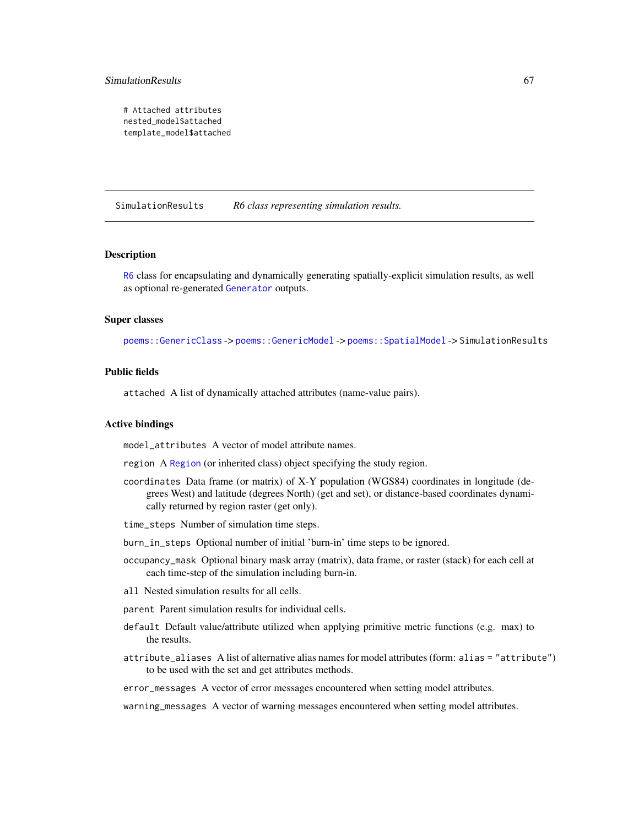# SimulationResults 67

```
# Attached attributes
nested_model$attached
template_model$attached
```
<span id="page-66-0"></span>SimulationResults *R6 class representing simulation results.*

## **Description**

[R6](#page-0-0) class for encapsulating and dynamically generating spatially-explicit simulation results, as well as optional re-generated [Generator](#page-12-0) outputs.

## Super classes

[poems::GenericClass](#page-0-0) -> [poems::GenericModel](#page-0-0) -> [poems::SpatialModel](#page-0-0) -> SimulationResults

# Public fields

attached A list of dynamically attached attributes (name-value pairs).

## Active bindings

model\_attributes A vector of model attribute names.

region A [Region](#page-53-0) (or inherited class) object specifying the study region.

- coordinates Data frame (or matrix) of X-Y population (WGS84) coordinates in longitude (degrees West) and latitude (degrees North) (get and set), or distance-based coordinates dynamically returned by region raster (get only).
- time\_steps Number of simulation time steps.
- burn\_in\_steps Optional number of initial 'burn-in' time steps to be ignored.
- occupancy\_mask Optional binary mask array (matrix), data frame, or raster (stack) for each cell at each time-step of the simulation including burn-in.
- all Nested simulation results for all cells.
- parent Parent simulation results for individual cells.
- default Default value/attribute utilized when applying primitive metric functions (e.g. max) to the results.
- attribute\_aliases A list of alternative alias names for model attributes (form: alias = "attribute") to be used with the set and get attributes methods.
- error\_messages A vector of error messages encountered when setting model attributes.

warning\_messages A vector of warning messages encountered when setting model attributes.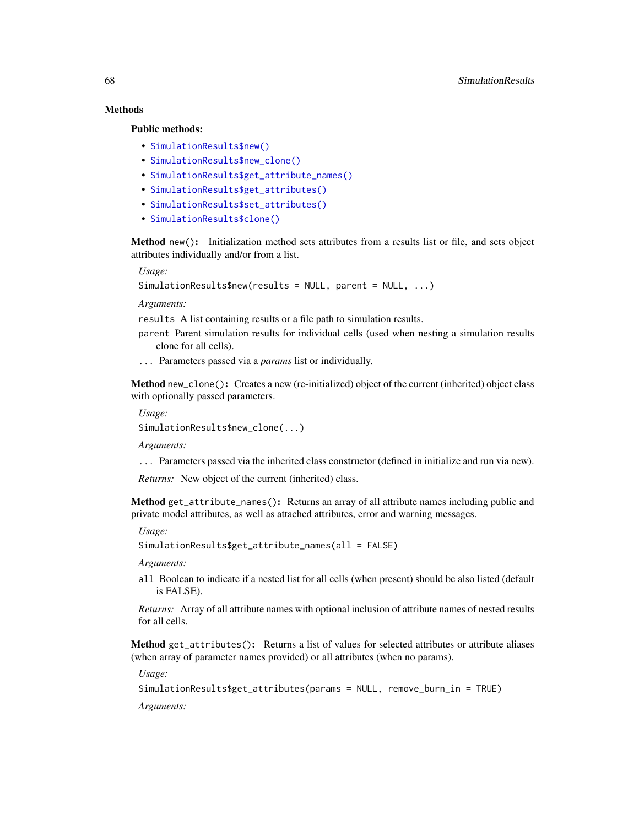# Methods

## Public methods:

- [SimulationResults\\$new\(\)](#page-6-0)
- [SimulationResults\\$new\\_clone\(\)](#page-13-0)
- [SimulationResults\\$get\\_attribute\\_names\(\)](#page-22-0)
- [SimulationResults\\$get\\_attributes\(\)](#page-14-1)
- [SimulationResults\\$set\\_attributes\(\)](#page-23-0)
- [SimulationResults\\$clone\(\)](#page-3-0)

Method new(): Initialization method sets attributes from a results list or file, and sets object attributes individually and/or from a list.

*Usage:*

```
SimulationResults$new(results = NULL, parent = NULL, ...)
```
*Arguments:*

results A list containing results or a file path to simulation results.

- parent Parent simulation results for individual cells (used when nesting a simulation results clone for all cells).
- ... Parameters passed via a *params* list or individually.

Method new\_clone(): Creates a new (re-initialized) object of the current (inherited) object class with optionally passed parameters.

*Usage:*

SimulationResults\$new\_clone(...)

*Arguments:*

... Parameters passed via the inherited class constructor (defined in initialize and run via new).

*Returns:* New object of the current (inherited) class.

Method get\_attribute\_names(): Returns an array of all attribute names including public and private model attributes, as well as attached attributes, error and warning messages.

*Usage:*

SimulationResults\$get\_attribute\_names(all = FALSE)

*Arguments:*

all Boolean to indicate if a nested list for all cells (when present) should be also listed (default is FALSE).

*Returns:* Array of all attribute names with optional inclusion of attribute names of nested results for all cells.

Method get\_attributes(): Returns a list of values for selected attributes or attribute aliases (when array of parameter names provided) or all attributes (when no params).

*Usage:*

SimulationResults\$get\_attributes(params = NULL, remove\_burn\_in = TRUE)

*Arguments:*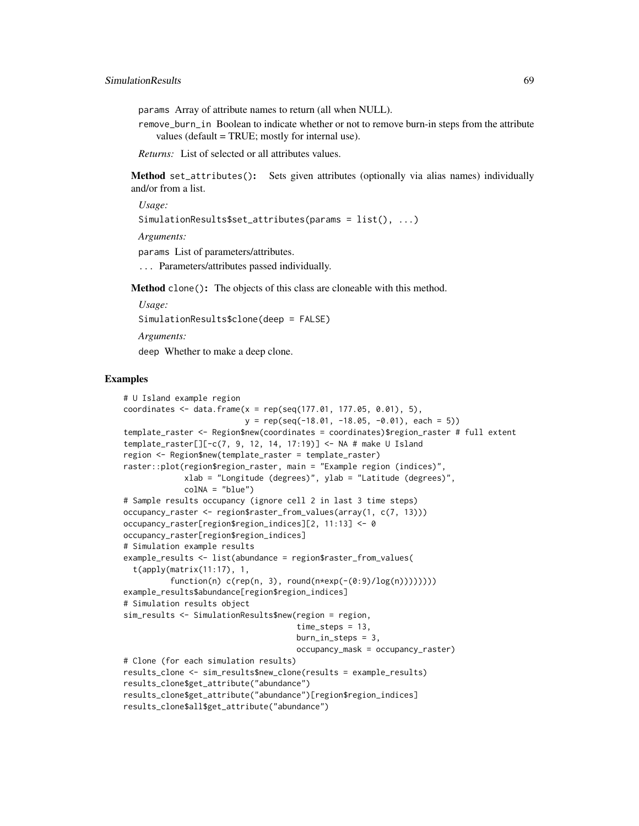params Array of attribute names to return (all when NULL).

remove\_burn\_in Boolean to indicate whether or not to remove burn-in steps from the attribute values (default = TRUE; mostly for internal use).

*Returns:* List of selected or all attributes values.

Method set\_attributes(): Sets given attributes (optionally via alias names) individually and/or from a list.

*Usage:* SimulationResults\$set\_attributes(params = list(), ...)

*Arguments:*

params List of parameters/attributes.

... Parameters/attributes passed individually.

Method clone(): The objects of this class are cloneable with this method.

*Usage:* SimulationResults\$clone(deep = FALSE) *Arguments:*

deep Whether to make a deep clone.

# Examples

```
# U Island example region
coordinates <- data.frame(x = rep(seq(177.01, 177.05, 0.01), 5),
                          y = rep(seq(-18.01, -18.05, -0.01), each = 5)template_raster <- Region$new(coordinates = coordinates)$region_raster # full extent
template_raster[][-c(7, 9, 12, 14, 17:19)] <- NA # make U Island
region <- Region$new(template_raster = template_raster)
raster::plot(region$region_raster, main = "Example region (indices)",
             xlab = "Longitude (degrees)", ylab = "Latitude (degrees)",
             colNA = "blue")# Sample results occupancy (ignore cell 2 in last 3 time steps)
occupancy_raster <- region$raster_from_values(array(1, c(7, 13)))
occupancy_raster[region$region_indices][2, 11:13] <- 0
occupancy_raster[region$region_indices]
# Simulation example results
example_results <- list(abundance = region$raster_from_values(
  t(apply(matrix(11:17), 1,
          function(n) c(rep(n, 3), round(n+exp(-(0:9)/log(n))))))example_results$abundance[region$region_indices]
# Simulation results object
sim_results <- SimulationResults$new(region = region,
                                     time_steps = 13,
                                     burn_in_steps = 3,
                                     occupancy_mask = occupancy_raster)
# Clone (for each simulation results)
results_clone <- sim_results$new_clone(results = example_results)
results_clone$get_attribute("abundance")
results_clone$get_attribute("abundance")[region$region_indices]
results_clone$all$get_attribute("abundance")
```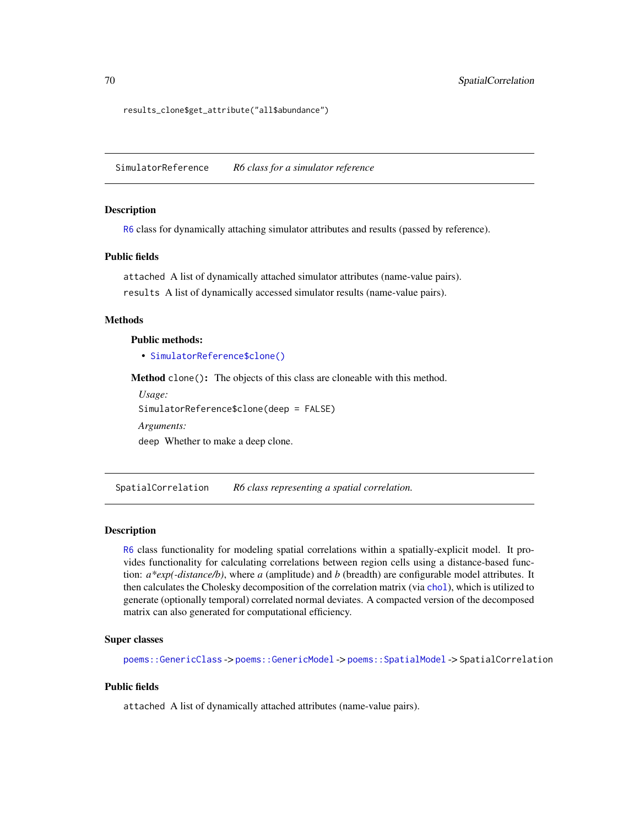results\_clone\$get\_attribute("all\$abundance")

<span id="page-69-0"></span>SimulatorReference *R6 class for a simulator reference*

# **Description**

[R6](#page-0-0) class for dynamically attaching simulator attributes and results (passed by reference).

# Public fields

attached A list of dynamically attached simulator attributes (name-value pairs). results A list of dynamically accessed simulator results (name-value pairs).

# Methods

# Public methods:

• [SimulatorReference\\$clone\(\)](#page-3-0)

Method clone(): The objects of this class are cloneable with this method.

```
Usage:
SimulatorReference$clone(deep = FALSE)
Arguments:
deep Whether to make a deep clone.
```
<span id="page-69-1"></span>SpatialCorrelation *R6 class representing a spatial correlation.*

#### Description

[R6](#page-0-0) class functionality for modeling spatial correlations within a spatially-explicit model. It provides functionality for calculating correlations between region cells using a distance-based function: *a\*exp(-distance/b)*, where *a* (amplitude) and *b* (breadth) are configurable model attributes. It then calculates the Cholesky decomposition of the correlation matrix (via [chol](#page-0-0)), which is utilized to generate (optionally temporal) correlated normal deviates. A compacted version of the decomposed matrix can also generated for computational efficiency.

#### Super classes

[poems::GenericClass](#page-0-0) -> [poems::GenericModel](#page-0-0) -> [poems::SpatialModel](#page-0-0) -> SpatialCorrelation

# Public fields

attached A list of dynamically attached attributes (name-value pairs).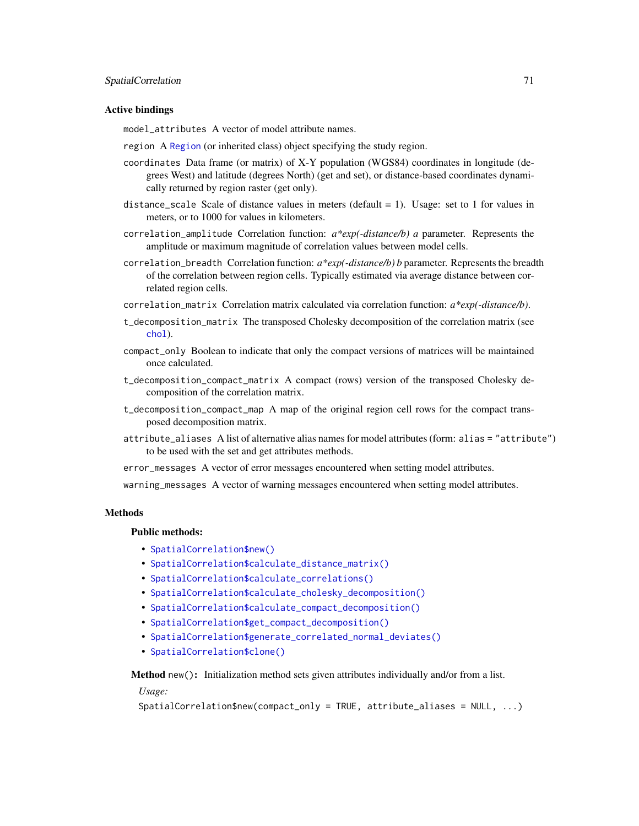## Active bindings

model\_attributes A vector of model attribute names.

- region A [Region](#page-53-0) (or inherited class) object specifying the study region.
- coordinates Data frame (or matrix) of X-Y population (WGS84) coordinates in longitude (degrees West) and latitude (degrees North) (get and set), or distance-based coordinates dynamically returned by region raster (get only).
- distance\_scale Scale of distance values in meters (default  $= 1$ ). Usage: set to 1 for values in meters, or to 1000 for values in kilometers.
- correlation\_amplitude Correlation function: *a\*exp(-distance/b) a* parameter. Represents the amplitude or maximum magnitude of correlation values between model cells.
- correlation\_breadth Correlation function: *a\*exp(-distance/b) b* parameter. Represents the breadth of the correlation between region cells. Typically estimated via average distance between correlated region cells.
- correlation\_matrix Correlation matrix calculated via correlation function: *a\*exp(-distance/b)*.
- t\_decomposition\_matrix The transposed Cholesky decomposition of the correlation matrix (see [chol](#page-0-0)).
- compact\_only Boolean to indicate that only the compact versions of matrices will be maintained once calculated.
- t\_decomposition\_compact\_matrix A compact (rows) version of the transposed Cholesky decomposition of the correlation matrix.
- t\_decomposition\_compact\_map A map of the original region cell rows for the compact transposed decomposition matrix.
- attribute\_aliases A list of alternative alias names for model attributes (form: alias = "attribute") to be used with the set and get attributes methods.
- error\_messages A vector of error messages encountered when setting model attributes.

warning\_messages A vector of warning messages encountered when setting model attributes.

## **Methods**

#### Public methods:

- [SpatialCorrelation\\$new\(\)](#page-6-0)
- [SpatialCorrelation\\$calculate\\_distance\\_matrix\(\)](#page-7-0)
- [SpatialCorrelation\\$calculate\\_correlations\(\)](#page-71-0)
- [SpatialCorrelation\\$calculate\\_cholesky\\_decomposition\(\)](#page-71-1)
- [SpatialCorrelation\\$calculate\\_compact\\_decomposition\(\)](#page-72-0)
- [SpatialCorrelation\\$get\\_compact\\_decomposition\(\)](#page-72-1)
- [SpatialCorrelation\\$generate\\_correlated\\_normal\\_deviates\(\)](#page-72-2)
- [SpatialCorrelation\\$clone\(\)](#page-3-0)

Method new(): Initialization method sets given attributes individually and/or from a list.

*Usage:*

```
SpatialCorrelation$new(compact_only = TRUE, attribute_aliases = NULL, ...)
```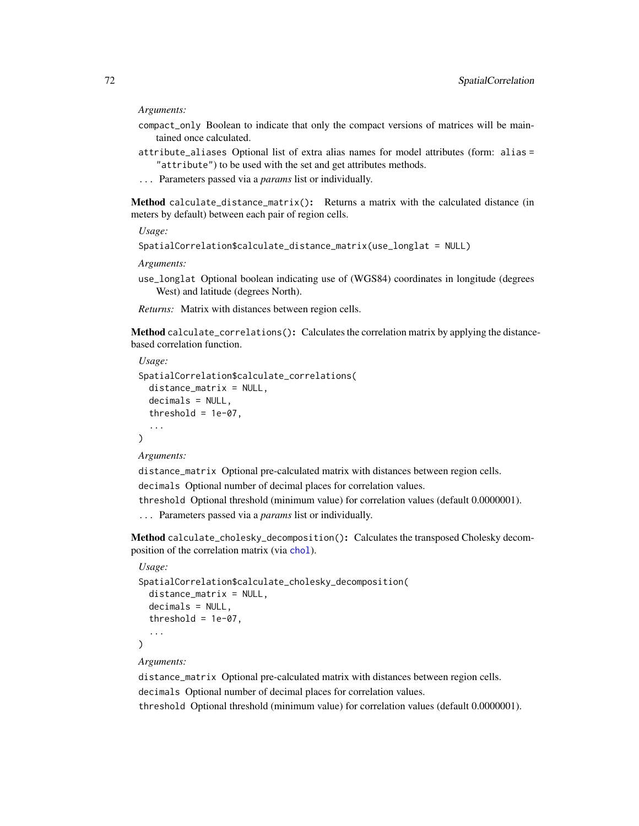#### *Arguments:*

- compact\_only Boolean to indicate that only the compact versions of matrices will be maintained once calculated.
- attribute\_aliases Optional list of extra alias names for model attributes (form: alias = "attribute") to be used with the set and get attributes methods.
- ... Parameters passed via a *params* list or individually.

Method calculate\_distance\_matrix(): Returns a matrix with the calculated distance (in meters by default) between each pair of region cells.

*Usage:*

```
SpatialCorrelation$calculate_distance_matrix(use_longlat = NULL)
```
*Arguments:*

use\_longlat Optional boolean indicating use of (WGS84) coordinates in longitude (degrees West) and latitude (degrees North).

*Returns:* Matrix with distances between region cells.

<span id="page-71-0"></span>Method calculate\_correlations(): Calculates the correlation matrix by applying the distancebased correlation function.

```
Usage:
SpatialCorrelation$calculate_correlations(
  distance_matrix = NULL,
 decimals = NULL,
  threshold = 1e-07,
  ...
\lambda
```
*Arguments:*

distance\_matrix Optional pre-calculated matrix with distances between region cells. decimals Optional number of decimal places for correlation values.

threshold Optional threshold (minimum value) for correlation values (default 0.0000001).

... Parameters passed via a *params* list or individually.

<span id="page-71-1"></span>Method calculate\_cholesky\_decomposition(): Calculates the transposed Cholesky decomposition of the correlation matrix (via [chol](#page-0-0)).

## *Usage:*

```
SpatialCorrelation$calculate_cholesky_decomposition(
  distance_matrix = NULL,
  decimals = NULL,
  threshold = 1e-07,
  ...
\lambda
```
*Arguments:*

distance\_matrix Optional pre-calculated matrix with distances between region cells. decimals Optional number of decimal places for correlation values.

threshold Optional threshold (minimum value) for correlation values (default 0.0000001).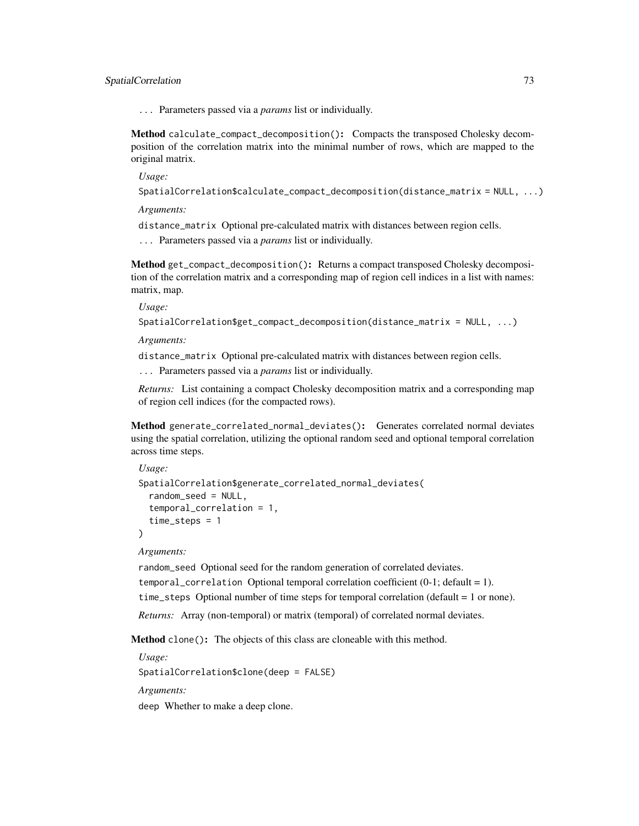# SpatialCorrelation 73

... Parameters passed via a *params* list or individually.

Method calculate\_compact\_decomposition(): Compacts the transposed Cholesky decomposition of the correlation matrix into the minimal number of rows, which are mapped to the original matrix.

*Usage:*

```
SpatialCorrelation$calculate_compact_decomposition(distance_matrix = NULL, ...)
```
*Arguments:*

distance\_matrix Optional pre-calculated matrix with distances between region cells.

... Parameters passed via a *params* list or individually.

Method get\_compact\_decomposition(): Returns a compact transposed Cholesky decomposition of the correlation matrix and a corresponding map of region cell indices in a list with names: matrix, map.

*Usage:*

```
SpatialCorrelation$get_compact_decomposition(distance_matrix = NULL, ...)
```
*Arguments:*

distance\_matrix Optional pre-calculated matrix with distances between region cells.

... Parameters passed via a *params* list or individually.

*Returns:* List containing a compact Cholesky decomposition matrix and a corresponding map of region cell indices (for the compacted rows).

Method generate\_correlated\_normal\_deviates(): Generates correlated normal deviates using the spatial correlation, utilizing the optional random seed and optional temporal correlation across time steps.

```
Usage:
SpatialCorrelation$generate_correlated_normal_deviates(
  random_seed = NULL,
  temporal_correlation = 1,
  time_steps = 1
)
```
#### *Arguments:*

random\_seed Optional seed for the random generation of correlated deviates. temporal\_correlation Optional temporal correlation coefficient (0-1; default = 1). time\_steps Optional number of time steps for temporal correlation (default = 1 or none). *Returns:* Array (non-temporal) or matrix (temporal) of correlated normal deviates.

Method clone(): The objects of this class are cloneable with this method.

*Usage:* SpatialCorrelation\$clone(deep = FALSE) *Arguments:* deep Whether to make a deep clone.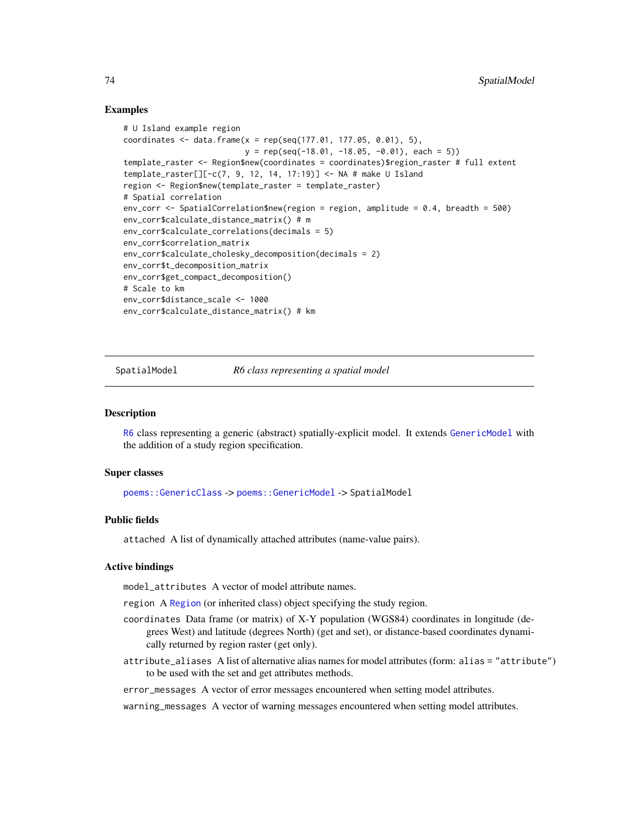# Examples

```
# U Island example region
coordinates \leq data.frame(x = rep(seq(177.01, 177.05, 0.01), 5),
                          y = rep(seq(-18.01, -18.05, -0.01), each = 5)template_raster <- Region$new(coordinates = coordinates)$region_raster # full extent
template_raster[][-c(7, 9, 12, 14, 17:19)] <- NA # make U Island
region <- Region$new(template_raster = template_raster)
# Spatial correlation
env_corr <- SpatialCorrelation$new(region = region, amplitude = 0.4, breadth = 500)
env_corr$calculate_distance_matrix() # m
env_corr$calculate_correlations(decimals = 5)
env_corr$correlation_matrix
env_corr$calculate_cholesky_decomposition(decimals = 2)
env_corr$t_decomposition_matrix
env_corr$get_compact_decomposition()
# Scale to km
env_corr$distance_scale <- 1000
env_corr$calculate_distance_matrix() # km
```
SpatialModel *R6 class representing a spatial model*

## Description

[R6](#page-0-0) class representing a generic (abstract) spatially-explicit model. It extends [GenericModel](#page-21-0) with the addition of a study region specification.

#### Super classes

[poems::GenericClass](#page-0-0) -> [poems::GenericModel](#page-0-0) -> SpatialModel

#### Public fields

attached A list of dynamically attached attributes (name-value pairs).

# Active bindings

model\_attributes A vector of model attribute names.

region A [Region](#page-53-0) (or inherited class) object specifying the study region.

- coordinates Data frame (or matrix) of X-Y population (WGS84) coordinates in longitude (degrees West) and latitude (degrees North) (get and set), or distance-based coordinates dynamically returned by region raster (get only).
- attribute\_aliases A list of alternative alias names for model attributes (form: alias = "attribute") to be used with the set and get attributes methods.

error\_messages A vector of error messages encountered when setting model attributes.

warning\_messages A vector of warning messages encountered when setting model attributes.

<span id="page-73-0"></span>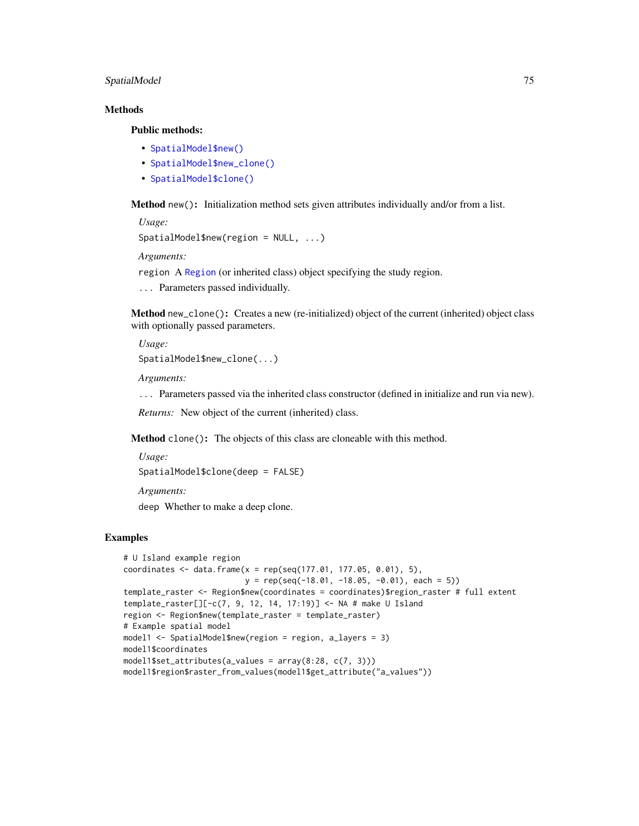# <span id="page-74-0"></span>SpatialModel 75

# **Methods**

Public methods:

- [SpatialModel\\$new\(\)](#page-6-0)
- [SpatialModel\\$new\\_clone\(\)](#page-13-0)
- [SpatialModel\\$clone\(\)](#page-3-0)

Method new(): Initialization method sets given attributes individually and/or from a list.

*Usage:* SpatialModel\$new(region = NULL, ...)

*Arguments:*

region A [Region](#page-53-0) (or inherited class) object specifying the study region.

... Parameters passed individually.

Method new\_clone(): Creates a new (re-initialized) object of the current (inherited) object class with optionally passed parameters.

*Usage:* SpatialModel\$new\_clone(...)

*Arguments:*

... Parameters passed via the inherited class constructor (defined in initialize and run via new).

*Returns:* New object of the current (inherited) class.

Method clone(): The objects of this class are cloneable with this method.

*Usage:* SpatialModel\$clone(deep = FALSE)

*Arguments:* deep Whether to make a deep clone.

#### Examples

```
# U Island example region
coordinates \leq data.frame(x = rep(seq(177.01, 177.05, 0.01), 5),
                         y = rep(seq(-18.01, -18.05, -0.01), each = 5)template_raster <- Region$new(coordinates = coordinates)$region_raster # full extent
template_raster[][-c(7, 9, 12, 14, 17:19)] <- NA # make U Island
region <- Region$new(template_raster = template_raster)
# Example spatial model
model1 <- SpatialModel$new(region = region, a_layers = 3)
model1$coordinates
model1$set_attributes(a_values = array(8:28, c(7, 3)))model1$region$raster_from_values(model1$get_attribute("a_values"))
```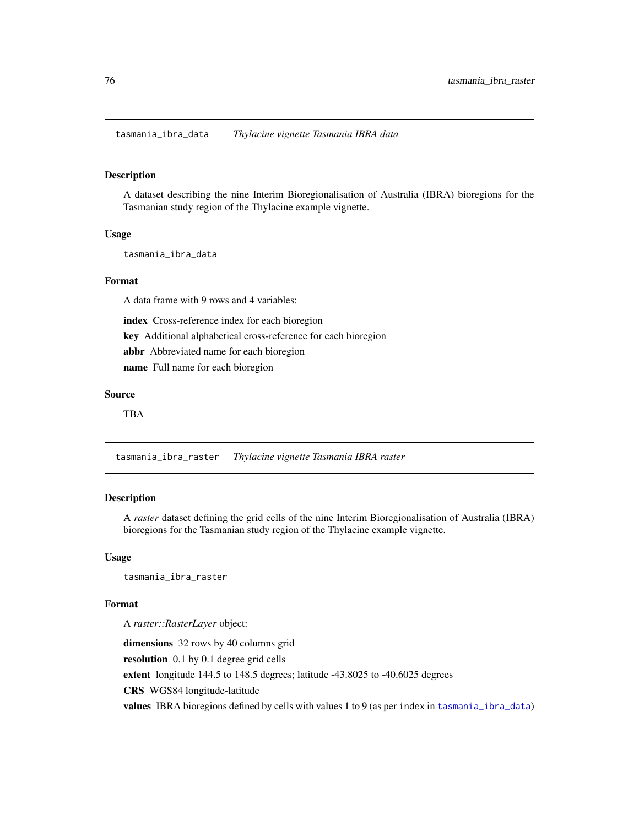<span id="page-75-1"></span><span id="page-75-0"></span>tasmania\_ibra\_data *Thylacine vignette Tasmania IBRA data*

#### Description

A dataset describing the nine Interim Bioregionalisation of Australia (IBRA) bioregions for the Tasmanian study region of the Thylacine example vignette.

## Usage

tasmania\_ibra\_data

# Format

A data frame with 9 rows and 4 variables:

index Cross-reference index for each bioregion

key Additional alphabetical cross-reference for each bioregion

abbr Abbreviated name for each bioregion

name Full name for each bioregion

# Source

TBA

tasmania\_ibra\_raster *Thylacine vignette Tasmania IBRA raster*

# Description

A *raster* dataset defining the grid cells of the nine Interim Bioregionalisation of Australia (IBRA) bioregions for the Tasmanian study region of the Thylacine example vignette.

## Usage

tasmania\_ibra\_raster

# Format

A *raster::RasterLayer* object:

dimensions 32 rows by 40 columns grid resolution 0.1 by 0.1 degree grid cells extent longitude 144.5 to 148.5 degrees; latitude -43.8025 to -40.6025 degrees CRS WGS84 longitude-latitude values IBRA bioregions defined by cells with values 1 to 9 (as per index in [tasmania\\_ibra\\_data](#page-75-0))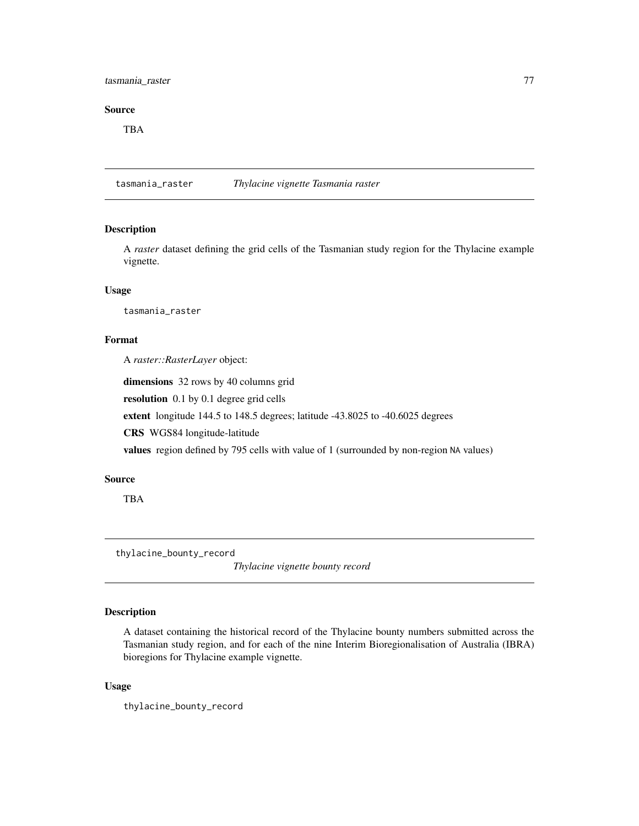# <span id="page-76-0"></span>tasmania\_raster 77

## Source

TBA

tasmania\_raster *Thylacine vignette Tasmania raster*

# Description

A *raster* dataset defining the grid cells of the Tasmanian study region for the Thylacine example vignette.

# Usage

tasmania\_raster

# Format

A *raster::RasterLayer* object:

dimensions 32 rows by 40 columns grid

resolution 0.1 by 0.1 degree grid cells

extent longitude 144.5 to 148.5 degrees; latitude -43.8025 to -40.6025 degrees

CRS WGS84 longitude-latitude

values region defined by 795 cells with value of 1 (surrounded by non-region NA values)

# Source

TBA

thylacine\_bounty\_record

*Thylacine vignette bounty record*

# Description

A dataset containing the historical record of the Thylacine bounty numbers submitted across the Tasmanian study region, and for each of the nine Interim Bioregionalisation of Australia (IBRA) bioregions for Thylacine example vignette.

## Usage

thylacine\_bounty\_record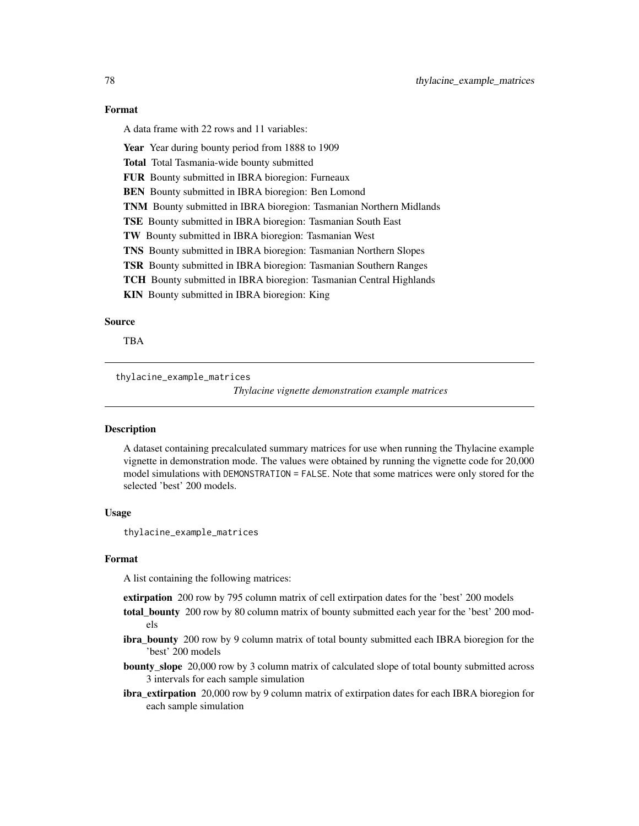# Format

A data frame with 22 rows and 11 variables:

Year Year during bounty period from 1888 to 1909

Total Total Tasmania-wide bounty submitted

FUR Bounty submitted in IBRA bioregion: Furneaux

BEN Bounty submitted in IBRA bioregion: Ben Lomond

TNM Bounty submitted in IBRA bioregion: Tasmanian Northern Midlands

TSE Bounty submitted in IBRA bioregion: Tasmanian South East

TW Bounty submitted in IBRA bioregion: Tasmanian West

TNS Bounty submitted in IBRA bioregion: Tasmanian Northern Slopes

TSR Bounty submitted in IBRA bioregion: Tasmanian Southern Ranges

TCH Bounty submitted in IBRA bioregion: Tasmanian Central Highlands

KIN Bounty submitted in IBRA bioregion: King

# Source

TBA

thylacine\_example\_matrices

*Thylacine vignette demonstration example matrices*

# **Description**

A dataset containing precalculated summary matrices for use when running the Thylacine example vignette in demonstration mode. The values were obtained by running the vignette code for 20,000 model simulations with DEMONSTRATION = FALSE. Note that some matrices were only stored for the selected 'best' 200 models.

# Usage

thylacine\_example\_matrices

#### Format

A list containing the following matrices:

extirpation 200 row by 795 column matrix of cell extirpation dates for the 'best' 200 models

- total\_bounty 200 row by 80 column matrix of bounty submitted each year for the 'best' 200 models
- ibra\_bounty 200 row by 9 column matrix of total bounty submitted each IBRA bioregion for the 'best' 200 models
- **bounty\_slope** 20,000 row by 3 column matrix of calculated slope of total bounty submitted across 3 intervals for each sample simulation
- ibra\_extirpation 20,000 row by 9 column matrix of extirpation dates for each IBRA bioregion for each sample simulation

<span id="page-77-0"></span>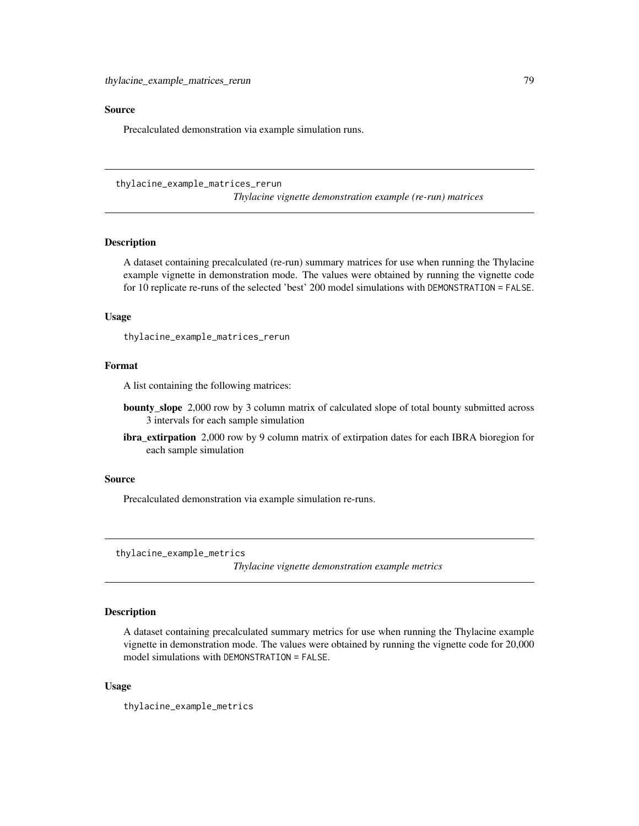#### <span id="page-78-0"></span>Source

Precalculated demonstration via example simulation runs.

thylacine\_example\_matrices\_rerun

*Thylacine vignette demonstration example (re-run) matrices*

#### **Description**

A dataset containing precalculated (re-run) summary matrices for use when running the Thylacine example vignette in demonstration mode. The values were obtained by running the vignette code for 10 replicate re-runs of the selected 'best' 200 model simulations with DEMONSTRATION = FALSE.

# Usage

thylacine\_example\_matrices\_rerun

# Format

A list containing the following matrices:

- bounty\_slope 2,000 row by 3 column matrix of calculated slope of total bounty submitted across 3 intervals for each sample simulation
- ibra\_extirpation 2,000 row by 9 column matrix of extirpation dates for each IBRA bioregion for each sample simulation

## Source

Precalculated demonstration via example simulation re-runs.

thylacine\_example\_metrics

*Thylacine vignette demonstration example metrics*

# Description

A dataset containing precalculated summary metrics for use when running the Thylacine example vignette in demonstration mode. The values were obtained by running the vignette code for 20,000 model simulations with DEMONSTRATION = FALSE.

## Usage

thylacine\_example\_metrics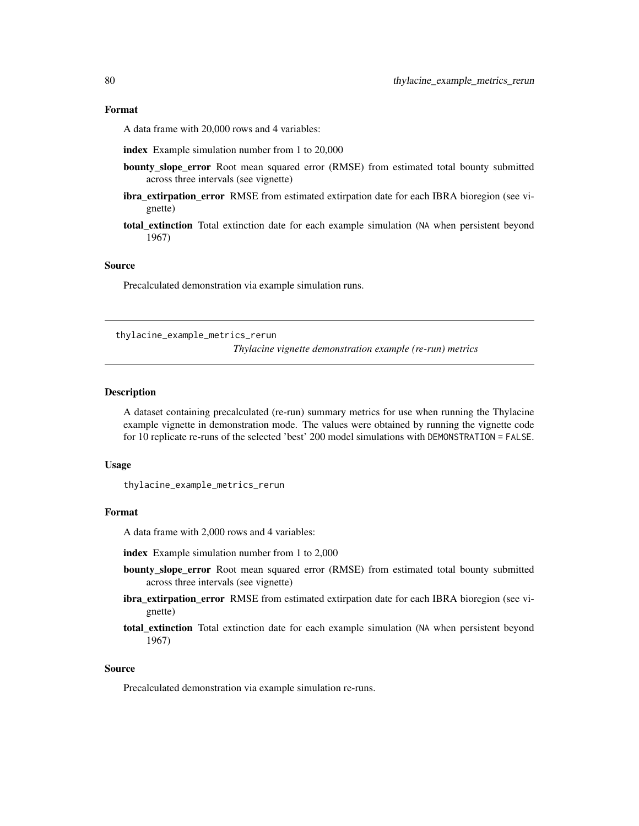#### <span id="page-79-0"></span>Format

A data frame with 20,000 rows and 4 variables:

index Example simulation number from 1 to 20,000

- bounty\_slope\_error Root mean squared error (RMSE) from estimated total bounty submitted across three intervals (see vignette)
- ibra\_extirpation\_error RMSE from estimated extirpation date for each IBRA bioregion (see vignette)
- total extinction Total extinction date for each example simulation (NA when persistent beyond 1967)

# Source

Precalculated demonstration via example simulation runs.

thylacine\_example\_metrics\_rerun

*Thylacine vignette demonstration example (re-run) metrics*

#### Description

A dataset containing precalculated (re-run) summary metrics for use when running the Thylacine example vignette in demonstration mode. The values were obtained by running the vignette code for 10 replicate re-runs of the selected 'best' 200 model simulations with DEMONSTRATION = FALSE.

## Usage

thylacine\_example\_metrics\_rerun

# Format

A data frame with 2,000 rows and 4 variables:

index Example simulation number from 1 to 2,000

- bounty\_slope\_error Root mean squared error (RMSE) from estimated total bounty submitted across three intervals (see vignette)
- ibra\_extirpation\_error RMSE from estimated extirpation date for each IBRA bioregion (see vignette)
- total extinction Total extinction date for each example simulation (NA when persistent beyond 1967)

#### Source

Precalculated demonstration via example simulation re-runs.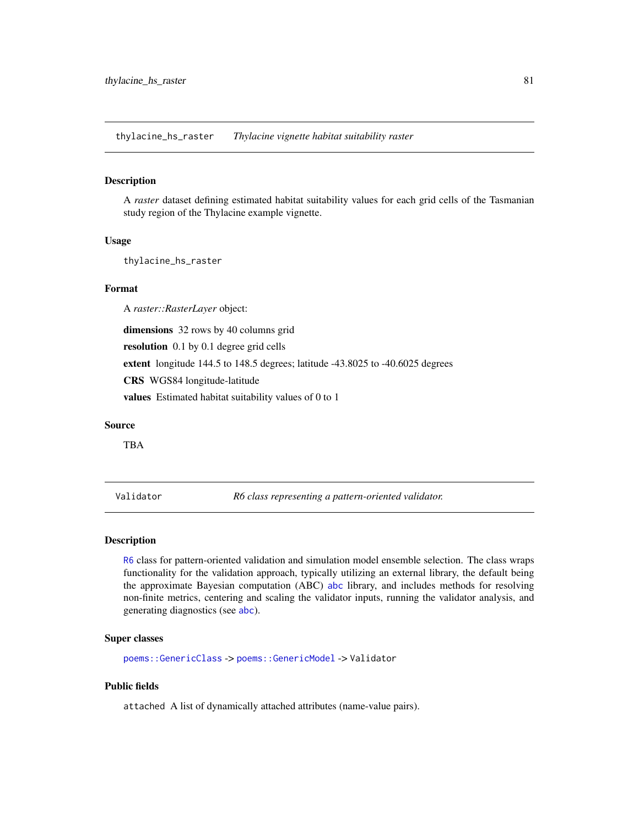<span id="page-80-0"></span>thylacine\_hs\_raster *Thylacine vignette habitat suitability raster*

#### **Description**

A *raster* dataset defining estimated habitat suitability values for each grid cells of the Tasmanian study region of the Thylacine example vignette.

# Usage

thylacine\_hs\_raster

#### Format

A *raster::RasterLayer* object:

dimensions 32 rows by 40 columns grid

resolution 0.1 by 0.1 degree grid cells

extent longitude 144.5 to 148.5 degrees; latitude -43.8025 to -40.6025 degrees

CRS WGS84 longitude-latitude

values Estimated habitat suitability values of 0 to 1

# Source

TBA

Validator *R6 class representing a pattern-oriented validator.*

# Description

[R6](#page-0-0) class for pattern-oriented validation and simulation model ensemble selection. The class wraps functionality for the validation approach, typically utilizing an external library, the default being the approximate Bayesian computation (ABC) [abc](#page-0-0) library, and includes methods for resolving non-finite metrics, centering and scaling the validator inputs, running the validator analysis, and generating diagnostics (see [abc](#page-0-0)).

#### Super classes

[poems::GenericClass](#page-0-0) -> [poems::GenericModel](#page-0-0) -> Validator

# Public fields

attached A list of dynamically attached attributes (name-value pairs).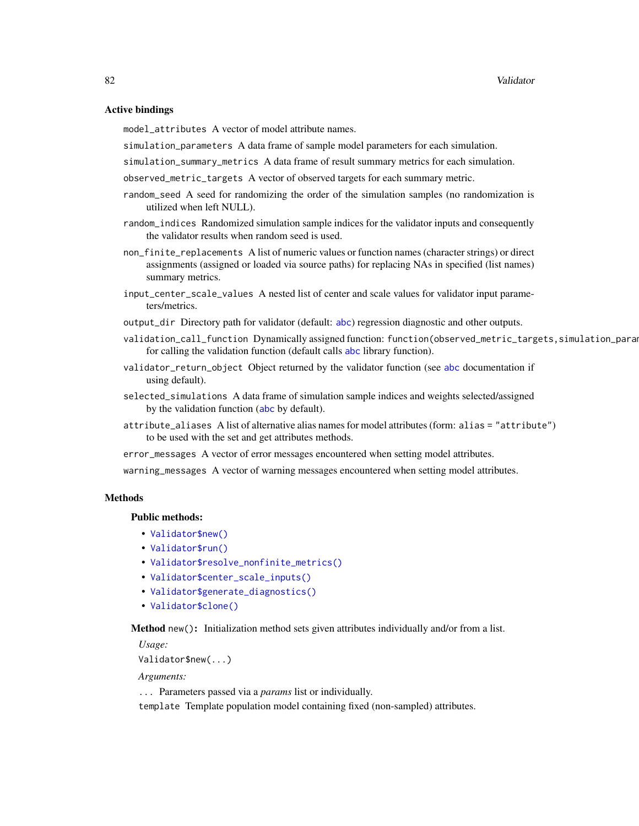# Active bindings

model\_attributes A vector of model attribute names.

simulation\_parameters A data frame of sample model parameters for each simulation.

simulation\_summary\_metrics A data frame of result summary metrics for each simulation.

observed\_metric\_targets A vector of observed targets for each summary metric.

- random\_seed A seed for randomizing the order of the simulation samples (no randomization is utilized when left NULL).
- random\_indices Randomized simulation sample indices for the validator inputs and consequently the validator results when random seed is used.
- non\_finite\_replacements A list of numeric values or function names (character strings) or direct assignments (assigned or loaded via source paths) for replacing NAs in specified (list names) summary metrics.
- input\_center\_scale\_values A nested list of center and scale values for validator input parameters/metrics.
- output\_dir Directory path for validator (default: [abc](#page-0-0)) regression diagnostic and other outputs.
- validation\_call\_function Dynamically assigned function: function(observed\_metric\_targets,simulation\_parameters for calling the validation function (default calls [abc](#page-0-0) library function).
- validator\_return\_object Object returned by the validator function (see [abc](#page-0-0) documentation if using default).
- selected\_simulations A data frame of simulation sample indices and weights selected/assigned by the validation function ([abc](#page-0-0) by default).
- attribute\_aliases A list of alternative alias names for model attributes (form: alias = "attribute") to be used with the set and get attributes methods.
- error\_messages A vector of error messages encountered when setting model attributes.

warning\_messages A vector of warning messages encountered when setting model attributes.

# Methods

#### Public methods:

- [Validator\\$new\(\)](#page-6-0)
- [Validator\\$run\(\)](#page-28-0)
- [Validator\\$resolve\\_nonfinite\\_metrics\(\)](#page-82-0)
- [Validator\\$center\\_scale\\_inputs\(\)](#page-82-1)
- [Validator\\$generate\\_diagnostics\(\)](#page-82-2)
- [Validator\\$clone\(\)](#page-3-0)

Method new(): Initialization method sets given attributes individually and/or from a list.

*Usage:*

```
Validator$new(...)
```
*Arguments:*

... Parameters passed via a *params* list or individually.

template Template population model containing fixed (non-sampled) attributes.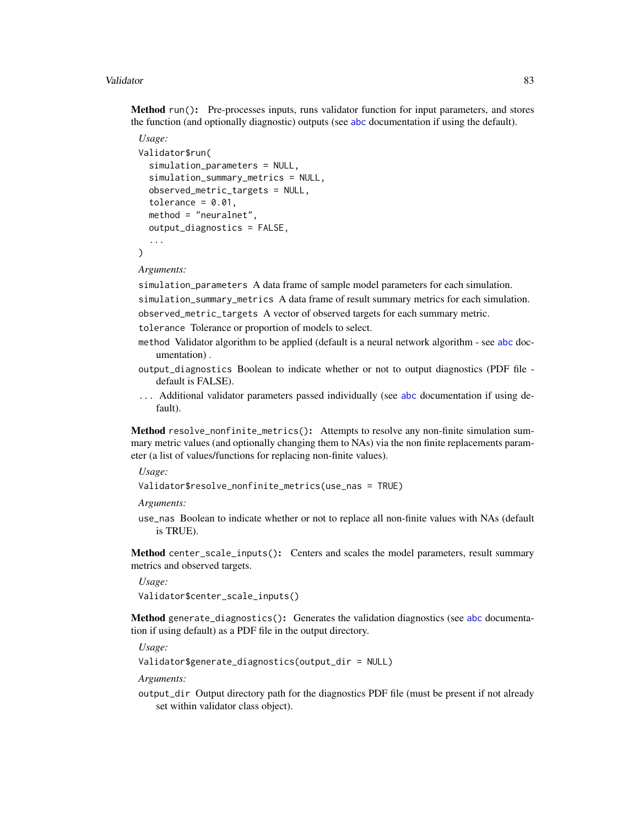## <span id="page-82-3"></span>Validator 83

Method run(): Pre-processes inputs, runs validator function for input parameters, and stores the function (and optionally diagnostic) outputs (see [abc](#page-0-0) documentation if using the default).

```
Usage:
Validator$run(
  simulation_parameters = NULL,
  simulation_summary_metrics = NULL,
  observed_metric_targets = NULL,
  tolerance = 0.01,
  method = "neuralnet",
  output_diagnostics = FALSE,
  ...
```
)

*Arguments:*

simulation\_parameters A data frame of sample model parameters for each simulation.

simulation\_summary\_metrics A data frame of result summary metrics for each simulation.

observed\_metric\_targets A vector of observed targets for each summary metric.

tolerance Tolerance or proportion of models to select.

- method Validator algorithm to be applied (default is a neural network algorithm see [abc](#page-0-0) documentation) .
- output\_diagnostics Boolean to indicate whether or not to output diagnostics (PDF file default is FALSE).
- ... Additional validator parameters passed individually (see [abc](#page-0-0) documentation if using default).

<span id="page-82-0"></span>Method resolve\_nonfinite\_metrics(): Attempts to resolve any non-finite simulation summary metric values (and optionally changing them to NAs) via the non finite replacements parameter (a list of values/functions for replacing non-finite values).

*Usage:*

```
Validator$resolve_nonfinite_metrics(use_nas = TRUE)
```
*Arguments:*

use\_nas Boolean to indicate whether or not to replace all non-finite values with NAs (default is TRUE).

<span id="page-82-1"></span>Method center\_scale\_inputs(): Centers and scales the model parameters, result summary metrics and observed targets.

*Usage:* Validator\$center\_scale\_inputs()

<span id="page-82-2"></span>Method generate\_diagnostics(): Generates the validation diagnostics (see [abc](#page-0-0) documentation if using default) as a PDF file in the output directory.

*Usage:*

Validator\$generate\_diagnostics(output\_dir = NULL)

*Arguments:*

output\_dir Output directory path for the diagnostics PDF file (must be present if not already set within validator class object).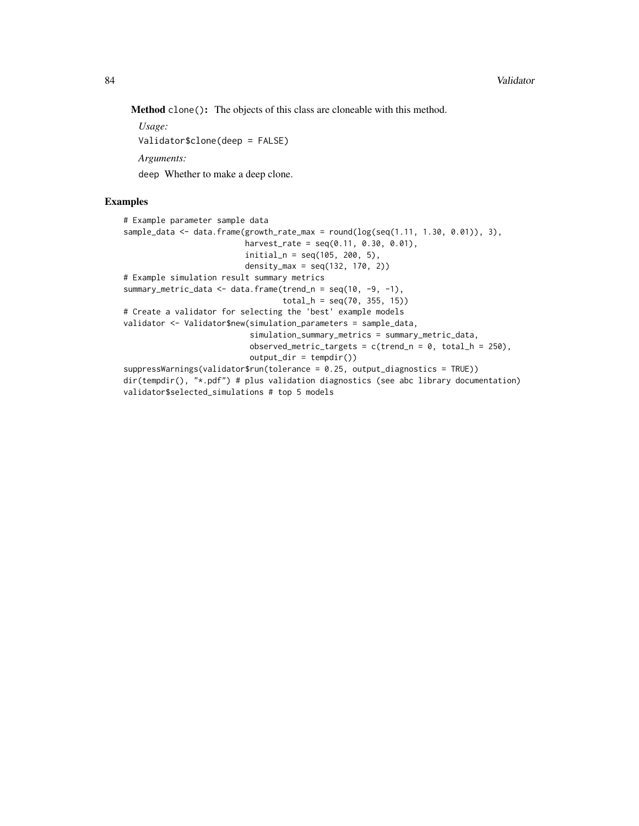Method clone(): The objects of this class are cloneable with this method.

*Usage:* Validator\$clone(deep = FALSE) *Arguments:*

deep Whether to make a deep clone.

# Examples

```
# Example parameter sample data
sample_data <- data.frame(growth_rate_max = round(log(seq(1.11, 1.30, 0.01)), 3),
                         harvest_rate = seq(0.11, 0.30, 0.01),
                         initial_n = seq(105, 200, 5),
                         density_max = seq(132, 170, 2))# Example simulation result summary metrics
summary_metric_data \leq data.frame(trend_n = seq(10, -9, -1),
                                 total_h = seq(70, 355, 15)# Create a validator for selecting the 'best' example models
validator <- Validator$new(simulation_parameters = sample_data,
                           simulation_summary_metrics = summary_metric_data,
                          observed_metric_targets = c(trend_n = 0, total_h = 250),
                          output\_dir = tempdir()suppressWarnings(validator$run(tolerance = 0.25, output_diagnostics = TRUE))
dir(tempdir(), "*.pdf") # plus validation diagnostics (see abc library documentation)
validator$selected_simulations # top 5 models
```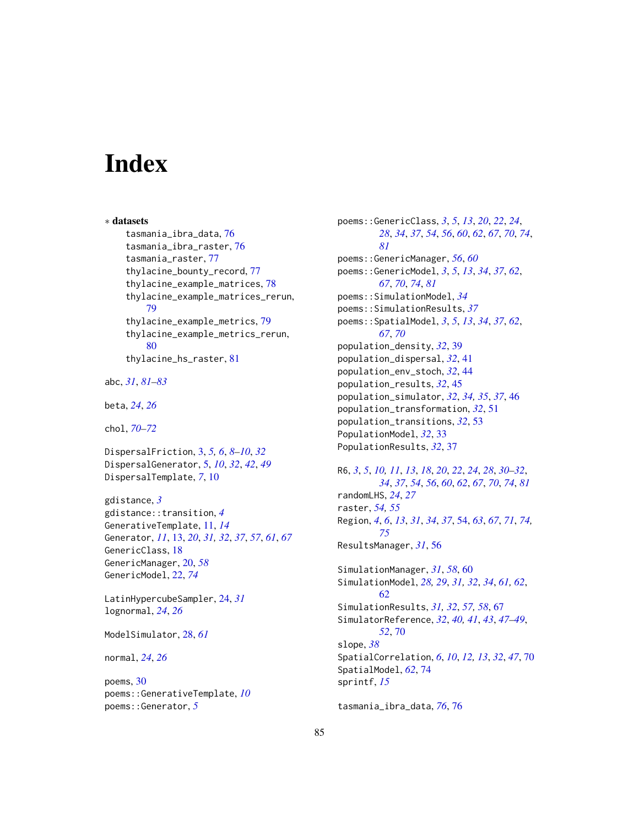# **Index**

∗ datasets tasmania\_ibra\_data, [76](#page-75-1) tasmania\_ibra\_raster, [76](#page-75-1) tasmania\_raster, [77](#page-76-0) thylacine\_bounty\_record, [77](#page-76-0) thylacine\_example\_matrices, [78](#page-77-0) thylacine\_example\_matrices\_rerun, [79](#page-78-0) thylacine\_example\_metrics, [79](#page-78-0) thylacine\_example\_metrics\_rerun, [80](#page-79-0) thylacine\_hs\_raster, [81](#page-80-0) abc, *[31](#page-30-0)*, *[81](#page-80-0)[–83](#page-82-3)* beta, *[24](#page-23-0)*, *[26](#page-25-0)* chol, *[70](#page-69-0)[–72](#page-71-0)* DispersalFriction, [3,](#page-2-0) *[5,](#page-4-0) [6](#page-5-0)*, *[8–](#page-7-0)[10](#page-9-0)*, *[32](#page-31-0)* DispersalGenerator, [5,](#page-4-0) *[10](#page-9-0)*, *[32](#page-31-0)*, *[42](#page-41-0)*, *[49](#page-48-0)* DispersalTemplate, *[7](#page-6-1)*, [10](#page-9-0) gdistance, *[3](#page-2-0)*

```
gdistance::transition, 4
GenerativeTemplate, 11, 14
Generator, 11, 13, 20, 31, 32, 37, 57, 61, 67
GenericClass, 18
GenericManager, 20, 58
GenericModel, 22, 74
```

```
LatinHypercubeSampler, 24, 31
lognormal, 24, 26
```
ModelSimulator, [28,](#page-27-0) *[61](#page-60-0)*

normal, *[24](#page-23-0)*, *[26](#page-25-0)*

poems, [30](#page-29-0) poems::GenerativeTemplate, *[10](#page-9-0)* poems::Generator, *[5](#page-4-0)*

poems::GenericClass, *[3](#page-2-0)*, *[5](#page-4-0)*, *[13](#page-12-0)*, *[20](#page-19-0)*, *[22](#page-21-1)*, *[24](#page-23-0)*, *[28](#page-27-0)*, *[34](#page-33-0)*, *[37](#page-36-0)*, *[54](#page-53-1)*, *[56](#page-55-0)*, *[60](#page-59-0)*, *[62](#page-61-0)*, *[67](#page-66-0)*, *[70](#page-69-0)*, *[74](#page-73-0)*, *[81](#page-80-0)* poems::GenericManager, *[56](#page-55-0)*, *[60](#page-59-0)* poems::GenericModel, *[3](#page-2-0)*, *[5](#page-4-0)*, *[13](#page-12-0)*, *[34](#page-33-0)*, *[37](#page-36-0)*, *[62](#page-61-0)*, *[67](#page-66-0)*, *[70](#page-69-0)*, *[74](#page-73-0)*, *[81](#page-80-0)* poems::SimulationModel, *[34](#page-33-0)* poems::SimulationResults, *[37](#page-36-0)* poems::SpatialModel, *[3](#page-2-0)*, *[5](#page-4-0)*, *[13](#page-12-0)*, *[34](#page-33-0)*, *[37](#page-36-0)*, *[62](#page-61-0)*, *[67](#page-66-0)*, *[70](#page-69-0)* population\_density, *[32](#page-31-0)*, [39](#page-38-0) population\_dispersal, *[32](#page-31-0)*, [41](#page-40-0) population\_env\_stoch, *[32](#page-31-0)*, [44](#page-43-0) population\_results, *[32](#page-31-0)*, [45](#page-44-0) population\_simulator, *[32](#page-31-0)*, *[34,](#page-33-0) [35](#page-34-0)*, *[37](#page-36-0)*, [46](#page-45-0) population\_transformation, *[32](#page-31-0)*, [51](#page-50-0) population\_transitions, *[32](#page-31-0)*, [53](#page-52-0) PopulationModel, *[32](#page-31-0)*, [33](#page-32-0) PopulationResults, *[32](#page-31-0)*, [37](#page-36-0)

R6, *[3](#page-2-0)*, *[5](#page-4-0)*, *[10,](#page-9-0) [11](#page-10-0)*, *[13](#page-12-0)*, *[18](#page-17-0)*, *[20](#page-19-0)*, *[22](#page-21-1)*, *[24](#page-23-0)*, *[28](#page-27-0)*, *[30](#page-29-0)[–32](#page-31-0)*, *[34](#page-33-0)*, *[37](#page-36-0)*, *[54](#page-53-1)*, *[56](#page-55-0)*, *[60](#page-59-0)*, *[62](#page-61-0)*, *[67](#page-66-0)*, *[70](#page-69-0)*, *[74](#page-73-0)*, *[81](#page-80-0)* randomLHS, *[24](#page-23-0)*, *[27](#page-26-0)* raster, *[54,](#page-53-1) [55](#page-54-0)* Region, *[4](#page-3-1)*, *[6](#page-5-0)*, *[13](#page-12-0)*, *[31](#page-30-0)*, *[34](#page-33-0)*, *[37](#page-36-0)*, [54,](#page-53-1) *[63](#page-62-0)*, *[67](#page-66-0)*, *[71](#page-70-0)*, *[74,](#page-73-0) [75](#page-74-0)* ResultsManager, *[31](#page-30-0)*, [56](#page-55-0) SimulationManager, *[31](#page-30-0)*, *[58](#page-57-0)*, [60](#page-59-0) SimulationModel, *[28,](#page-27-0) [29](#page-28-1)*, *[31,](#page-30-0) [32](#page-31-0)*, *[34](#page-33-0)*, *[61,](#page-60-0) [62](#page-61-0)*, [62](#page-61-0) SimulationResults, *[31,](#page-30-0) [32](#page-31-0)*, *[57,](#page-56-0) [58](#page-57-0)*, [67](#page-66-0) SimulatorReference, *[32](#page-31-0)*, *[40,](#page-39-0) [41](#page-40-0)*, *[43](#page-42-0)*, *[47](#page-46-0)[–49](#page-48-0)*, *[52](#page-51-0)*, [70](#page-69-0) slope, *[38](#page-37-0)* SpatialCorrelation, *[6](#page-5-0)*, *[10](#page-9-0)*, *[12,](#page-11-0) [13](#page-12-0)*, *[32](#page-31-0)*, *[47](#page-46-0)*, [70](#page-69-0) SpatialModel, *[62](#page-61-0)*, [74](#page-73-0) sprintf, *[15](#page-14-0)*

tasmania\_ibra\_data, *[76](#page-75-1)*, [76](#page-75-1)